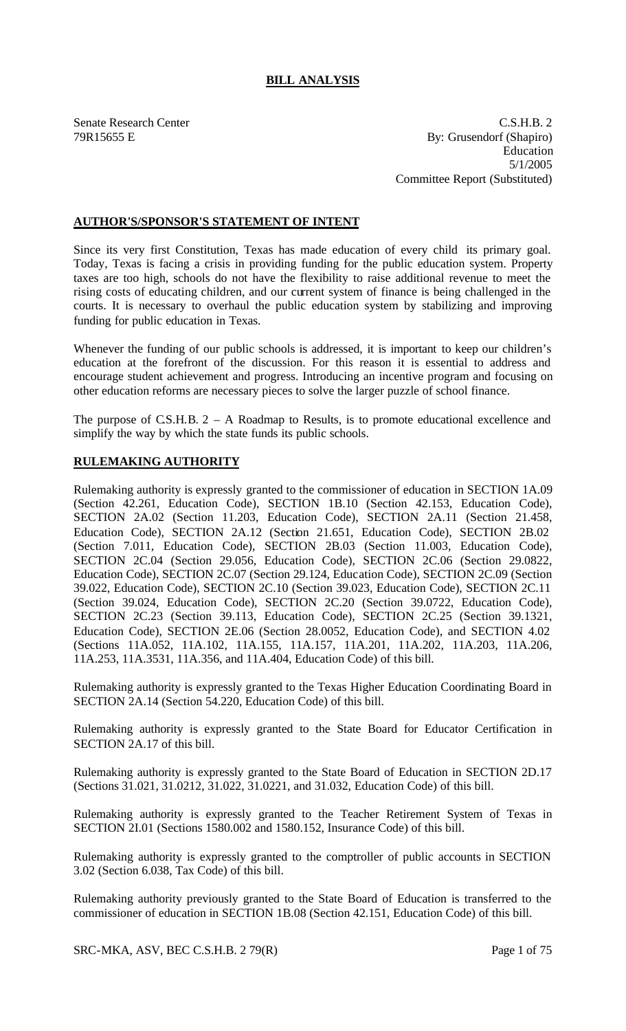# **BILL ANALYSIS**

Senate Research Center C.S.H.B. 2 79R15655 E By: Grusendorf (Shapiro) Education 5/1/2005 Committee Report (Substituted)

## **AUTHOR'S/SPONSOR'S STATEMENT OF INTENT**

Since its very first Constitution, Texas has made education of every child its primary goal. Today, Texas is facing a crisis in providing funding for the public education system. Property taxes are too high, schools do not have the flexibility to raise additional revenue to meet the rising costs of educating children, and our current system of finance is being challenged in the courts. It is necessary to overhaul the public education system by stabilizing and improving funding for public education in Texas.

Whenever the funding of our public schools is addressed, it is important to keep our children's education at the forefront of the discussion. For this reason it is essential to address and encourage student achievement and progress. Introducing an incentive program and focusing on other education reforms are necessary pieces to solve the larger puzzle of school finance.

The purpose of C.S.H.B.  $2 - A$  Roadmap to Results, is to promote educational excellence and simplify the way by which the state funds its public schools.

# **RULEMAKING AUTHORITY**

Rulemaking authority is expressly granted to the commissioner of education in SECTION 1A.09 (Section 42.261, Education Code), SECTION 1B.10 (Section 42.153, Education Code), SECTION 2A.02 (Section 11.203, Education Code), SECTION 2A.11 (Section 21.458, Education Code), SECTION 2A.12 (Section 21.651, Education Code), SECTION 2B.02 (Section 7.011, Education Code), SECTION 2B.03 (Section 11.003, Education Code), SECTION 2C.04 (Section 29.056, Education Code), SECTION 2C.06 (Section 29.0822, Education Code), SECTION 2C.07 (Section 29.124, Education Code), SECTION 2C.09 (Section 39.022, Education Code), SECTION 2C.10 (Section 39.023, Education Code), SECTION 2C.11 (Section 39.024, Education Code), SECTION 2C.20 (Section 39.0722, Education Code), SECTION 2C.23 (Section 39.113, Education Code), SECTION 2C.25 (Section 39.1321, Education Code), SECTION 2E.06 (Section 28.0052, Education Code), and SECTION 4.02 (Sections 11A.052, 11A.102, 11A.155, 11A.157, 11A.201, 11A.202, 11A.203, 11A.206, 11A.253, 11A.3531, 11A.356, and 11A.404, Education Code) of this bill.

Rulemaking authority is expressly granted to the Texas Higher Education Coordinating Board in SECTION 2A.14 (Section 54.220, Education Code) of this bill.

Rulemaking authority is expressly granted to the State Board for Educator Certification in SECTION 2A.17 of this bill.

Rulemaking authority is expressly granted to the State Board of Education in SECTION 2D.17 (Sections 31.021, 31.0212, 31.022, 31.0221, and 31.032, Education Code) of this bill.

Rulemaking authority is expressly granted to the Teacher Retirement System of Texas in SECTION 2I.01 (Sections 1580.002 and 1580.152, Insurance Code) of this bill.

Rulemaking authority is expressly granted to the comptroller of public accounts in SECTION 3.02 (Section 6.038, Tax Code) of this bill.

Rulemaking authority previously granted to the State Board of Education is transferred to the commissioner of education in SECTION 1B.08 (Section 42.151, Education Code) of this bill.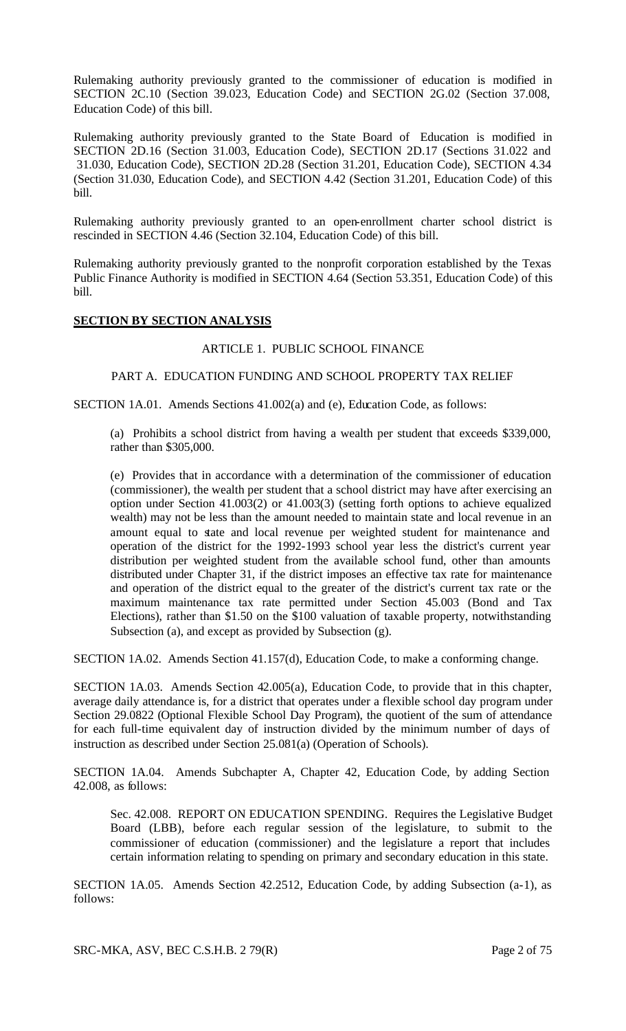Rulemaking authority previously granted to the commissioner of education is modified in SECTION 2C.10 (Section 39.023, Education Code) and SECTION 2G.02 (Section 37.008, Education Code) of this bill.

Rulemaking authority previously granted to the State Board of Education is modified in SECTION 2D.16 (Section 31.003, Education Code), SECTION 2D.17 (Sections 31.022 and 31.030, Education Code), SECTION 2D.28 (Section 31.201, Education Code), SECTION 4.34 (Section 31.030, Education Code), and SECTION 4.42 (Section 31.201, Education Code) of this bill.

Rulemaking authority previously granted to an open-enrollment charter school district is rescinded in SECTION 4.46 (Section 32.104, Education Code) of this bill.

Rulemaking authority previously granted to the nonprofit corporation established by the Texas Public Finance Authority is modified in SECTION 4.64 (Section 53.351, Education Code) of this bill.

### **SECTION BY SECTION ANALYSIS**

### ARTICLE 1. PUBLIC SCHOOL FINANCE

### PART A. EDUCATION FUNDING AND SCHOOL PROPERTY TAX RELIEF

SECTION 1A.01. Amends Sections 41.002(a) and (e), Education Code, as follows:

(a) Prohibits a school district from having a wealth per student that exceeds \$339,000, rather than \$305,000.

(e) Provides that in accordance with a determination of the commissioner of education (commissioner), the wealth per student that a school district may have after exercising an option under Section 41.003(2) or 41.003(3) (setting forth options to achieve equalized wealth) may not be less than the amount needed to maintain state and local revenue in an amount equal to state and local revenue per weighted student for maintenance and operation of the district for the 1992-1993 school year less the district's current year distribution per weighted student from the available school fund, other than amounts distributed under Chapter 31, if the district imposes an effective tax rate for maintenance and operation of the district equal to the greater of the district's current tax rate or the maximum maintenance tax rate permitted under Section 45.003 (Bond and Tax Elections), rather than \$1.50 on the \$100 valuation of taxable property, notwithstanding Subsection (a), and except as provided by Subsection (g).

SECTION 1A.02. Amends Section 41.157(d), Education Code, to make a conforming change.

SECTION 1A.03. Amends Section 42.005(a), Education Code, to provide that in this chapter, average daily attendance is, for a district that operates under a flexible school day program under Section 29.0822 (Optional Flexible School Day Program), the quotient of the sum of attendance for each full-time equivalent day of instruction divided by the minimum number of days of instruction as described under Section 25.081(a) (Operation of Schools).

SECTION 1A.04. Amends Subchapter A, Chapter 42, Education Code, by adding Section 42.008, as follows:

Sec. 42.008. REPORT ON EDUCATION SPENDING. Requires the Legislative Budget Board (LBB), before each regular session of the legislature, to submit to the commissioner of education (commissioner) and the legislature a report that includes certain information relating to spending on primary and secondary education in this state.

SECTION 1A.05. Amends Section 42.2512, Education Code, by adding Subsection (a-1), as follows:

SRC-MKA, ASV, BEC C.S.H.B. 2 79(R) Page 2 of 75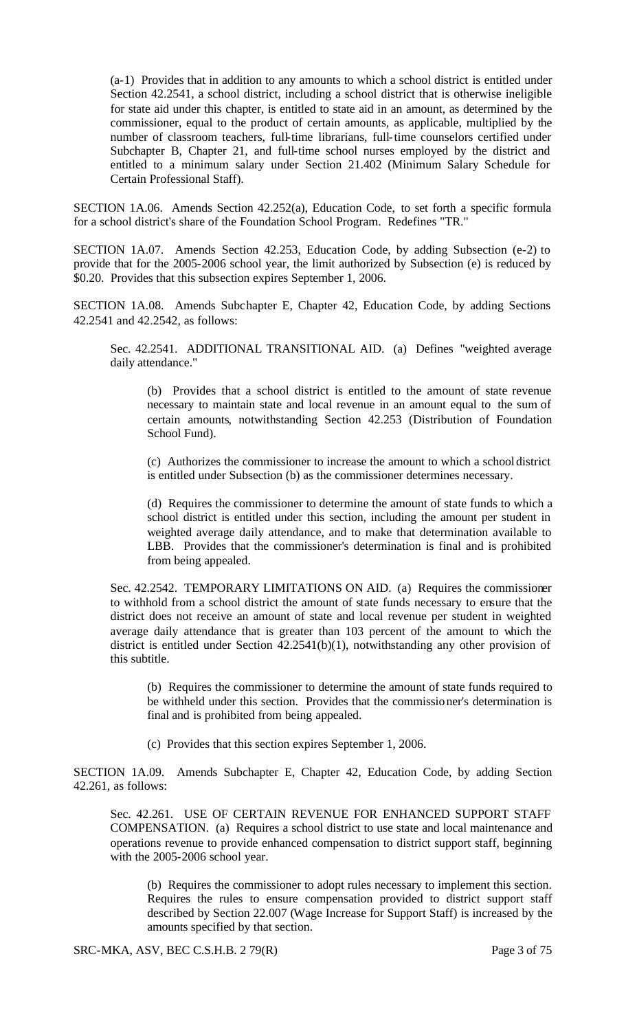(a-1) Provides that in addition to any amounts to which a school district is entitled under Section 42.2541, a school district, including a school district that is otherwise ineligible for state aid under this chapter, is entitled to state aid in an amount, as determined by the commissioner, equal to the product of certain amounts, as applicable, multiplied by the number of classroom teachers, full-time librarians, full-time counselors certified under Subchapter B, Chapter 21, and full-time school nurses employed by the district and entitled to a minimum salary under Section 21.402 (Minimum Salary Schedule for Certain Professional Staff).

SECTION 1A.06. Amends Section 42.252(a), Education Code, to set forth a specific formula for a school district's share of the Foundation School Program. Redefines "TR."

SECTION 1A.07. Amends Section 42.253, Education Code, by adding Subsection (e-2) to provide that for the 2005-2006 school year, the limit authorized by Subsection (e) is reduced by \$0.20. Provides that this subsection expires September 1, 2006.

SECTION 1A.08. Amends Subchapter E, Chapter 42, Education Code, by adding Sections 42.2541 and 42.2542, as follows:

Sec. 42.2541. ADDITIONAL TRANSITIONAL AID. (a) Defines "weighted average daily attendance."

(b) Provides that a school district is entitled to the amount of state revenue necessary to maintain state and local revenue in an amount equal to the sum of certain amounts, notwithstanding Section 42.253 (Distribution of Foundation School Fund).

(c) Authorizes the commissioner to increase the amount to which a school district is entitled under Subsection (b) as the commissioner determines necessary.

(d) Requires the commissioner to determine the amount of state funds to which a school district is entitled under this section, including the amount per student in weighted average daily attendance, and to make that determination available to LBB. Provides that the commissioner's determination is final and is prohibited from being appealed.

Sec. 42.2542. TEMPORARY LIMITATIONS ON AID. (a) Requires the commissioner to withhold from a school district the amount of state funds necessary to ensure that the district does not receive an amount of state and local revenue per student in weighted average daily attendance that is greater than 103 percent of the amount to which the district is entitled under Section 42.2541(b)(1), notwithstanding any other provision of this subtitle.

(b) Requires the commissioner to determine the amount of state funds required to be withheld under this section. Provides that the commissioner's determination is final and is prohibited from being appealed.

(c) Provides that this section expires September 1, 2006.

SECTION 1A.09. Amends Subchapter E, Chapter 42, Education Code, by adding Section 42.261, as follows:

Sec. 42.261. USE OF CERTAIN REVENUE FOR ENHANCED SUPPORT STAFF COMPENSATION. (a) Requires a school district to use state and local maintenance and operations revenue to provide enhanced compensation to district support staff, beginning with the 2005-2006 school year.

(b) Requires the commissioner to adopt rules necessary to implement this section. Requires the rules to ensure compensation provided to district support staff described by Section 22.007 (Wage Increase for Support Staff) is increased by the amounts specified by that section.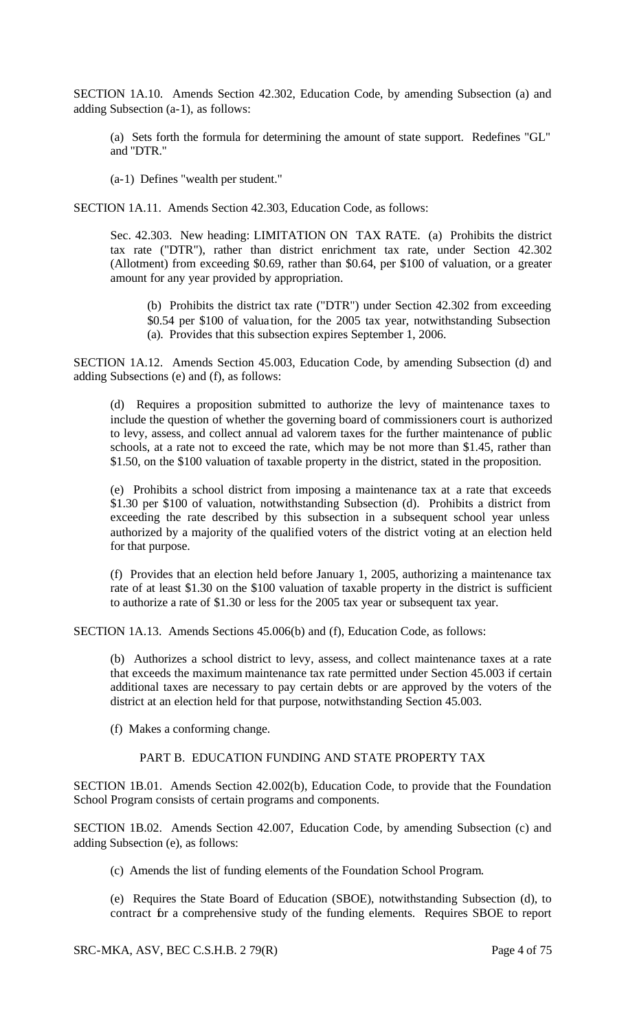SECTION 1A.10. Amends Section 42.302, Education Code, by amending Subsection (a) and adding Subsection (a-1), as follows:

(a) Sets forth the formula for determining the amount of state support. Redefines "GL" and "DTR."

(a-1) Defines "wealth per student."

SECTION 1A.11. Amends Section 42.303, Education Code, as follows:

Sec. 42.303. New heading: LIMITATION ON TAX RATE. (a) Prohibits the district tax rate ("DTR"), rather than district enrichment tax rate, under Section 42.302 (Allotment) from exceeding \$0.69, rather than \$0.64, per \$100 of valuation, or a greater amount for any year provided by appropriation.

(b) Prohibits the district tax rate ("DTR") under Section 42.302 from exceeding \$0.54 per \$100 of valua tion, for the 2005 tax year, notwithstanding Subsection (a). Provides that this subsection expires September 1, 2006.

SECTION 1A.12. Amends Section 45.003, Education Code, by amending Subsection (d) and adding Subsections (e) and (f), as follows:

(d) Requires a proposition submitted to authorize the levy of maintenance taxes to include the question of whether the governing board of commissioners court is authorized to levy, assess, and collect annual ad valorem taxes for the further maintenance of public schools, at a rate not to exceed the rate, which may be not more than \$1.45, rather than \$1.50, on the \$100 valuation of taxable property in the district, stated in the proposition.

(e) Prohibits a school district from imposing a maintenance tax at a rate that exceeds \$1.30 per \$100 of valuation, notwithstanding Subsection (d). Prohibits a district from exceeding the rate described by this subsection in a subsequent school year unless authorized by a majority of the qualified voters of the district voting at an election held for that purpose.

(f) Provides that an election held before January 1, 2005, authorizing a maintenance tax rate of at least \$1.30 on the \$100 valuation of taxable property in the district is sufficient to authorize a rate of \$1.30 or less for the 2005 tax year or subsequent tax year.

SECTION 1A.13. Amends Sections 45.006(b) and (f), Education Code, as follows:

(b) Authorizes a school district to levy, assess, and collect maintenance taxes at a rate that exceeds the maximum maintenance tax rate permitted under Section 45.003 if certain additional taxes are necessary to pay certain debts or are approved by the voters of the district at an election held for that purpose, notwithstanding Section 45.003.

(f) Makes a conforming change.

#### PART B. EDUCATION FUNDING AND STATE PROPERTY TAX

SECTION 1B.01. Amends Section 42.002(b), Education Code, to provide that the Foundation School Program consists of certain programs and components.

SECTION 1B.02. Amends Section 42.007, Education Code, by amending Subsection (c) and adding Subsection (e), as follows:

(c) Amends the list of funding elements of the Foundation School Program.

(e) Requires the State Board of Education (SBOE), notwithstanding Subsection (d), to contract for a comprehensive study of the funding elements. Requires SBOE to report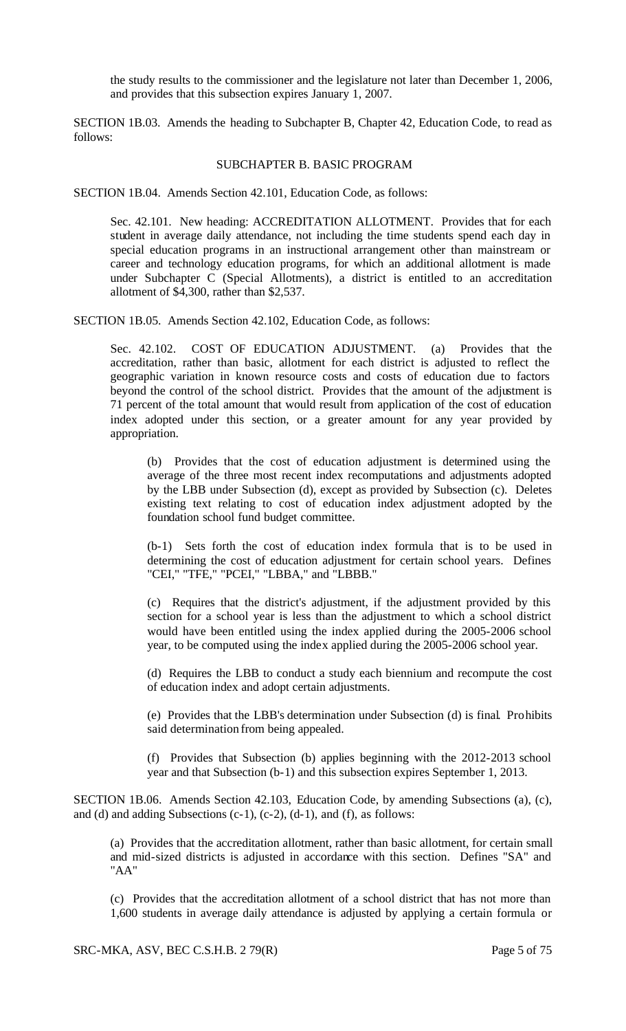the study results to the commissioner and the legislature not later than December 1, 2006, and provides that this subsection expires January 1, 2007.

SECTION 1B.03. Amends the heading to Subchapter B, Chapter 42, Education Code, to read as follows:

#### SUBCHAPTER B. BASIC PROGRAM

SECTION 1B.04. Amends Section 42.101, Education Code, as follows:

Sec. 42.101. New heading: ACCREDITATION ALLOTMENT. Provides that for each student in average daily attendance, not including the time students spend each day in special education programs in an instructional arrangement other than mainstream or career and technology education programs, for which an additional allotment is made under Subchapter C (Special Allotments), a district is entitled to an accreditation allotment of \$4,300, rather than \$2,537.

SECTION 1B.05. Amends Section 42.102, Education Code, as follows:

Sec. 42.102. COST OF EDUCATION ADJUSTMENT. (a) Provides that the accreditation, rather than basic, allotment for each district is adjusted to reflect the geographic variation in known resource costs and costs of education due to factors beyond the control of the school district. Provides that the amount of the adjustment is 71 percent of the total amount that would result from application of the cost of education index adopted under this section, or a greater amount for any year provided by appropriation.

(b) Provides that the cost of education adjustment is determined using the average of the three most recent index recomputations and adjustments adopted by the LBB under Subsection (d), except as provided by Subsection (c). Deletes existing text relating to cost of education index adjustment adopted by the foundation school fund budget committee.

(b-1) Sets forth the cost of education index formula that is to be used in determining the cost of education adjustment for certain school years. Defines "CEI," "TFE," "PCEI," "LBBA," and "LBBB."

(c) Requires that the district's adjustment, if the adjustment provided by this section for a school year is less than the adjustment to which a school district would have been entitled using the index applied during the 2005-2006 school year, to be computed using the index applied during the 2005-2006 school year.

(d) Requires the LBB to conduct a study each biennium and recompute the cost of education index and adopt certain adjustments.

(e) Provides that the LBB's determination under Subsection (d) is final. Prohibits said determination from being appealed.

(f) Provides that Subsection (b) applies beginning with the 2012-2013 school year and that Subsection (b-1) and this subsection expires September 1, 2013.

SECTION 1B.06. Amends Section 42.103, Education Code, by amending Subsections (a), (c), and (d) and adding Subsections  $(c-1)$ ,  $(c-2)$ ,  $(d-1)$ , and  $(f)$ , as follows:

(a) Provides that the accreditation allotment, rather than basic allotment, for certain small and mid-sized districts is adjusted in accordance with this section. Defines "SA" and "AA"

(c) Provides that the accreditation allotment of a school district that has not more than 1,600 students in average daily attendance is adjusted by applying a certain formula or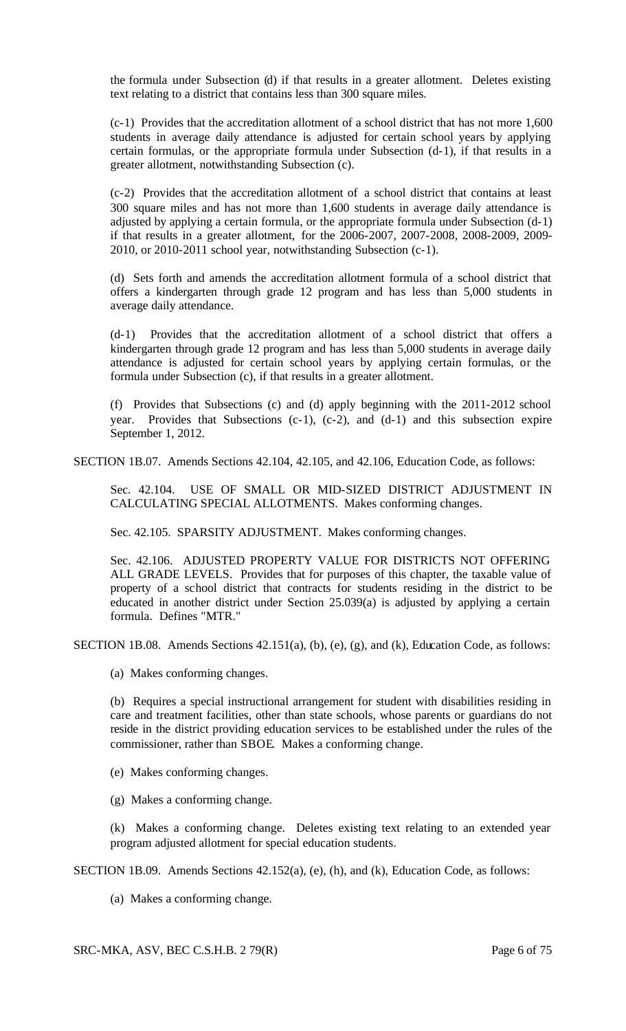the formula under Subsection (d) if that results in a greater allotment. Deletes existing text relating to a district that contains less than 300 square miles.

(c-1) Provides that the accreditation allotment of a school district that has not more 1,600 students in average daily attendance is adjusted for certain school years by applying certain formulas, or the appropriate formula under Subsection (d-1), if that results in a greater allotment, notwithstanding Subsection (c).

(c-2) Provides that the accreditation allotment of a school district that contains at least 300 square miles and has not more than 1,600 students in average daily attendance is adjusted by applying a certain formula, or the appropriate formula under Subsection (d-1) if that results in a greater allotment, for the 2006-2007, 2007-2008, 2008-2009, 2009- 2010, or 2010-2011 school year, notwithstanding Subsection (c-1).

(d) Sets forth and amends the accreditation allotment formula of a school district that offers a kindergarten through grade 12 program and has less than 5,000 students in average daily attendance.

(d-1) Provides that the accreditation allotment of a school district that offers a kindergarten through grade 12 program and has less than 5,000 students in average daily attendance is adjusted for certain school years by applying certain formulas, or the formula under Subsection (c), if that results in a greater allotment.

(f) Provides that Subsections (c) and (d) apply beginning with the 2011-2012 school year. Provides that Subsections (c-1), (c-2), and (d-1) and this subsection expire September 1, 2012.

SECTION 1B.07. Amends Sections 42.104, 42.105, and 42.106, Education Code, as follows:

Sec. 42.104. USE OF SMALL OR MID-SIZED DISTRICT ADJUSTMENT IN CALCULATING SPECIAL ALLOTMENTS. Makes conforming changes.

Sec. 42.105. SPARSITY ADJUSTMENT. Makes conforming changes.

Sec. 42.106. ADJUSTED PROPERTY VALUE FOR DISTRICTS NOT OFFERING ALL GRADE LEVELS. Provides that for purposes of this chapter, the taxable value of property of a school district that contracts for students residing in the district to be educated in another district under Section 25.039(a) is adjusted by applying a certain formula. Defines "MTR."

SECTION 1B.08. Amends Sections 42.151(a), (b), (e), (g), and (k), Education Code, as follows:

(a) Makes conforming changes.

(b) Requires a special instructional arrangement for student with disabilities residing in care and treatment facilities, other than state schools, whose parents or guardians do not reside in the district providing education services to be established under the rules of the commissioner, rather than SBOE. Makes a conforming change.

(e) Makes conforming changes.

(g) Makes a conforming change.

(k) Makes a conforming change. Deletes existing text relating to an extended year program adjusted allotment for special education students.

SECTION 1B.09. Amends Sections 42.152(a), (e), (h), and (k), Education Code, as follows:

(a) Makes a conforming change.

SRC-MKA, ASV, BEC C.S.H.B. 2 79(R) Page 6 of 75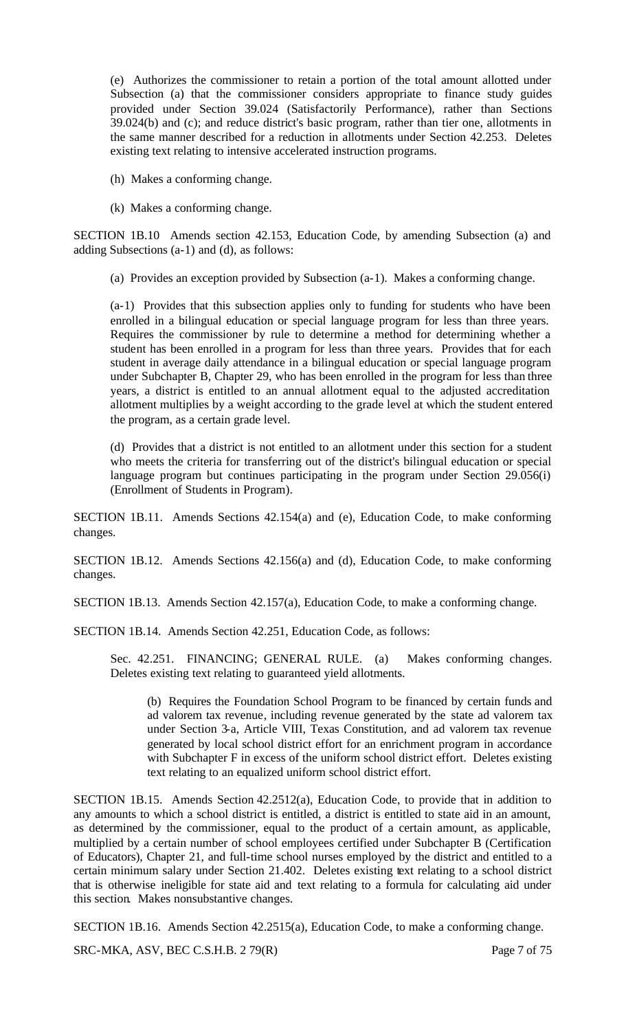(e) Authorizes the commissioner to retain a portion of the total amount allotted under Subsection (a) that the commissioner considers appropriate to finance study guides provided under Section 39.024 (Satisfactorily Performance), rather than Sections 39.024(b) and (c); and reduce district's basic program, rather than tier one, allotments in the same manner described for a reduction in allotments under Section 42.253. Deletes existing text relating to intensive accelerated instruction programs.

- (h) Makes a conforming change.
- (k) Makes a conforming change.

SECTION 1B.10 Amends section 42.153, Education Code, by amending Subsection (a) and adding Subsections (a-1) and (d), as follows:

(a) Provides an exception provided by Subsection (a-1). Makes a conforming change.

(a-1) Provides that this subsection applies only to funding for students who have been enrolled in a bilingual education or special language program for less than three years. Requires the commissioner by rule to determine a method for determining whether a student has been enrolled in a program for less than three years. Provides that for each student in average daily attendance in a bilingual education or special language program under Subchapter B, Chapter 29, who has been enrolled in the program for less than three years, a district is entitled to an annual allotment equal to the adjusted accreditation allotment multiplies by a weight according to the grade level at which the student entered the program, as a certain grade level.

(d) Provides that a district is not entitled to an allotment under this section for a student who meets the criteria for transferring out of the district's bilingual education or special language program but continues participating in the program under Section 29.056(i) (Enrollment of Students in Program).

SECTION 1B.11. Amends Sections 42.154(a) and (e), Education Code, to make conforming changes.

SECTION 1B.12. Amends Sections 42.156(a) and (d), Education Code, to make conforming changes.

SECTION 1B.13. Amends Section 42.157(a), Education Code, to make a conforming change.

SECTION 1B.14. Amends Section 42.251, Education Code, as follows:

Sec. 42.251. FINANCING; GENERAL RULE. (a) Makes conforming changes. Deletes existing text relating to guaranteed yield allotments.

(b) Requires the Foundation School Program to be financed by certain funds and ad valorem tax revenue, including revenue generated by the state ad valorem tax under Section 3-a, Article VIII, Texas Constitution, and ad valorem tax revenue generated by local school district effort for an enrichment program in accordance with Subchapter F in excess of the uniform school district effort. Deletes existing text relating to an equalized uniform school district effort.

SECTION 1B.15. Amends Section 42.2512(a), Education Code, to provide that in addition to any amounts to which a school district is entitled, a district is entitled to state aid in an amount, as determined by the commissioner, equal to the product of a certain amount, as applicable, multiplied by a certain number of school employees certified under Subchapter B (Certification of Educators), Chapter 21, and full-time school nurses employed by the district and entitled to a certain minimum salary under Section 21.402. Deletes existing text relating to a school district that is otherwise ineligible for state aid and text relating to a formula for calculating aid under this section. Makes nonsubstantive changes.

SECTION 1B.16. Amends Section 42.2515(a), Education Code, to make a conforming change.

SRC-MKA, ASV, BEC C.S.H.B. 2 79(R) Page 7 of 75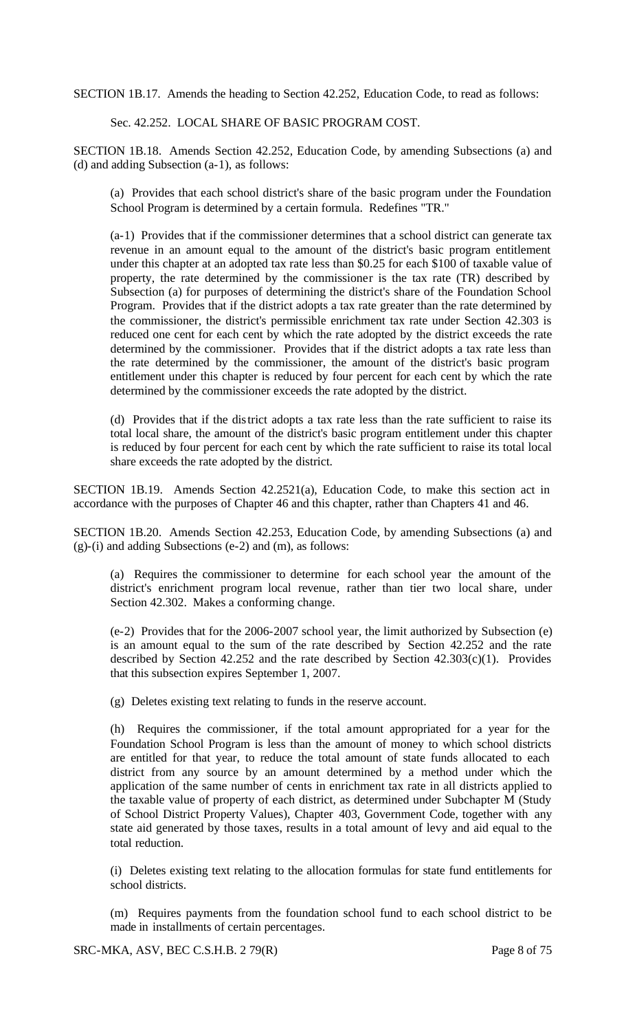SECTION 1B.17. Amends the heading to Section 42.252, Education Code, to read as follows:

Sec. 42.252. LOCAL SHARE OF BASIC PROGRAM COST.

SECTION 1B.18. Amends Section 42.252, Education Code, by amending Subsections (a) and (d) and adding Subsection (a-1), as follows:

(a) Provides that each school district's share of the basic program under the Foundation School Program is determined by a certain formula. Redefines "TR."

(a-1) Provides that if the commissioner determines that a school district can generate tax revenue in an amount equal to the amount of the district's basic program entitlement under this chapter at an adopted tax rate less than \$0.25 for each \$100 of taxable value of property, the rate determined by the commissioner is the tax rate (TR) described by Subsection (a) for purposes of determining the district's share of the Foundation School Program. Provides that if the district adopts a tax rate greater than the rate determined by the commissioner, the district's permissible enrichment tax rate under Section 42.303 is reduced one cent for each cent by which the rate adopted by the district exceeds the rate determined by the commissioner. Provides that if the district adopts a tax rate less than the rate determined by the commissioner, the amount of the district's basic program entitlement under this chapter is reduced by four percent for each cent by which the rate determined by the commissioner exceeds the rate adopted by the district.

(d) Provides that if the district adopts a tax rate less than the rate sufficient to raise its total local share, the amount of the district's basic program entitlement under this chapter is reduced by four percent for each cent by which the rate sufficient to raise its total local share exceeds the rate adopted by the district.

SECTION 1B.19. Amends Section 42.2521(a), Education Code, to make this section act in accordance with the purposes of Chapter 46 and this chapter, rather than Chapters 41 and 46.

SECTION 1B.20. Amends Section 42.253, Education Code, by amending Subsections (a) and (g)-(i) and adding Subsections (e-2) and (m), as follows:

(a) Requires the commissioner to determine for each school year the amount of the district's enrichment program local revenue, rather than tier two local share, under Section 42.302. Makes a conforming change.

(e-2) Provides that for the 2006-2007 school year, the limit authorized by Subsection (e) is an amount equal to the sum of the rate described by Section 42.252 and the rate described by Section  $42.252$  and the rate described by Section  $42.303(c)(1)$ . Provides that this subsection expires September 1, 2007.

(g) Deletes existing text relating to funds in the reserve account.

(h) Requires the commissioner, if the total amount appropriated for a year for the Foundation School Program is less than the amount of money to which school districts are entitled for that year, to reduce the total amount of state funds allocated to each district from any source by an amount determined by a method under which the application of the same number of cents in enrichment tax rate in all districts applied to the taxable value of property of each district, as determined under Subchapter M (Study of School District Property Values), Chapter 403, Government Code, together with any state aid generated by those taxes, results in a total amount of levy and aid equal to the total reduction.

(i) Deletes existing text relating to the allocation formulas for state fund entitlements for school districts.

(m) Requires payments from the foundation school fund to each school district to be made in installments of certain percentages.

SRC-MKA, ASV, BEC C.S.H.B. 2 79(R) Page 8 of 75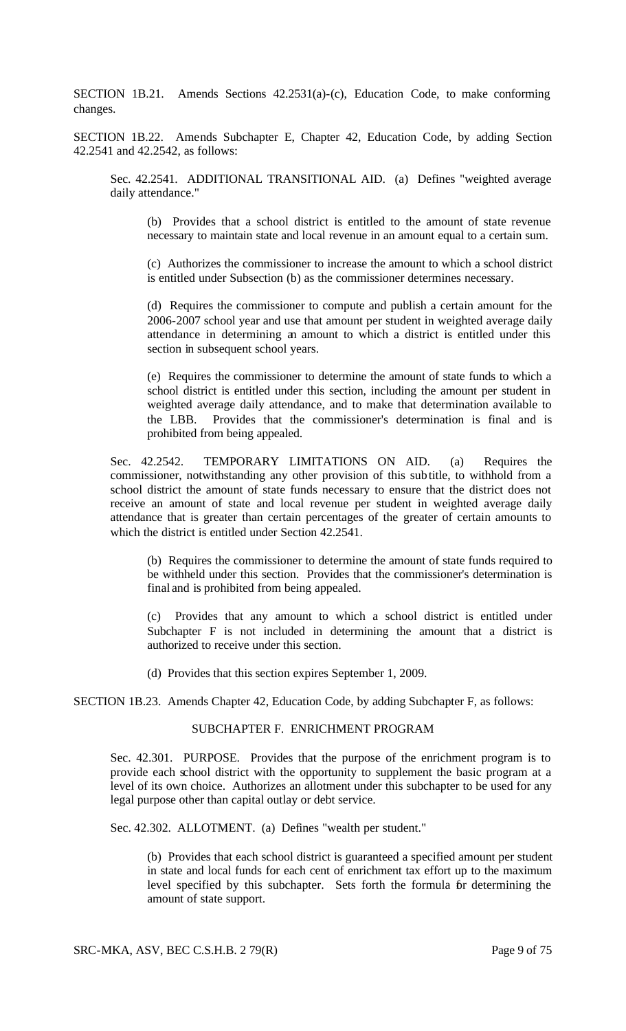SECTION 1B.21. Amends Sections 42.2531(a)-(c), Education Code, to make conforming changes.

SECTION 1B.22. Amends Subchapter E, Chapter 42, Education Code, by adding Section 42.2541 and 42.2542, as follows:

Sec. 42.2541. ADDITIONAL TRANSITIONAL AID. (a) Defines "weighted average daily attendance."

(b) Provides that a school district is entitled to the amount of state revenue necessary to maintain state and local revenue in an amount equal to a certain sum.

(c) Authorizes the commissioner to increase the amount to which a school district is entitled under Subsection (b) as the commissioner determines necessary.

(d) Requires the commissioner to compute and publish a certain amount for the 2006-2007 school year and use that amount per student in weighted average daily attendance in determining an amount to which a district is entitled under this section in subsequent school years.

(e) Requires the commissioner to determine the amount of state funds to which a school district is entitled under this section, including the amount per student in weighted average daily attendance, and to make that determination available to the LBB. Provides that the commissioner's determination is final and is prohibited from being appealed.

Sec. 42.2542. TEMPORARY LIMITATIONS ON AID. (a) Requires the commissioner, notwithstanding any other provision of this subtitle, to withhold from a school district the amount of state funds necessary to ensure that the district does not receive an amount of state and local revenue per student in weighted average daily attendance that is greater than certain percentages of the greater of certain amounts to which the district is entitled under Section 42.2541.

(b) Requires the commissioner to determine the amount of state funds required to be withheld under this section. Provides that the commissioner's determination is final and is prohibited from being appealed.

(c) Provides that any amount to which a school district is entitled under Subchapter F is not included in determining the amount that a district is authorized to receive under this section.

(d) Provides that this section expires September 1, 2009.

SECTION 1B.23. Amends Chapter 42, Education Code, by adding Subchapter F, as follows:

#### SUBCHAPTER F. ENRICHMENT PROGRAM

Sec. 42.301. PURPOSE. Provides that the purpose of the enrichment program is to provide each school district with the opportunity to supplement the basic program at a level of its own choice. Authorizes an allotment under this subchapter to be used for any legal purpose other than capital outlay or debt service.

Sec. 42.302. ALLOTMENT. (a) Defines "wealth per student."

(b) Provides that each school district is guaranteed a specified amount per student in state and local funds for each cent of enrichment tax effort up to the maximum level specified by this subchapter. Sets forth the formula for determining the amount of state support.

SRC-MKA, ASV, BEC C.S.H.B. 2 79(R) Page 9 of 75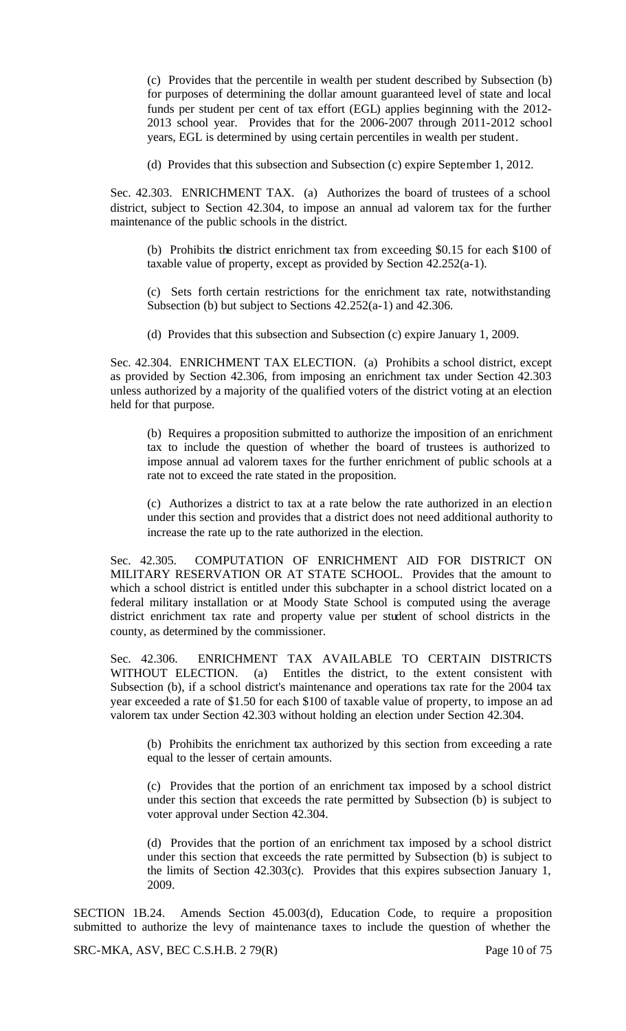(c) Provides that the percentile in wealth per student described by Subsection (b) for purposes of determining the dollar amount guaranteed level of state and local funds per student per cent of tax effort (EGL) applies beginning with the 2012- 2013 school year. Provides that for the 2006-2007 through 2011-2012 school years, EGL is determined by using certain percentiles in wealth per student.

(d) Provides that this subsection and Subsection (c) expire September 1, 2012.

Sec. 42.303. ENRICHMENT TAX. (a) Authorizes the board of trustees of a school district, subject to Section 42.304, to impose an annual ad valorem tax for the further maintenance of the public schools in the district.

(b) Prohibits the district enrichment tax from exceeding \$0.15 for each \$100 of taxable value of property, except as provided by Section 42.252(a-1).

(c) Sets forth certain restrictions for the enrichment tax rate, notwithstanding Subsection (b) but subject to Sections 42.252(a-1) and 42.306.

(d) Provides that this subsection and Subsection (c) expire January 1, 2009.

Sec. 42.304. ENRICHMENT TAX ELECTION. (a) Prohibits a school district, except as provided by Section 42.306, from imposing an enrichment tax under Section 42.303 unless authorized by a majority of the qualified voters of the district voting at an election held for that purpose.

(b) Requires a proposition submitted to authorize the imposition of an enrichment tax to include the question of whether the board of trustees is authorized to impose annual ad valorem taxes for the further enrichment of public schools at a rate not to exceed the rate stated in the proposition.

(c) Authorizes a district to tax at a rate below the rate authorized in an election under this section and provides that a district does not need additional authority to increase the rate up to the rate authorized in the election.

Sec. 42.305. COMPUTATION OF ENRICHMENT AID FOR DISTRICT ON MILITARY RESERVATION OR AT STATE SCHOOL. Provides that the amount to which a school district is entitled under this subchapter in a school district located on a federal military installation or at Moody State School is computed using the average district enrichment tax rate and property value per student of school districts in the county, as determined by the commissioner.

Sec. 42.306. ENRICHMENT TAX AVAILABLE TO CERTAIN DISTRICTS WITHOUT ELECTION. (a) Entitles the district, to the extent consistent with Subsection (b), if a school district's maintenance and operations tax rate for the 2004 tax year exceeded a rate of \$1.50 for each \$100 of taxable value of property, to impose an ad valorem tax under Section 42.303 without holding an election under Section 42.304.

(b) Prohibits the enrichment tax authorized by this section from exceeding a rate equal to the lesser of certain amounts.

(c) Provides that the portion of an enrichment tax imposed by a school district under this section that exceeds the rate permitted by Subsection (b) is subject to voter approval under Section 42.304.

(d) Provides that the portion of an enrichment tax imposed by a school district under this section that exceeds the rate permitted by Subsection (b) is subject to the limits of Section 42.303(c). Provides that this expires subsection January 1, 2009.

SECTION 1B.24. Amends Section 45.003(d), Education Code, to require a proposition submitted to authorize the levy of maintenance taxes to include the question of whether the

SRC-MKA, ASV, BEC C.S.H.B. 2 79(R) Page 10 of 75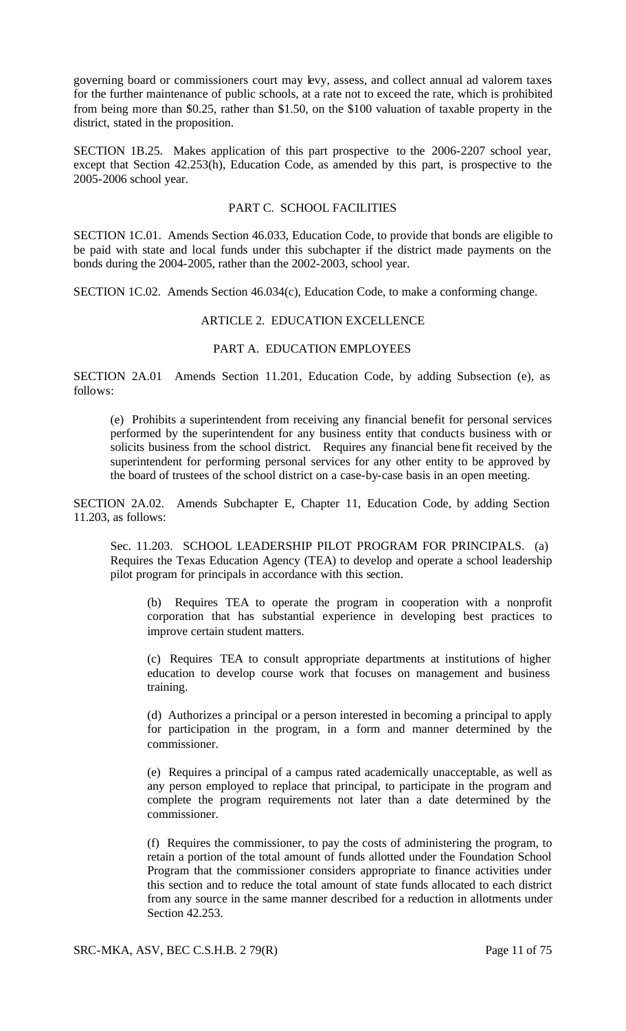governing board or commissioners court may levy, assess, and collect annual ad valorem taxes for the further maintenance of public schools, at a rate not to exceed the rate, which is prohibited from being more than \$0.25, rather than \$1.50, on the \$100 valuation of taxable property in the district, stated in the proposition.

SECTION 1B.25. Makes application of this part prospective to the 2006-2207 school year, except that Section 42.253(h), Education Code, as amended by this part, is prospective to the 2005-2006 school year.

## PART C. SCHOOL FACILITIES

SECTION 1C.01. Amends Section 46.033, Education Code, to provide that bonds are eligible to be paid with state and local funds under this subchapter if the district made payments on the bonds during the 2004-2005, rather than the 2002-2003, school year.

SECTION 1C.02. Amends Section 46.034(c), Education Code, to make a conforming change.

# ARTICLE 2. EDUCATION EXCELLENCE

# PART A. EDUCATION EMPLOYEES

SECTION 2A.01 Amends Section 11.201, Education Code, by adding Subsection (e), as follows:

(e) Prohibits a superintendent from receiving any financial benefit for personal services performed by the superintendent for any business entity that conducts business with or solicits business from the school district. Requires any financial bene fit received by the superintendent for performing personal services for any other entity to be approved by the board of trustees of the school district on a case-by-case basis in an open meeting.

SECTION 2A.02. Amends Subchapter E, Chapter 11, Education Code, by adding Section 11.203, as follows:

Sec. 11.203. SCHOOL LEADERSHIP PILOT PROGRAM FOR PRINCIPALS. (a) Requires the Texas Education Agency (TEA) to develop and operate a school leadership pilot program for principals in accordance with this section.

(b) Requires TEA to operate the program in cooperation with a nonprofit corporation that has substantial experience in developing best practices to improve certain student matters.

(c) Requires TEA to consult appropriate departments at institutions of higher education to develop course work that focuses on management and business training.

(d) Authorizes a principal or a person interested in becoming a principal to apply for participation in the program, in a form and manner determined by the commissioner.

(e) Requires a principal of a campus rated academically unacceptable, as well as any person employed to replace that principal, to participate in the program and complete the program requirements not later than a date determined by the commissioner.

(f) Requires the commissioner, to pay the costs of administering the program, to retain a portion of the total amount of funds allotted under the Foundation School Program that the commissioner considers appropriate to finance activities under this section and to reduce the total amount of state funds allocated to each district from any source in the same manner described for a reduction in allotments under Section 42.253.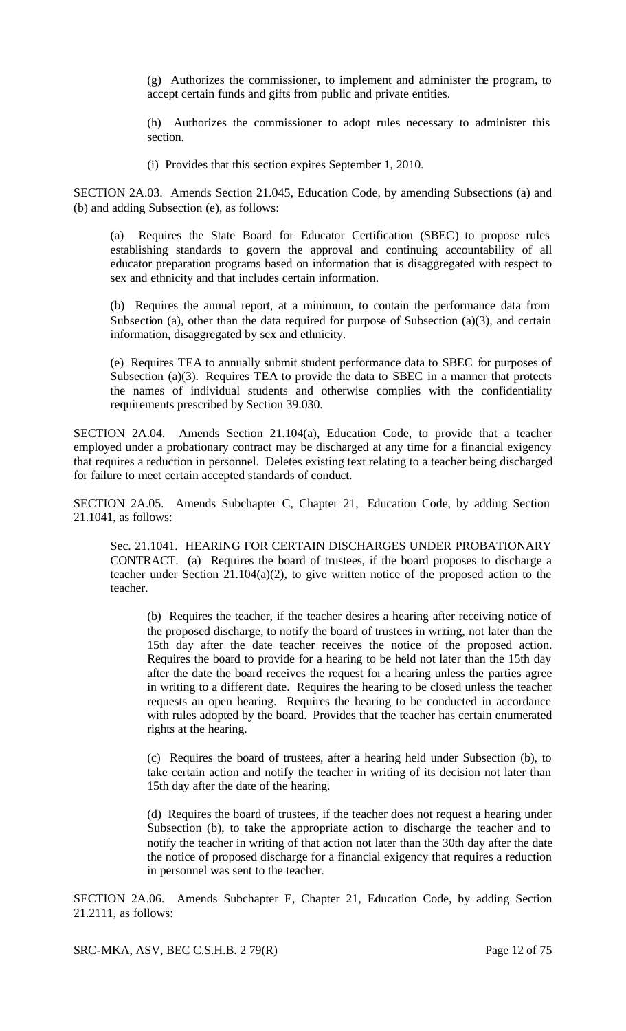(g) Authorizes the commissioner, to implement and administer the program, to accept certain funds and gifts from public and private entities.

(h) Authorizes the commissioner to adopt rules necessary to administer this section.

(i) Provides that this section expires September 1, 2010.

SECTION 2A.03. Amends Section 21.045, Education Code, by amending Subsections (a) and (b) and adding Subsection (e), as follows:

(a) Requires the State Board for Educator Certification (SBEC) to propose rules establishing standards to govern the approval and continuing accountability of all educator preparation programs based on information that is disaggregated with respect to sex and ethnicity and that includes certain information.

(b) Requires the annual report, at a minimum, to contain the performance data from Subsection (a), other than the data required for purpose of Subsection (a)(3), and certain information, disaggregated by sex and ethnicity.

(e) Requires TEA to annually submit student performance data to SBEC for purposes of Subsection (a)(3). Requires TEA to provide the data to SBEC in a manner that protects the names of individual students and otherwise complies with the confidentiality requirements prescribed by Section 39.030.

SECTION 2A.04. Amends Section 21.104(a), Education Code, to provide that a teacher employed under a probationary contract may be discharged at any time for a financial exigency that requires a reduction in personnel. Deletes existing text relating to a teacher being discharged for failure to meet certain accepted standards of conduct.

SECTION 2A.05. Amends Subchapter C, Chapter 21, Education Code, by adding Section 21.1041, as follows:

Sec. 21.1041. HEARING FOR CERTAIN DISCHARGES UNDER PROBATIONARY CONTRACT. (a) Requires the board of trustees, if the board proposes to discharge a teacher under Section 21.104(a)(2), to give written notice of the proposed action to the teacher.

(b) Requires the teacher, if the teacher desires a hearing after receiving notice of the proposed discharge, to notify the board of trustees in writing, not later than the 15th day after the date teacher receives the notice of the proposed action. Requires the board to provide for a hearing to be held not later than the 15th day after the date the board receives the request for a hearing unless the parties agree in writing to a different date. Requires the hearing to be closed unless the teacher requests an open hearing. Requires the hearing to be conducted in accordance with rules adopted by the board. Provides that the teacher has certain enumerated rights at the hearing.

(c) Requires the board of trustees, after a hearing held under Subsection (b), to take certain action and notify the teacher in writing of its decision not later than 15th day after the date of the hearing.

(d) Requires the board of trustees, if the teacher does not request a hearing under Subsection (b), to take the appropriate action to discharge the teacher and to notify the teacher in writing of that action not later than the 30th day after the date the notice of proposed discharge for a financial exigency that requires a reduction in personnel was sent to the teacher.

SECTION 2A.06. Amends Subchapter E, Chapter 21, Education Code, by adding Section 21.2111, as follows:

SRC-MKA, ASV, BEC C.S.H.B. 2 79(R) Page 12 of 75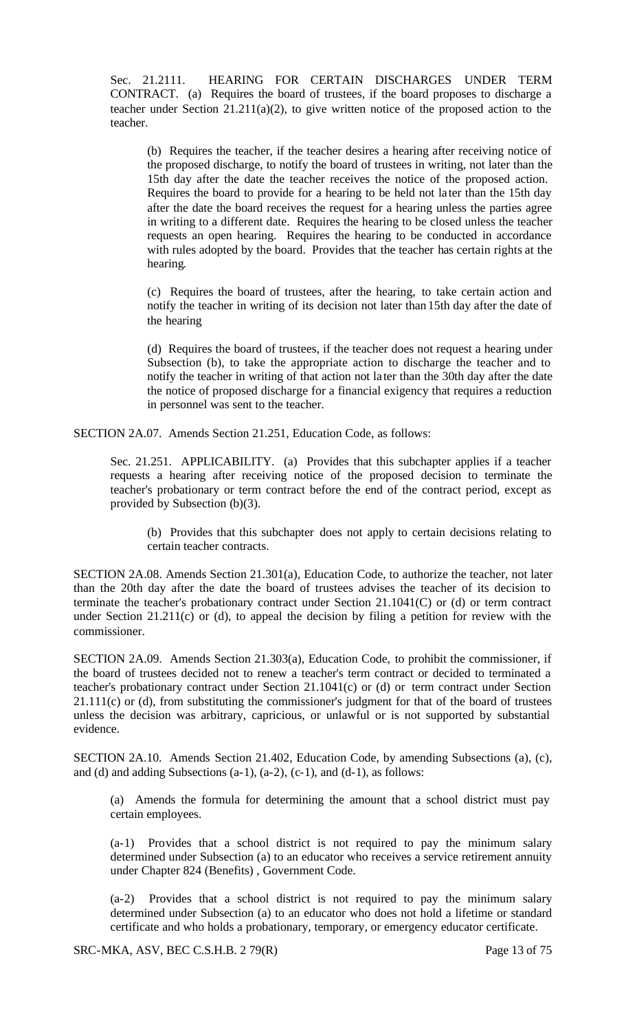Sec. 21.2111. HEARING FOR CERTAIN DISCHARGES UNDER TERM CONTRACT. (a) Requires the board of trustees, if the board proposes to discharge a teacher under Section 21.211(a)(2), to give written notice of the proposed action to the teacher.

(b) Requires the teacher, if the teacher desires a hearing after receiving notice of the proposed discharge, to notify the board of trustees in writing, not later than the 15th day after the date the teacher receives the notice of the proposed action. Requires the board to provide for a hearing to be held not la ter than the 15th day after the date the board receives the request for a hearing unless the parties agree in writing to a different date. Requires the hearing to be closed unless the teacher requests an open hearing. Requires the hearing to be conducted in accordance with rules adopted by the board. Provides that the teacher has certain rights at the hearing.

(c) Requires the board of trustees, after the hearing, to take certain action and notify the teacher in writing of its decision not later than 15th day after the date of the hearing

(d) Requires the board of trustees, if the teacher does not request a hearing under Subsection (b), to take the appropriate action to discharge the teacher and to notify the teacher in writing of that action not la ter than the 30th day after the date the notice of proposed discharge for a financial exigency that requires a reduction in personnel was sent to the teacher.

SECTION 2A.07. Amends Section 21.251, Education Code, as follows:

Sec. 21.251. APPLICABILITY. (a) Provides that this subchapter applies if a teacher requests a hearing after receiving notice of the proposed decision to terminate the teacher's probationary or term contract before the end of the contract period, except as provided by Subsection (b)(3).

(b) Provides that this subchapter does not apply to certain decisions relating to certain teacher contracts.

SECTION 2A.08. Amends Section 21.301(a), Education Code, to authorize the teacher, not later than the 20th day after the date the board of trustees advises the teacher of its decision to terminate the teacher's probationary contract under Section 21.1041(C) or (d) or term contract under Section 21.211(c) or (d), to appeal the decision by filing a petition for review with the commissioner.

SECTION 2A.09. Amends Section 21.303(a), Education Code, to prohibit the commissioner, if the board of trustees decided not to renew a teacher's term contract or decided to terminated a teacher's probationary contract under Section 21.1041(c) or (d) or term contract under Section 21.111(c) or (d), from substituting the commissioner's judgment for that of the board of trustees unless the decision was arbitrary, capricious, or unlawful or is not supported by substantial evidence.

SECTION 2A.10. Amends Section 21.402, Education Code, by amending Subsections (a), (c), and (d) and adding Subsections (a-1), (a-2), (c-1), and (d-1), as follows:

(a) Amends the formula for determining the amount that a school district must pay certain employees.

(a-1) Provides that a school district is not required to pay the minimum salary determined under Subsection (a) to an educator who receives a service retirement annuity under Chapter 824 (Benefits) , Government Code.

(a-2) Provides that a school district is not required to pay the minimum salary determined under Subsection (a) to an educator who does not hold a lifetime or standard certificate and who holds a probationary, temporary, or emergency educator certificate.

SRC-MKA, ASV, BEC C.S.H.B. 2 79(R) Page 13 of 75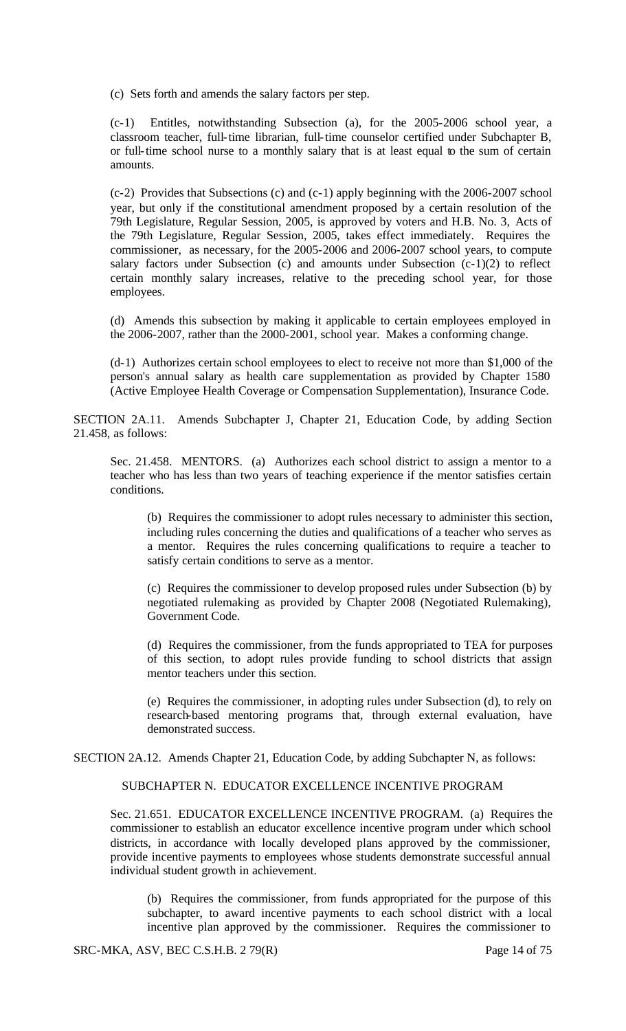(c) Sets forth and amends the salary factors per step.

(c-1) Entitles, notwithstanding Subsection (a), for the 2005-2006 school year, a classroom teacher, full-time librarian, full-time counselor certified under Subchapter B, or full-time school nurse to a monthly salary that is at least equal to the sum of certain amounts.

(c-2) Provides that Subsections (c) and (c-1) apply beginning with the 2006-2007 school year, but only if the constitutional amendment proposed by a certain resolution of the 79th Legislature, Regular Session, 2005, is approved by voters and H.B. No. 3, Acts of the 79th Legislature, Regular Session, 2005, takes effect immediately. Requires the commissioner, as necessary, for the 2005-2006 and 2006-2007 school years, to compute salary factors under Subsection (c) and amounts under Subsection  $(c-1)(2)$  to reflect certain monthly salary increases, relative to the preceding school year, for those employees.

(d) Amends this subsection by making it applicable to certain employees employed in the 2006-2007, rather than the 2000-2001, school year. Makes a conforming change.

(d-1) Authorizes certain school employees to elect to receive not more than \$1,000 of the person's annual salary as health care supplementation as provided by Chapter 1580 (Active Employee Health Coverage or Compensation Supplementation), Insurance Code.

SECTION 2A.11. Amends Subchapter J, Chapter 21, Education Code, by adding Section 21.458, as follows:

Sec. 21.458. MENTORS. (a) Authorizes each school district to assign a mentor to a teacher who has less than two years of teaching experience if the mentor satisfies certain conditions.

(b) Requires the commissioner to adopt rules necessary to administer this section, including rules concerning the duties and qualifications of a teacher who serves as a mentor. Requires the rules concerning qualifications to require a teacher to satisfy certain conditions to serve as a mentor.

(c) Requires the commissioner to develop proposed rules under Subsection (b) by negotiated rulemaking as provided by Chapter 2008 (Negotiated Rulemaking), Government Code.

(d) Requires the commissioner, from the funds appropriated to TEA for purposes of this section, to adopt rules provide funding to school districts that assign mentor teachers under this section.

(e) Requires the commissioner, in adopting rules under Subsection (d), to rely on research-based mentoring programs that, through external evaluation, have demonstrated success.

SECTION 2A.12. Amends Chapter 21, Education Code, by adding Subchapter N, as follows:

#### SUBCHAPTER N. EDUCATOR EXCELLENCE INCENTIVE PROGRAM

Sec. 21.651. EDUCATOR EXCELLENCE INCENTIVE PROGRAM. (a) Requires the commissioner to establish an educator excellence incentive program under which school districts, in accordance with locally developed plans approved by the commissioner, provide incentive payments to employees whose students demonstrate successful annual individual student growth in achievement.

(b) Requires the commissioner, from funds appropriated for the purpose of this subchapter, to award incentive payments to each school district with a local incentive plan approved by the commissioner. Requires the commissioner to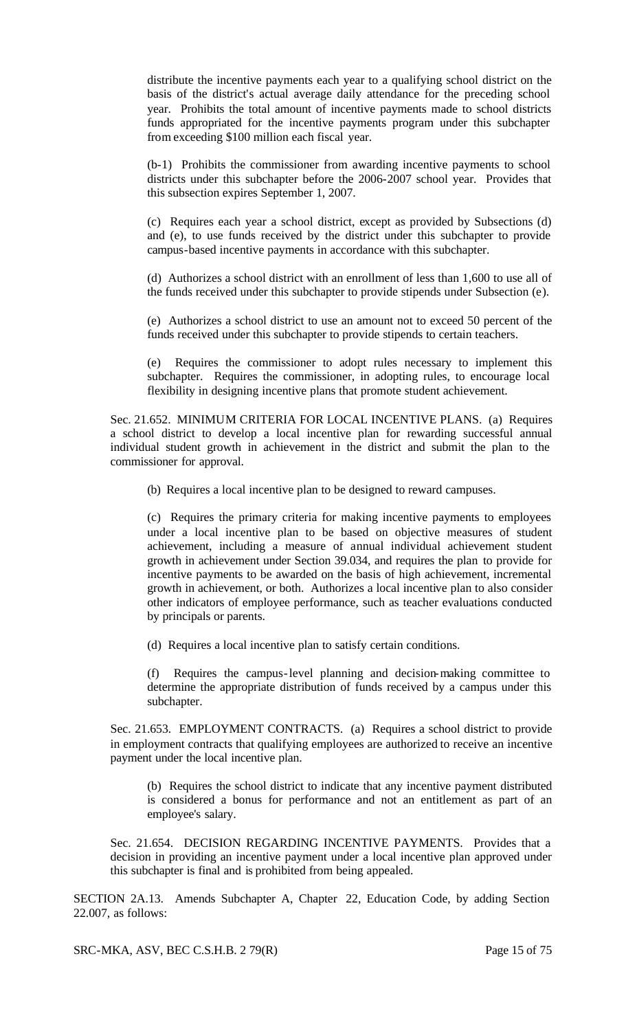distribute the incentive payments each year to a qualifying school district on the basis of the district's actual average daily attendance for the preceding school year. Prohibits the total amount of incentive payments made to school districts funds appropriated for the incentive payments program under this subchapter from exceeding \$100 million each fiscal year.

(b-1) Prohibits the commissioner from awarding incentive payments to school districts under this subchapter before the 2006-2007 school year. Provides that this subsection expires September 1, 2007.

(c) Requires each year a school district, except as provided by Subsections (d) and (e), to use funds received by the district under this subchapter to provide campus-based incentive payments in accordance with this subchapter.

(d) Authorizes a school district with an enrollment of less than 1,600 to use all of the funds received under this subchapter to provide stipends under Subsection (e).

(e) Authorizes a school district to use an amount not to exceed 50 percent of the funds received under this subchapter to provide stipends to certain teachers.

(e) Requires the commissioner to adopt rules necessary to implement this subchapter. Requires the commissioner, in adopting rules, to encourage local flexibility in designing incentive plans that promote student achievement.

Sec. 21.652. MINIMUM CRITERIA FOR LOCAL INCENTIVE PLANS. (a) Requires a school district to develop a local incentive plan for rewarding successful annual individual student growth in achievement in the district and submit the plan to the commissioner for approval.

(b) Requires a local incentive plan to be designed to reward campuses.

(c) Requires the primary criteria for making incentive payments to employees under a local incentive plan to be based on objective measures of student achievement, including a measure of annual individual achievement student growth in achievement under Section 39.034, and requires the plan to provide for incentive payments to be awarded on the basis of high achievement, incremental growth in achievement, or both. Authorizes a local incentive plan to also consider other indicators of employee performance, such as teacher evaluations conducted by principals or parents.

(d) Requires a local incentive plan to satisfy certain conditions.

(f) Requires the campus-level planning and decision-making committee to determine the appropriate distribution of funds received by a campus under this subchapter.

Sec. 21.653. EMPLOYMENT CONTRACTS. (a) Requires a school district to provide in employment contracts that qualifying employees are authorized to receive an incentive payment under the local incentive plan.

(b) Requires the school district to indicate that any incentive payment distributed is considered a bonus for performance and not an entitlement as part of an employee's salary.

Sec. 21.654. DECISION REGARDING INCENTIVE PAYMENTS. Provides that a decision in providing an incentive payment under a local incentive plan approved under this subchapter is final and is prohibited from being appealed.

SECTION 2A.13. Amends Subchapter A, Chapter 22, Education Code, by adding Section 22.007, as follows:

SRC-MKA, ASV, BEC C.S.H.B. 2 79(R) Page 15 of 75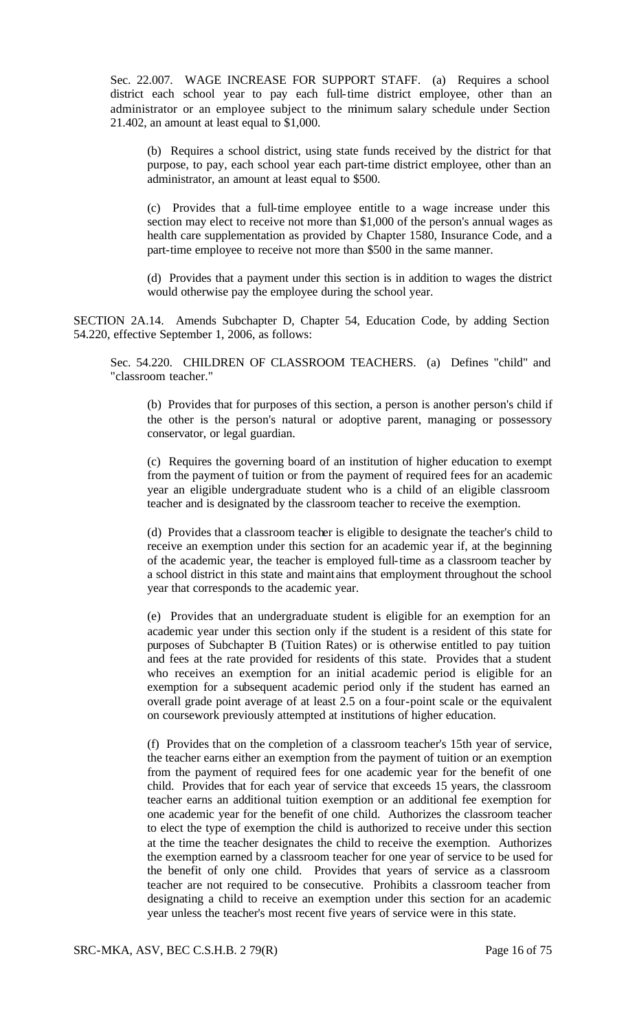Sec. 22.007. WAGE INCREASE FOR SUPPORT STAFF. (a) Requires a school district each school year to pay each full-time district employee, other than an administrator or an employee subject to the minimum salary schedule under Section 21.402, an amount at least equal to \$1,000.

(b) Requires a school district, using state funds received by the district for that purpose, to pay, each school year each part-time district employee, other than an administrator, an amount at least equal to \$500.

(c) Provides that a full-time employee entitle to a wage increase under this section may elect to receive not more than \$1,000 of the person's annual wages as health care supplementation as provided by Chapter 1580, Insurance Code, and a part-time employee to receive not more than \$500 in the same manner.

(d) Provides that a payment under this section is in addition to wages the district would otherwise pay the employee during the school year.

SECTION 2A.14. Amends Subchapter D, Chapter 54, Education Code, by adding Section 54.220, effective September 1, 2006, as follows:

Sec. 54.220. CHILDREN OF CLASSROOM TEACHERS. (a) Defines "child" and "classroom teacher."

(b) Provides that for purposes of this section, a person is another person's child if the other is the person's natural or adoptive parent, managing or possessory conservator, or legal guardian.

(c) Requires the governing board of an institution of higher education to exempt from the payment of tuition or from the payment of required fees for an academic year an eligible undergraduate student who is a child of an eligible classroom teacher and is designated by the classroom teacher to receive the exemption.

(d) Provides that a classroom teacher is eligible to designate the teacher's child to receive an exemption under this section for an academic year if, at the beginning of the academic year, the teacher is employed full-time as a classroom teacher by a school district in this state and maint ains that employment throughout the school year that corresponds to the academic year.

(e) Provides that an undergraduate student is eligible for an exemption for an academic year under this section only if the student is a resident of this state for purposes of Subchapter B (Tuition Rates) or is otherwise entitled to pay tuition and fees at the rate provided for residents of this state. Provides that a student who receives an exemption for an initial academic period is eligible for an exemption for a subsequent academic period only if the student has earned an overall grade point average of at least 2.5 on a four-point scale or the equivalent on coursework previously attempted at institutions of higher education.

(f) Provides that on the completion of a classroom teacher's 15th year of service, the teacher earns either an exemption from the payment of tuition or an exemption from the payment of required fees for one academic year for the benefit of one child. Provides that for each year of service that exceeds 15 years, the classroom teacher earns an additional tuition exemption or an additional fee exemption for one academic year for the benefit of one child. Authorizes the classroom teacher to elect the type of exemption the child is authorized to receive under this section at the time the teacher designates the child to receive the exemption. Authorizes the exemption earned by a classroom teacher for one year of service to be used for the benefit of only one child. Provides that years of service as a classroom teacher are not required to be consecutive. Prohibits a classroom teacher from designating a child to receive an exemption under this section for an academic year unless the teacher's most recent five years of service were in this state.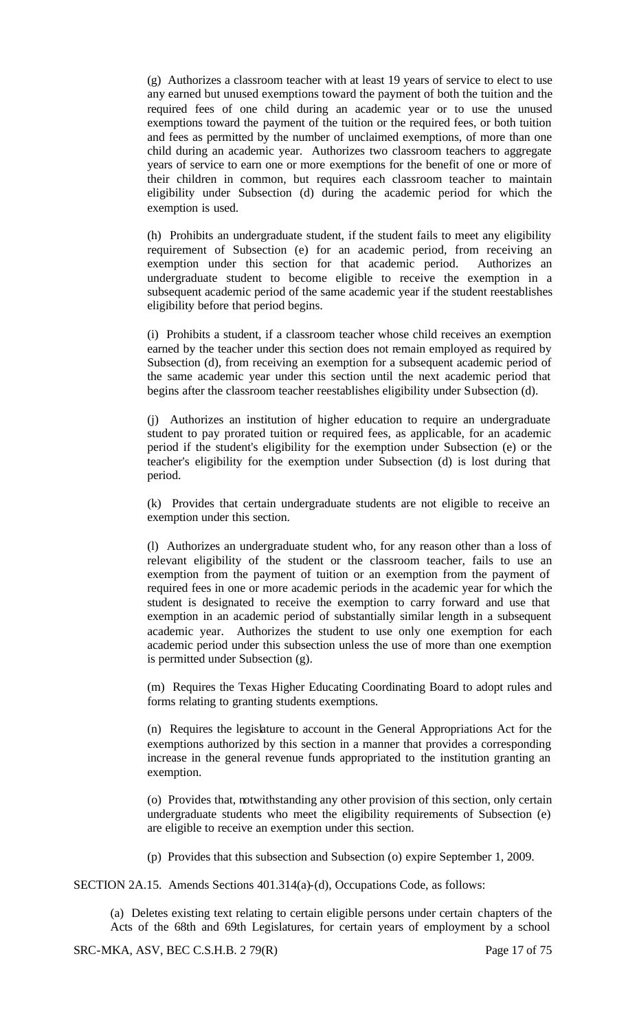(g) Authorizes a classroom teacher with at least 19 years of service to elect to use any earned but unused exemptions toward the payment of both the tuition and the required fees of one child during an academic year or to use the unused exemptions toward the payment of the tuition or the required fees, or both tuition and fees as permitted by the number of unclaimed exemptions, of more than one child during an academic year. Authorizes two classroom teachers to aggregate years of service to earn one or more exemptions for the benefit of one or more of their children in common, but requires each classroom teacher to maintain eligibility under Subsection (d) during the academic period for which the exemption is used.

(h) Prohibits an undergraduate student, if the student fails to meet any eligibility requirement of Subsection (e) for an academic period, from receiving an exemption under this section for that academic period. Authorizes an undergraduate student to become eligible to receive the exemption in a subsequent academic period of the same academic year if the student reestablishes eligibility before that period begins.

(i) Prohibits a student, if a classroom teacher whose child receives an exemption earned by the teacher under this section does not remain employed as required by Subsection (d), from receiving an exemption for a subsequent academic period of the same academic year under this section until the next academic period that begins after the classroom teacher reestablishes eligibility under Subsection (d).

(j) Authorizes an institution of higher education to require an undergraduate student to pay prorated tuition or required fees, as applicable, for an academic period if the student's eligibility for the exemption under Subsection (e) or the teacher's eligibility for the exemption under Subsection (d) is lost during that period.

(k) Provides that certain undergraduate students are not eligible to receive an exemption under this section.

(l) Authorizes an undergraduate student who, for any reason other than a loss of relevant eligibility of the student or the classroom teacher, fails to use an exemption from the payment of tuition or an exemption from the payment of required fees in one or more academic periods in the academic year for which the student is designated to receive the exemption to carry forward and use that exemption in an academic period of substantially similar length in a subsequent academic year. Authorizes the student to use only one exemption for each academic period under this subsection unless the use of more than one exemption is permitted under Subsection (g).

(m) Requires the Texas Higher Educating Coordinating Board to adopt rules and forms relating to granting students exemptions.

(n) Requires the legislature to account in the General Appropriations Act for the exemptions authorized by this section in a manner that provides a corresponding increase in the general revenue funds appropriated to the institution granting an exemption.

(o) Provides that, notwithstanding any other provision of this section, only certain undergraduate students who meet the eligibility requirements of Subsection (e) are eligible to receive an exemption under this section.

(p) Provides that this subsection and Subsection (o) expire September 1, 2009.

SECTION 2A.15. Amends Sections 401.314(a)-(d), Occupations Code, as follows:

(a) Deletes existing text relating to certain eligible persons under certain chapters of the Acts of the 68th and 69th Legislatures, for certain years of employment by a school

SRC-MKA, ASV, BEC C.S.H.B. 2 79(R) Page 17 of 75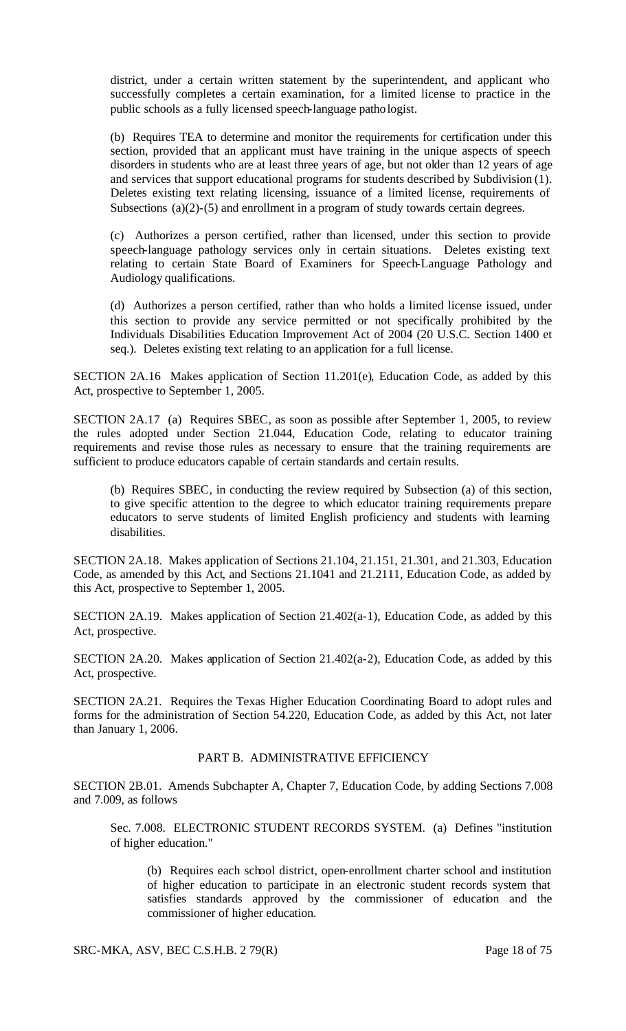district, under a certain written statement by the superintendent, and applicant who successfully completes a certain examination, for a limited license to practice in the public schools as a fully licensed speech-language pathologist.

(b) Requires TEA to determine and monitor the requirements for certification under this section, provided that an applicant must have training in the unique aspects of speech disorders in students who are at least three years of age, but not older than 12 years of age and services that support educational programs for students described by Subdivision (1). Deletes existing text relating licensing, issuance of a limited license, requirements of Subsections (a)(2)-(5) and enrollment in a program of study towards certain degrees.

(c) Authorizes a person certified, rather than licensed, under this section to provide speech-language pathology services only in certain situations. Deletes existing text relating to certain State Board of Examiners for Speech-Language Pathology and Audiology qualifications.

(d) Authorizes a person certified, rather than who holds a limited license issued, under this section to provide any service permitted or not specifically prohibited by the Individuals Disabilities Education Improvement Act of 2004 (20 U.S.C. Section 1400 et seq.). Deletes existing text relating to an application for a full license.

SECTION 2A.16 Makes application of Section 11.201(e), Education Code, as added by this Act, prospective to September 1, 2005.

SECTION 2A.17 (a) Requires SBEC, as soon as possible after September 1, 2005, to review the rules adopted under Section 21.044, Education Code, relating to educator training requirements and revise those rules as necessary to ensure that the training requirements are sufficient to produce educators capable of certain standards and certain results.

(b) Requires SBEC, in conducting the review required by Subsection (a) of this section, to give specific attention to the degree to which educator training requirements prepare educators to serve students of limited English proficiency and students with learning disabilities.

SECTION 2A.18. Makes application of Sections 21.104, 21.151, 21.301, and 21.303, Education Code, as amended by this Act, and Sections 21.1041 and 21.2111, Education Code, as added by this Act, prospective to September 1, 2005.

SECTION 2A.19. Makes application of Section 21.402(a-1), Education Code, as added by this Act, prospective.

SECTION 2A.20. Makes application of Section 21.402(a-2), Education Code, as added by this Act, prospective.

SECTION 2A.21. Requires the Texas Higher Education Coordinating Board to adopt rules and forms for the administration of Section 54.220, Education Code, as added by this Act, not later than January 1, 2006.

### PART B. ADMINISTRATIVE EFFICIENCY

SECTION 2B.01. Amends Subchapter A, Chapter 7, Education Code, by adding Sections 7.008 and 7.009, as follows

Sec. 7.008. ELECTRONIC STUDENT RECORDS SYSTEM. (a) Defines "institution of higher education."

(b) Requires each school district, open-enrollment charter school and institution of higher education to participate in an electronic student records system that satisfies standards approved by the commissioner of education and the commissioner of higher education.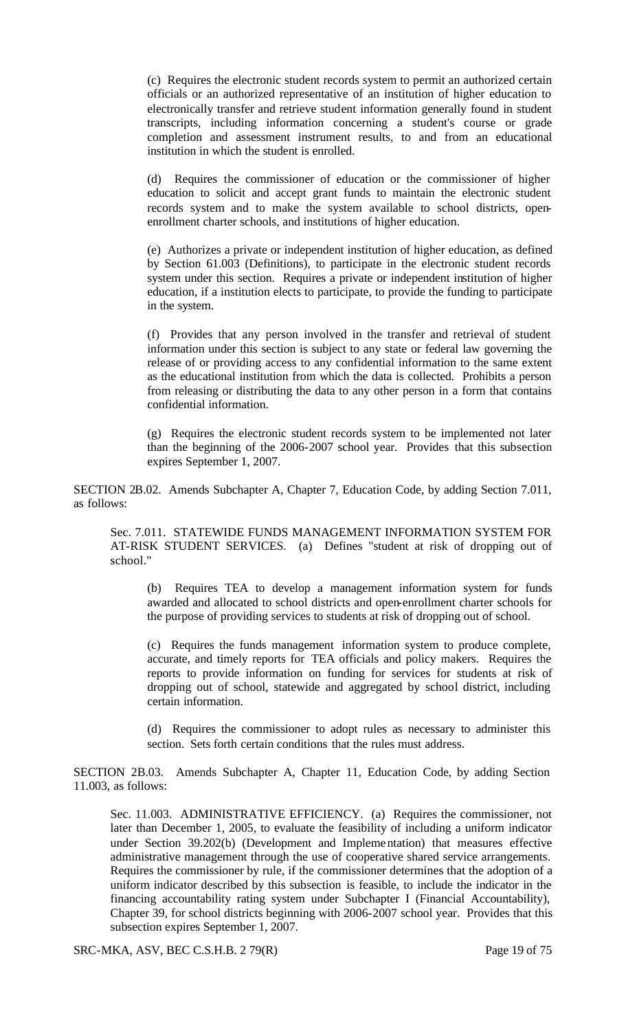(c) Requires the electronic student records system to permit an authorized certain officials or an authorized representative of an institution of higher education to electronically transfer and retrieve student information generally found in student transcripts, including information concerning a student's course or grade completion and assessment instrument results, to and from an educational institution in which the student is enrolled.

(d) Requires the commissioner of education or the commissioner of higher education to solicit and accept grant funds to maintain the electronic student records system and to make the system available to school districts, openenrollment charter schools, and institutions of higher education.

(e) Authorizes a private or independent institution of higher education, as defined by Section 61.003 (Definitions), to participate in the electronic student records system under this section. Requires a private or independent institution of higher education, if a institution elects to participate, to provide the funding to participate in the system.

(f) Provides that any person involved in the transfer and retrieval of student information under this section is subject to any state or federal law governing the release of or providing access to any confidential information to the same extent as the educational institution from which the data is collected. Prohibits a person from releasing or distributing the data to any other person in a form that contains confidential information.

(g) Requires the electronic student records system to be implemented not later than the beginning of the 2006-2007 school year. Provides that this subsection expires September 1, 2007.

SECTION 2B.02. Amends Subchapter A, Chapter 7, Education Code, by adding Section 7.011, as follows:

Sec. 7.011. STATEWIDE FUNDS MANAGEMENT INFORMATION SYSTEM FOR AT-RISK STUDENT SERVICES. (a) Defines "student at risk of dropping out of school."

(b) Requires TEA to develop a management information system for funds awarded and allocated to school districts and open-enrollment charter schools for the purpose of providing services to students at risk of dropping out of school.

(c) Requires the funds management information system to produce complete, accurate, and timely reports for TEA officials and policy makers. Requires the reports to provide information on funding for services for students at risk of dropping out of school, statewide and aggregated by school district, including certain information.

(d) Requires the commissioner to adopt rules as necessary to administer this section. Sets forth certain conditions that the rules must address.

SECTION 2B.03. Amends Subchapter A, Chapter 11, Education Code, by adding Section 11.003, as follows:

Sec. 11.003. ADMINISTRATIVE EFFICIENCY. (a) Requires the commissioner, not later than December 1, 2005, to evaluate the feasibility of including a uniform indicator under Section 39.202(b) (Development and Implementation) that measures effective administrative management through the use of cooperative shared service arrangements. Requires the commissioner by rule, if the commissioner determines that the adoption of a uniform indicator described by this subsection is feasible, to include the indicator in the financing accountability rating system under Subchapter I (Financial Accountability), Chapter 39, for school districts beginning with 2006-2007 school year. Provides that this subsection expires September 1, 2007.

SRC-MKA, ASV, BEC C.S.H.B. 2 79(R) Page 19 of 75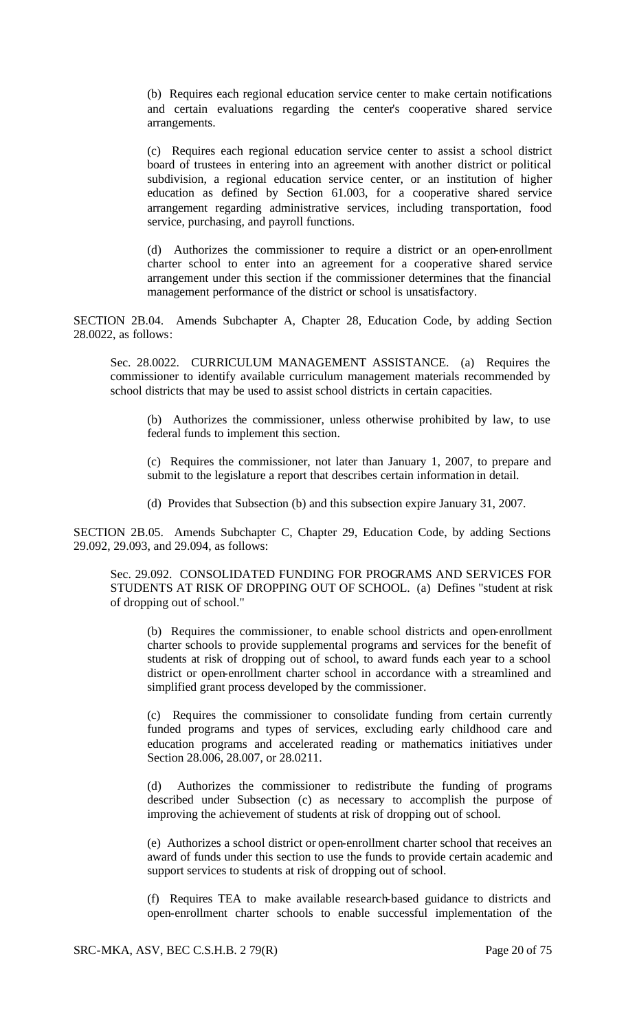(b) Requires each regional education service center to make certain notifications and certain evaluations regarding the center's cooperative shared service arrangements.

(c) Requires each regional education service center to assist a school district board of trustees in entering into an agreement with another district or political subdivision, a regional education service center, or an institution of higher education as defined by Section 61.003, for a cooperative shared service arrangement regarding administrative services, including transportation, food service, purchasing, and payroll functions.

(d) Authorizes the commissioner to require a district or an open-enrollment charter school to enter into an agreement for a cooperative shared service arrangement under this section if the commissioner determines that the financial management performance of the district or school is unsatisfactory.

SECTION 2B.04. Amends Subchapter A, Chapter 28, Education Code, by adding Section 28.0022, as follows:

Sec. 28.0022. CURRICULUM MANAGEMENT ASSISTANCE. (a) Requires the commissioner to identify available curriculum management materials recommended by school districts that may be used to assist school districts in certain capacities.

(b) Authorizes the commissioner, unless otherwise prohibited by law, to use federal funds to implement this section.

(c) Requires the commissioner, not later than January 1, 2007, to prepare and submit to the legislature a report that describes certain information in detail.

(d) Provides that Subsection (b) and this subsection expire January 31, 2007.

SECTION 2B.05. Amends Subchapter C, Chapter 29, Education Code, by adding Sections 29.092, 29.093, and 29.094, as follows:

Sec. 29.092. CONSOLIDATED FUNDING FOR PROGRAMS AND SERVICES FOR STUDENTS AT RISK OF DROPPING OUT OF SCHOOL. (a) Defines "student at risk of dropping out of school."

(b) Requires the commissioner, to enable school districts and open-enrollment charter schools to provide supplemental programs and services for the benefit of students at risk of dropping out of school, to award funds each year to a school district or open-enrollment charter school in accordance with a streamlined and simplified grant process developed by the commissioner.

(c) Requires the commissioner to consolidate funding from certain currently funded programs and types of services, excluding early childhood care and education programs and accelerated reading or mathematics initiatives under Section 28.006, 28.007, or 28.0211.

(d) Authorizes the commissioner to redistribute the funding of programs described under Subsection (c) as necessary to accomplish the purpose of improving the achievement of students at risk of dropping out of school.

(e) Authorizes a school district or open-enrollment charter school that receives an award of funds under this section to use the funds to provide certain academic and support services to students at risk of dropping out of school.

(f) Requires TEA to make available research-based guidance to districts and open-enrollment charter schools to enable successful implementation of the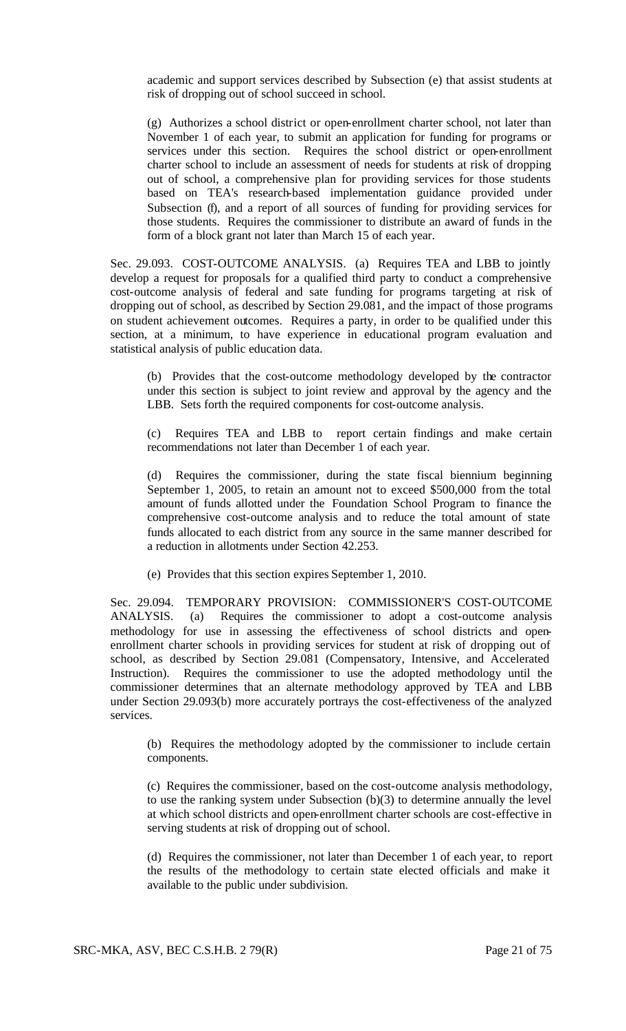academic and support services described by Subsection (e) that assist students at risk of dropping out of school succeed in school.

(g) Authorizes a school district or open-enrollment charter school, not later than November 1 of each year, to submit an application for funding for programs or services under this section. Requires the school district or open-enrollment charter school to include an assessment of needs for students at risk of dropping out of school, a comprehensive plan for providing services for those students based on TEA's research-based implementation guidance provided under Subsection (f), and a report of all sources of funding for providing services for those students. Requires the commissioner to distribute an award of funds in the form of a block grant not later than March 15 of each year.

Sec. 29.093. COST-OUTCOME ANALYSIS. (a) Requires TEA and LBB to jointly develop a request for proposals for a qualified third party to conduct a comprehensive cost-outcome analysis of federal and sate funding for programs targeting at risk of dropping out of school, as described by Section 29.081, and the impact of those programs on student achievement outcomes. Requires a party, in order to be qualified under this section, at a minimum, to have experience in educational program evaluation and statistical analysis of public education data.

(b) Provides that the cost-outcome methodology developed by the contractor under this section is subject to joint review and approval by the agency and the LBB. Sets forth the required components for cost-outcome analysis.

(c) Requires TEA and LBB to report certain findings and make certain recommendations not later than December 1 of each year.

(d) Requires the commissioner, during the state fiscal biennium beginning September 1, 2005, to retain an amount not to exceed \$500,000 from the total amount of funds allotted under the Foundation School Program to finance the comprehensive cost-outcome analysis and to reduce the total amount of state funds allocated to each district from any source in the same manner described for a reduction in allotments under Section 42.253.

(e) Provides that this section expires September 1, 2010.

Sec. 29.094. TEMPORARY PROVISION: COMMISSIONER'S COST-OUTCOME ANALYSIS. (a) Requires the commissioner to adopt a cost-outcome analysis methodology for use in assessing the effectiveness of school districts and openenrollment charter schools in providing services for student at risk of dropping out of school, as described by Section 29.081 (Compensatory, Intensive, and Accelerated Instruction). Requires the commissioner to use the adopted methodology until the commissioner determines that an alternate methodology approved by TEA and LBB under Section 29.093(b) more accurately portrays the cost-effectiveness of the analyzed services.

(b) Requires the methodology adopted by the commissioner to include certain components.

(c) Requires the commissioner, based on the cost-outcome analysis methodology, to use the ranking system under Subsection (b)(3) to determine annually the level at which school districts and open-enrollment charter schools are cost-effective in serving students at risk of dropping out of school.

(d) Requires the commissioner, not later than December 1 of each year, to report the results of the methodology to certain state elected officials and make it available to the public under subdivision.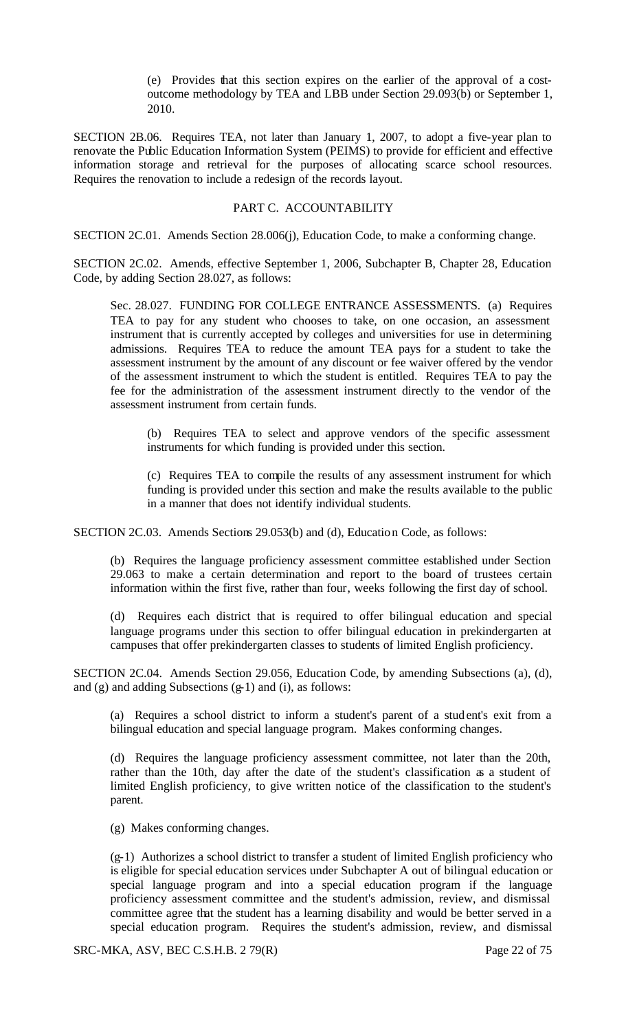(e) Provides that this section expires on the earlier of the approval of a costoutcome methodology by TEA and LBB under Section 29.093(b) or September 1, 2010.

SECTION 2B.06. Requires TEA, not later than January 1, 2007, to adopt a five-year plan to renovate the Public Education Information System (PEIMS) to provide for efficient and effective information storage and retrieval for the purposes of allocating scarce school resources. Requires the renovation to include a redesign of the records layout.

### PART C. ACCOUNTABILITY

SECTION 2C.01. Amends Section 28.006(j), Education Code, to make a conforming change.

SECTION 2C.02. Amends, effective September 1, 2006, Subchapter B, Chapter 28, Education Code, by adding Section 28.027, as follows:

Sec. 28.027. FUNDING FOR COLLEGE ENTRANCE ASSESSMENTS. (a) Requires TEA to pay for any student who chooses to take, on one occasion, an assessment instrument that is currently accepted by colleges and universities for use in determining admissions. Requires TEA to reduce the amount TEA pays for a student to take the assessment instrument by the amount of any discount or fee waiver offered by the vendor of the assessment instrument to which the student is entitled. Requires TEA to pay the fee for the administration of the assessment instrument directly to the vendor of the assessment instrument from certain funds.

(b) Requires TEA to select and approve vendors of the specific assessment instruments for which funding is provided under this section.

(c) Requires TEA to compile the results of any assessment instrument for which funding is provided under this section and make the results available to the public in a manner that does not identify individual students.

SECTION 2C.03. Amends Sections 29.053(b) and (d), Education Code, as follows:

(b) Requires the language proficiency assessment committee established under Section 29.063 to make a certain determination and report to the board of trustees certain information within the first five, rather than four, weeks following the first day of school.

(d) Requires each district that is required to offer bilingual education and special language programs under this section to offer bilingual education in prekindergarten at campuses that offer prekindergarten classes to students of limited English proficiency.

SECTION 2C.04. Amends Section 29.056, Education Code, by amending Subsections (a), (d), and  $(g)$  and adding Subsections  $(g-1)$  and  $(i)$ , as follows:

(a) Requires a school district to inform a student's parent of a student's exit from a bilingual education and special language program. Makes conforming changes.

(d) Requires the language proficiency assessment committee, not later than the 20th, rather than the 10th, day after the date of the student's classification as a student of limited English proficiency, to give written notice of the classification to the student's parent.

(g) Makes conforming changes.

(g-1) Authorizes a school district to transfer a student of limited English proficiency who is eligible for special education services under Subchapter A out of bilingual education or special language program and into a special education program if the language proficiency assessment committee and the student's admission, review, and dismissal committee agree that the student has a learning disability and would be better served in a special education program. Requires the student's admission, review, and dismissal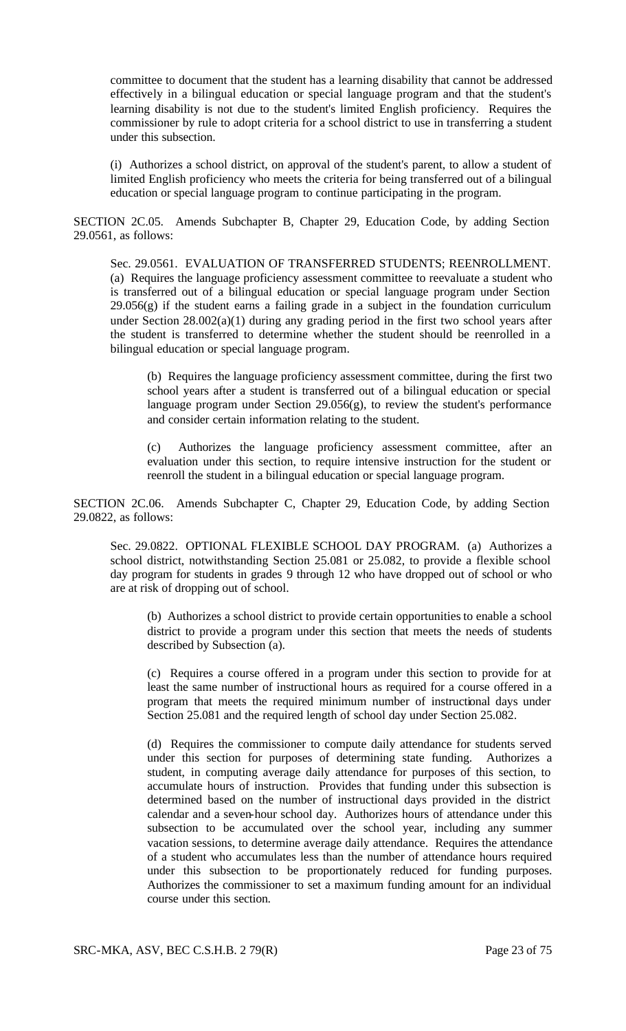committee to document that the student has a learning disability that cannot be addressed effectively in a bilingual education or special language program and that the student's learning disability is not due to the student's limited English proficiency. Requires the commissioner by rule to adopt criteria for a school district to use in transferring a student under this subsection.

(i) Authorizes a school district, on approval of the student's parent, to allow a student of limited English proficiency who meets the criteria for being transferred out of a bilingual education or special language program to continue participating in the program.

SECTION 2C.05. Amends Subchapter B, Chapter 29, Education Code, by adding Section 29.0561, as follows:

Sec. 29.0561. EVALUATION OF TRANSFERRED STUDENTS; REENROLLMENT. (a) Requires the language proficiency assessment committee to reevaluate a student who is transferred out of a bilingual education or special language program under Section  $29.056(g)$  if the student earns a failing grade in a subject in the foundation curriculum under Section 28.002(a)(1) during any grading period in the first two school years after the student is transferred to determine whether the student should be reenrolled in a bilingual education or special language program.

(b) Requires the language proficiency assessment committee, during the first two school years after a student is transferred out of a bilingual education or special language program under Section 29.056(g), to review the student's performance and consider certain information relating to the student.

(c) Authorizes the language proficiency assessment committee, after an evaluation under this section, to require intensive instruction for the student or reenroll the student in a bilingual education or special language program.

SECTION 2C.06. Amends Subchapter C, Chapter 29, Education Code, by adding Section 29.0822, as follows:

Sec. 29.0822. OPTIONAL FLEXIBLE SCHOOL DAY PROGRAM. (a) Authorizes a school district, notwithstanding Section 25.081 or 25.082, to provide a flexible school day program for students in grades 9 through 12 who have dropped out of school or who are at risk of dropping out of school.

(b) Authorizes a school district to provide certain opportunities to enable a school district to provide a program under this section that meets the needs of students described by Subsection (a).

(c) Requires a course offered in a program under this section to provide for at least the same number of instructional hours as required for a course offered in a program that meets the required minimum number of instructional days under Section 25.081 and the required length of school day under Section 25.082.

(d) Requires the commissioner to compute daily attendance for students served under this section for purposes of determining state funding. Authorizes a student, in computing average daily attendance for purposes of this section, to accumulate hours of instruction. Provides that funding under this subsection is determined based on the number of instructional days provided in the district calendar and a seven-hour school day. Authorizes hours of attendance under this subsection to be accumulated over the school year, including any summer vacation sessions, to determine average daily attendance. Requires the attendance of a student who accumulates less than the number of attendance hours required under this subsection to be proportionately reduced for funding purposes. Authorizes the commissioner to set a maximum funding amount for an individual course under this section.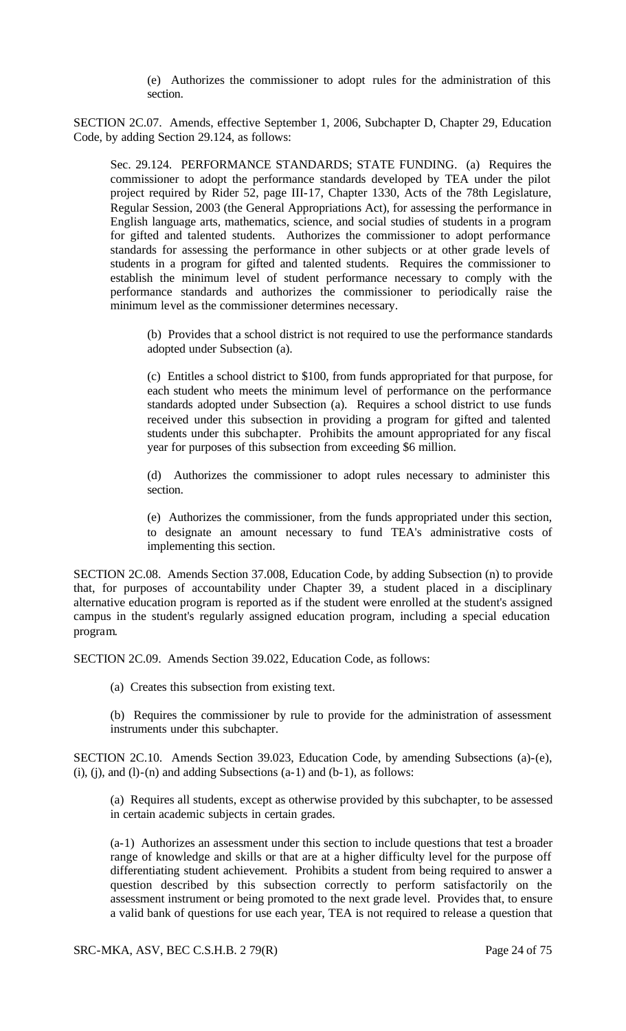(e) Authorizes the commissioner to adopt rules for the administration of this section.

SECTION 2C.07. Amends, effective September 1, 2006, Subchapter D, Chapter 29, Education Code, by adding Section 29.124, as follows:

Sec. 29.124. PERFORMANCE STANDARDS; STATE FUNDING. (a) Requires the commissioner to adopt the performance standards developed by TEA under the pilot project required by Rider 52, page III-17, Chapter 1330, Acts of the 78th Legislature, Regular Session, 2003 (the General Appropriations Act), for assessing the performance in English language arts, mathematics, science, and social studies of students in a program for gifted and talented students. Authorizes the commissioner to adopt performance standards for assessing the performance in other subjects or at other grade levels of students in a program for gifted and talented students. Requires the commissioner to establish the minimum level of student performance necessary to comply with the performance standards and authorizes the commissioner to periodically raise the minimum level as the commissioner determines necessary.

(b) Provides that a school district is not required to use the performance standards adopted under Subsection (a).

(c) Entitles a school district to \$100, from funds appropriated for that purpose, for each student who meets the minimum level of performance on the performance standards adopted under Subsection (a). Requires a school district to use funds received under this subsection in providing a program for gifted and talented students under this subchapter. Prohibits the amount appropriated for any fiscal year for purposes of this subsection from exceeding \$6 million.

(d) Authorizes the commissioner to adopt rules necessary to administer this section.

(e) Authorizes the commissioner, from the funds appropriated under this section, to designate an amount necessary to fund TEA's administrative costs of implementing this section.

SECTION 2C.08. Amends Section 37.008, Education Code, by adding Subsection (n) to provide that, for purposes of accountability under Chapter 39, a student placed in a disciplinary alternative education program is reported as if the student were enrolled at the student's assigned campus in the student's regularly assigned education program, including a special education program.

SECTION 2C.09. Amends Section 39.022, Education Code, as follows:

(a) Creates this subsection from existing text.

(b) Requires the commissioner by rule to provide for the administration of assessment instruments under this subchapter.

SECTION 2C.10. Amends Section 39.023, Education Code, by amending Subsections (a)-(e),  $(i)$ ,  $(i)$ , and  $(l)$ - $(n)$  and adding Subsections  $(a-1)$  and  $(b-1)$ , as follows:

(a) Requires all students, except as otherwise provided by this subchapter, to be assessed in certain academic subjects in certain grades.

(a-1) Authorizes an assessment under this section to include questions that test a broader range of knowledge and skills or that are at a higher difficulty level for the purpose off differentiating student achievement. Prohibits a student from being required to answer a question described by this subsection correctly to perform satisfactorily on the assessment instrument or being promoted to the next grade level. Provides that, to ensure a valid bank of questions for use each year, TEA is not required to release a question that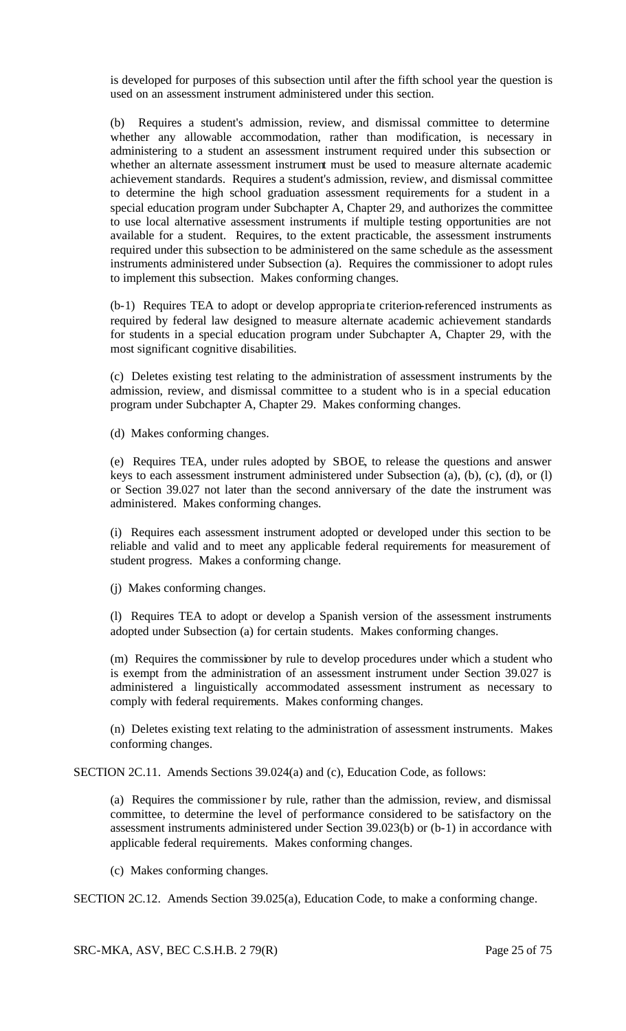is developed for purposes of this subsection until after the fifth school year the question is used on an assessment instrument administered under this section.

(b) Requires a student's admission, review, and dismissal committee to determine whether any allowable accommodation, rather than modification, is necessary in administering to a student an assessment instrument required under this subsection or whether an alternate assessment instrument must be used to measure alternate academic achievement standards. Requires a student's admission, review, and dismissal committee to determine the high school graduation assessment requirements for a student in a special education program under Subchapter A, Chapter 29, and authorizes the committee to use local alternative assessment instruments if multiple testing opportunities are not available for a student. Requires, to the extent practicable, the assessment instruments required under this subsection to be administered on the same schedule as the assessment instruments administered under Subsection (a). Requires the commissioner to adopt rules to implement this subsection. Makes conforming changes.

(b-1) Requires TEA to adopt or develop appropria te criterion-referenced instruments as required by federal law designed to measure alternate academic achievement standards for students in a special education program under Subchapter A, Chapter 29, with the most significant cognitive disabilities.

(c) Deletes existing test relating to the administration of assessment instruments by the admission, review, and dismissal committee to a student who is in a special education program under Subchapter A, Chapter 29. Makes conforming changes.

(d) Makes conforming changes.

(e) Requires TEA, under rules adopted by SBOE, to release the questions and answer keys to each assessment instrument administered under Subsection (a), (b), (c), (d), or (l) or Section 39.027 not later than the second anniversary of the date the instrument was administered. Makes conforming changes.

(i) Requires each assessment instrument adopted or developed under this section to be reliable and valid and to meet any applicable federal requirements for measurement of student progress. Makes a conforming change.

(j) Makes conforming changes.

(l) Requires TEA to adopt or develop a Spanish version of the assessment instruments adopted under Subsection (a) for certain students. Makes conforming changes.

(m) Requires the commissioner by rule to develop procedures under which a student who is exempt from the administration of an assessment instrument under Section 39.027 is administered a linguistically accommodated assessment instrument as necessary to comply with federal requirements. Makes conforming changes.

(n) Deletes existing text relating to the administration of assessment instruments. Makes conforming changes.

SECTION 2C.11. Amends Sections 39.024(a) and (c), Education Code, as follows:

(a) Requires the commissione r by rule, rather than the admission, review, and dismissal committee, to determine the level of performance considered to be satisfactory on the assessment instruments administered under Section 39.023(b) or (b-1) in accordance with applicable federal requirements. Makes conforming changes.

(c) Makes conforming changes.

SECTION 2C.12. Amends Section 39.025(a), Education Code, to make a conforming change.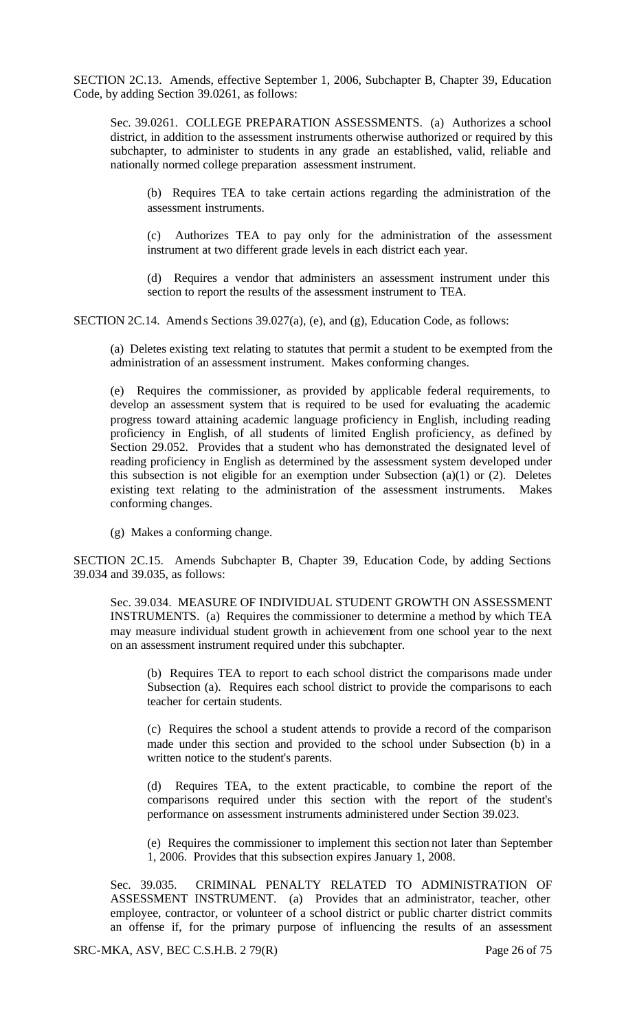SECTION 2C.13. Amends, effective September 1, 2006, Subchapter B, Chapter 39, Education Code, by adding Section 39.0261, as follows:

Sec. 39.0261. COLLEGE PREPARATION ASSESSMENTS. (a) Authorizes a school district, in addition to the assessment instruments otherwise authorized or required by this subchapter, to administer to students in any grade an established, valid, reliable and nationally normed college preparation assessment instrument.

(b) Requires TEA to take certain actions regarding the administration of the assessment instruments.

(c) Authorizes TEA to pay only for the administration of the assessment instrument at two different grade levels in each district each year.

(d) Requires a vendor that administers an assessment instrument under this section to report the results of the assessment instrument to TEA.

SECTION 2C.14. Amends Sections 39.027(a), (e), and (g), Education Code, as follows:

(a) Deletes existing text relating to statutes that permit a student to be exempted from the administration of an assessment instrument. Makes conforming changes.

(e) Requires the commissioner, as provided by applicable federal requirements, to develop an assessment system that is required to be used for evaluating the academic progress toward attaining academic language proficiency in English, including reading proficiency in English, of all students of limited English proficiency, as defined by Section 29.052. Provides that a student who has demonstrated the designated level of reading proficiency in English as determined by the assessment system developed under this subsection is not eligible for an exemption under Subsection  $(a)(1)$  or  $(2)$ . Deletes existing text relating to the administration of the assessment instruments. Makes conforming changes.

(g) Makes a conforming change.

SECTION 2C.15. Amends Subchapter B, Chapter 39, Education Code, by adding Sections 39.034 and 39.035, as follows:

Sec. 39.034. MEASURE OF INDIVIDUAL STUDENT GROWTH ON ASSESSMENT INSTRUMENTS. (a) Requires the commissioner to determine a method by which TEA may measure individual student growth in achievement from one school year to the next on an assessment instrument required under this subchapter.

(b) Requires TEA to report to each school district the comparisons made under Subsection (a). Requires each school district to provide the comparisons to each teacher for certain students.

(c) Requires the school a student attends to provide a record of the comparison made under this section and provided to the school under Subsection (b) in a written notice to the student's parents.

(d) Requires TEA, to the extent practicable, to combine the report of the comparisons required under this section with the report of the student's performance on assessment instruments administered under Section 39.023.

(e) Requires the commissioner to implement this section not later than September 1, 2006. Provides that this subsection expires January 1, 2008.

Sec. 39.035. CRIMINAL PENALTY RELATED TO ADMINISTRATION OF ASSESSMENT INSTRUMENT. (a) Provides that an administrator, teacher, other employee, contractor, or volunteer of a school district or public charter district commits an offense if, for the primary purpose of influencing the results of an assessment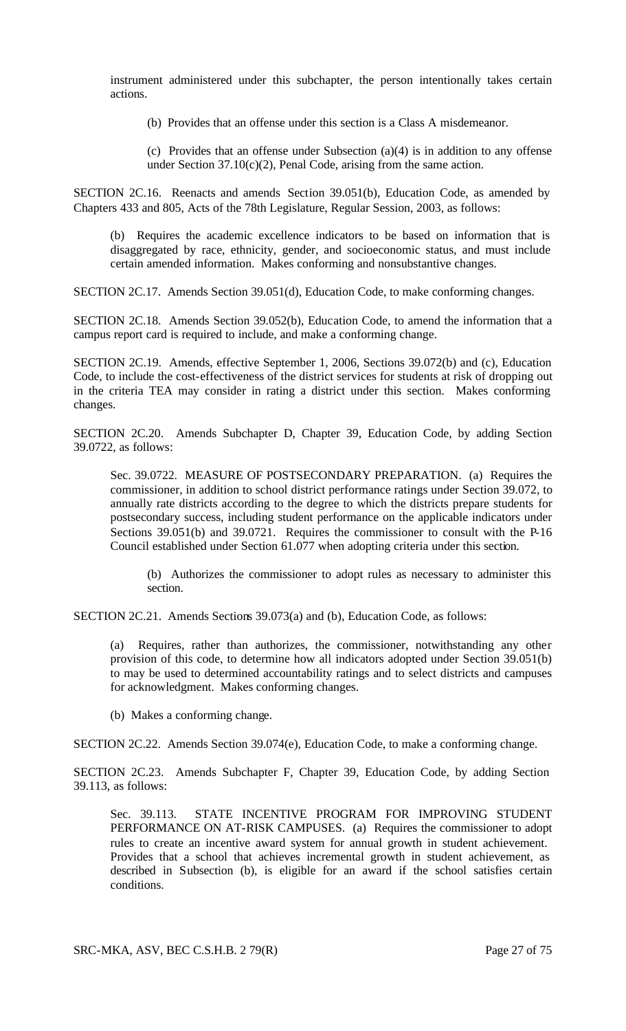instrument administered under this subchapter, the person intentionally takes certain actions.

(b) Provides that an offense under this section is a Class A misdemeanor.

(c) Provides that an offense under Subsection  $(a)(4)$  is in addition to any offense under Section  $37.10(c)(2)$ , Penal Code, arising from the same action.

SECTION 2C.16. Reenacts and amends Section 39.051(b), Education Code, as amended by Chapters 433 and 805, Acts of the 78th Legislature, Regular Session, 2003, as follows:

(b) Requires the academic excellence indicators to be based on information that is disaggregated by race, ethnicity, gender, and socioeconomic status, and must include certain amended information. Makes conforming and nonsubstantive changes.

SECTION 2C.17. Amends Section 39.051(d), Education Code, to make conforming changes.

SECTION 2C.18. Amends Section 39.052(b), Education Code, to amend the information that a campus report card is required to include, and make a conforming change.

SECTION 2C.19. Amends, effective September 1, 2006, Sections 39.072(b) and (c), Education Code, to include the cost-effectiveness of the district services for students at risk of dropping out in the criteria TEA may consider in rating a district under this section. Makes conforming changes.

SECTION 2C.20. Amends Subchapter D, Chapter 39, Education Code, by adding Section 39.0722, as follows:

Sec. 39.0722. MEASURE OF POSTSECONDARY PREPARATION. (a) Requires the commissioner, in addition to school district performance ratings under Section 39.072, to annually rate districts according to the degree to which the districts prepare students for postsecondary success, including student performance on the applicable indicators under Sections 39.051(b) and 39.0721. Requires the commissioner to consult with the P-16 Council established under Section 61.077 when adopting criteria under this section.

(b) Authorizes the commissioner to adopt rules as necessary to administer this section.

SECTION 2C.21. Amends Sections 39.073(a) and (b), Education Code, as follows:

(a) Requires, rather than authorizes, the commissioner, notwithstanding any other provision of this code, to determine how all indicators adopted under Section 39.051(b) to may be used to determined accountability ratings and to select districts and campuses for acknowledgment. Makes conforming changes.

(b) Makes a conforming change.

SECTION 2C.22. Amends Section 39.074(e), Education Code, to make a conforming change.

SECTION 2C.23. Amends Subchapter F, Chapter 39, Education Code, by adding Section 39.113, as follows:

Sec. 39.113. STATE INCENTIVE PROGRAM FOR IMPROVING STUDENT PERFORMANCE ON AT-RISK CAMPUSES. (a) Requires the commissioner to adopt rules to create an incentive award system for annual growth in student achievement. Provides that a school that achieves incremental growth in student achievement, as described in Subsection (b), is eligible for an award if the school satisfies certain conditions.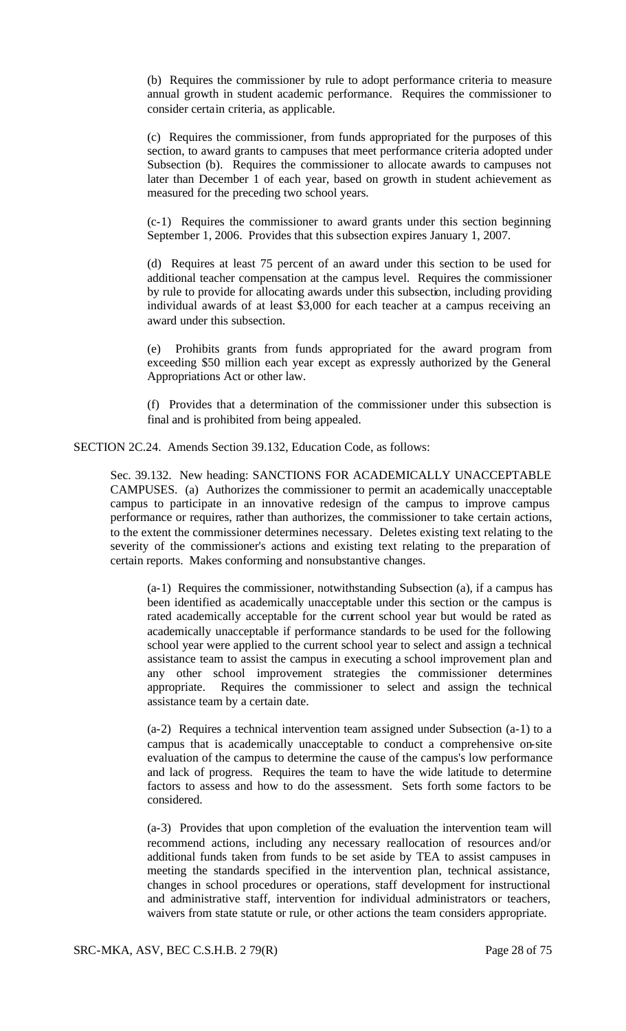(b) Requires the commissioner by rule to adopt performance criteria to measure annual growth in student academic performance. Requires the commissioner to consider certain criteria, as applicable.

(c) Requires the commissioner, from funds appropriated for the purposes of this section, to award grants to campuses that meet performance criteria adopted under Subsection (b). Requires the commissioner to allocate awards to campuses not later than December 1 of each year, based on growth in student achievement as measured for the preceding two school years.

(c-1) Requires the commissioner to award grants under this section beginning September 1, 2006. Provides that this subsection expires January 1, 2007.

(d) Requires at least 75 percent of an award under this section to be used for additional teacher compensation at the campus level. Requires the commissioner by rule to provide for allocating awards under this subsection, including providing individual awards of at least \$3,000 for each teacher at a campus receiving an award under this subsection.

(e) Prohibits grants from funds appropriated for the award program from exceeding \$50 million each year except as expressly authorized by the General Appropriations Act or other law.

(f) Provides that a determination of the commissioner under this subsection is final and is prohibited from being appealed.

SECTION 2C.24. Amends Section 39.132, Education Code, as follows:

Sec. 39.132. New heading: SANCTIONS FOR ACADEMICALLY UNACCEPTABLE CAMPUSES. (a) Authorizes the commissioner to permit an academically unacceptable campus to participate in an innovative redesign of the campus to improve campus performance or requires, rather than authorizes, the commissioner to take certain actions, to the extent the commissioner determines necessary. Deletes existing text relating to the severity of the commissioner's actions and existing text relating to the preparation of certain reports. Makes conforming and nonsubstantive changes.

(a-1) Requires the commissioner, notwithstanding Subsection (a), if a campus has been identified as academically unacceptable under this section or the campus is rated academically acceptable for the current school year but would be rated as academically unacceptable if performance standards to be used for the following school year were applied to the current school year to select and assign a technical assistance team to assist the campus in executing a school improvement plan and any other school improvement strategies the commissioner determines appropriate. Requires the commissioner to select and assign the technical assistance team by a certain date.

(a-2) Requires a technical intervention team assigned under Subsection (a-1) to a campus that is academically unacceptable to conduct a comprehensive on-site evaluation of the campus to determine the cause of the campus's low performance and lack of progress. Requires the team to have the wide latitude to determine factors to assess and how to do the assessment. Sets forth some factors to be considered.

(a-3) Provides that upon completion of the evaluation the intervention team will recommend actions, including any necessary reallocation of resources and/or additional funds taken from funds to be set aside by TEA to assist campuses in meeting the standards specified in the intervention plan, technical assistance, changes in school procedures or operations, staff development for instructional and administrative staff, intervention for individual administrators or teachers, waivers from state statute or rule, or other actions the team considers appropriate.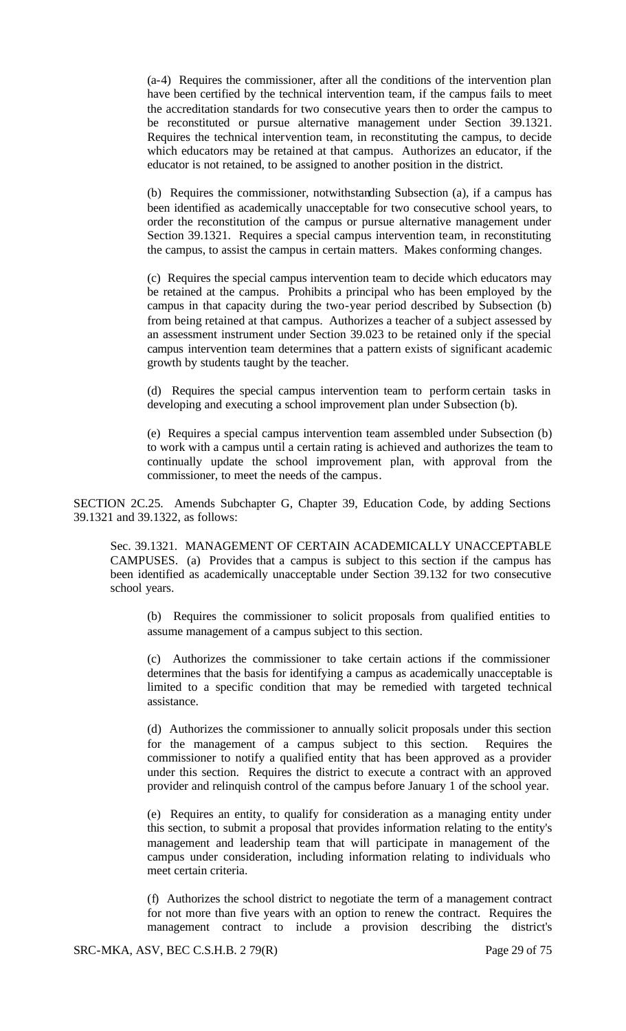(a-4) Requires the commissioner, after all the conditions of the intervention plan have been certified by the technical intervention team, if the campus fails to meet the accreditation standards for two consecutive years then to order the campus to be reconstituted or pursue alternative management under Section 39.1321. Requires the technical intervention team, in reconstituting the campus, to decide which educators may be retained at that campus. Authorizes an educator, if the educator is not retained, to be assigned to another position in the district.

(b) Requires the commissioner, notwithstanding Subsection (a), if a campus has been identified as academically unacceptable for two consecutive school years, to order the reconstitution of the campus or pursue alternative management under Section 39.1321. Requires a special campus intervention team, in reconstituting the campus, to assist the campus in certain matters. Makes conforming changes.

(c) Requires the special campus intervention team to decide which educators may be retained at the campus. Prohibits a principal who has been employed by the campus in that capacity during the two-year period described by Subsection (b) from being retained at that campus. Authorizes a teacher of a subject assessed by an assessment instrument under Section 39.023 to be retained only if the special campus intervention team determines that a pattern exists of significant academic growth by students taught by the teacher.

(d) Requires the special campus intervention team to perform certain tasks in developing and executing a school improvement plan under Subsection (b).

(e) Requires a special campus intervention team assembled under Subsection (b) to work with a campus until a certain rating is achieved and authorizes the team to continually update the school improvement plan, with approval from the commissioner, to meet the needs of the campus.

SECTION 2C.25. Amends Subchapter G, Chapter 39, Education Code, by adding Sections 39.1321 and 39.1322, as follows:

Sec. 39.1321. MANAGEMENT OF CERTAIN ACADEMICALLY UNACCEPTABLE CAMPUSES. (a) Provides that a campus is subject to this section if the campus has been identified as academically unacceptable under Section 39.132 for two consecutive school years.

(b) Requires the commissioner to solicit proposals from qualified entities to assume management of a campus subject to this section.

(c) Authorizes the commissioner to take certain actions if the commissioner determines that the basis for identifying a campus as academically unacceptable is limited to a specific condition that may be remedied with targeted technical assistance.

(d) Authorizes the commissioner to annually solicit proposals under this section for the management of a campus subject to this section. Requires the commissioner to notify a qualified entity that has been approved as a provider under this section. Requires the district to execute a contract with an approved provider and relinquish control of the campus before January 1 of the school year.

(e) Requires an entity, to qualify for consideration as a managing entity under this section, to submit a proposal that provides information relating to the entity's management and leadership team that will participate in management of the campus under consideration, including information relating to individuals who meet certain criteria.

(f) Authorizes the school district to negotiate the term of a management contract for not more than five years with an option to renew the contract. Requires the management contract to include a provision describing the district's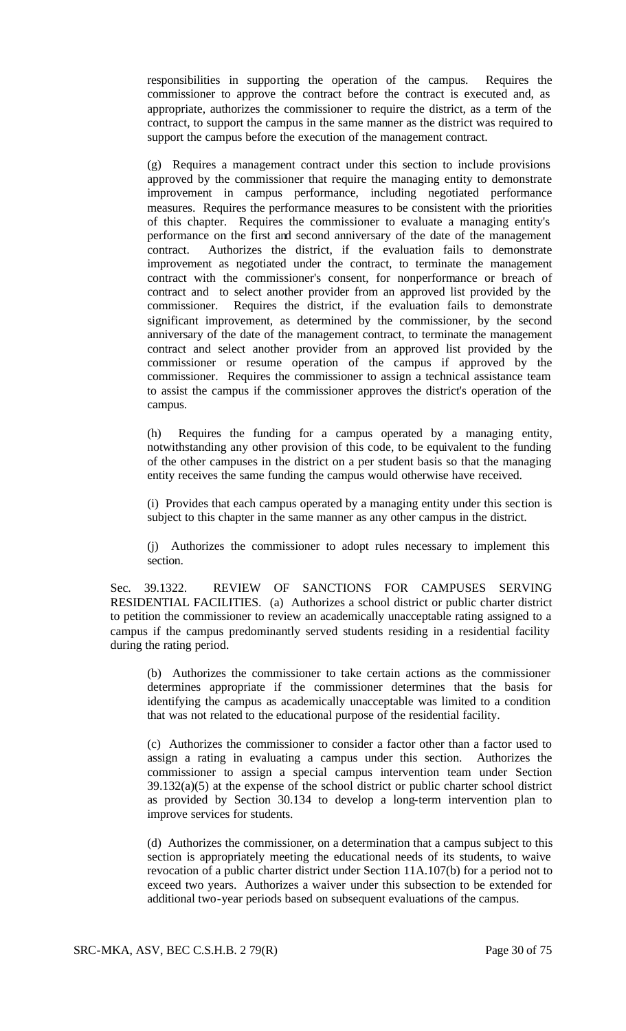responsibilities in supporting the operation of the campus. Requires the commissioner to approve the contract before the contract is executed and, as appropriate, authorizes the commissioner to require the district, as a term of the contract, to support the campus in the same manner as the district was required to support the campus before the execution of the management contract.

(g) Requires a management contract under this section to include provisions approved by the commissioner that require the managing entity to demonstrate improvement in campus performance, including negotiated performance measures. Requires the performance measures to be consistent with the priorities of this chapter. Requires the commissioner to evaluate a managing entity's performance on the first and second anniversary of the date of the management contract. Authorizes the district, if the evaluation fails to demonstrate improvement as negotiated under the contract, to terminate the management contract with the commissioner's consent, for nonperformance or breach of contract and to select another provider from an approved list provided by the commissioner. Requires the district, if the evaluation fails to demonstrate significant improvement, as determined by the commissioner, by the second anniversary of the date of the management contract, to terminate the management contract and select another provider from an approved list provided by the commissioner or resume operation of the campus if approved by the commissioner. Requires the commissioner to assign a technical assistance team to assist the campus if the commissioner approves the district's operation of the campus.

(h) Requires the funding for a campus operated by a managing entity, notwithstanding any other provision of this code, to be equivalent to the funding of the other campuses in the district on a per student basis so that the managing entity receives the same funding the campus would otherwise have received.

(i) Provides that each campus operated by a managing entity under this section is subject to this chapter in the same manner as any other campus in the district.

(j) Authorizes the commissioner to adopt rules necessary to implement this section.

Sec. 39.1322. REVIEW OF SANCTIONS FOR CAMPUSES SERVING RESIDENTIAL FACILITIES. (a) Authorizes a school district or public charter district to petition the commissioner to review an academically unacceptable rating assigned to a campus if the campus predominantly served students residing in a residential facility during the rating period.

(b) Authorizes the commissioner to take certain actions as the commissioner determines appropriate if the commissioner determines that the basis for identifying the campus as academically unacceptable was limited to a condition that was not related to the educational purpose of the residential facility.

(c) Authorizes the commissioner to consider a factor other than a factor used to assign a rating in evaluating a campus under this section. Authorizes the commissioner to assign a special campus intervention team under Section 39.132(a)(5) at the expense of the school district or public charter school district as provided by Section 30.134 to develop a long-term intervention plan to improve services for students.

(d) Authorizes the commissioner, on a determination that a campus subject to this section is appropriately meeting the educational needs of its students, to waive revocation of a public charter district under Section 11A.107(b) for a period not to exceed two years. Authorizes a waiver under this subsection to be extended for additional two-year periods based on subsequent evaluations of the campus.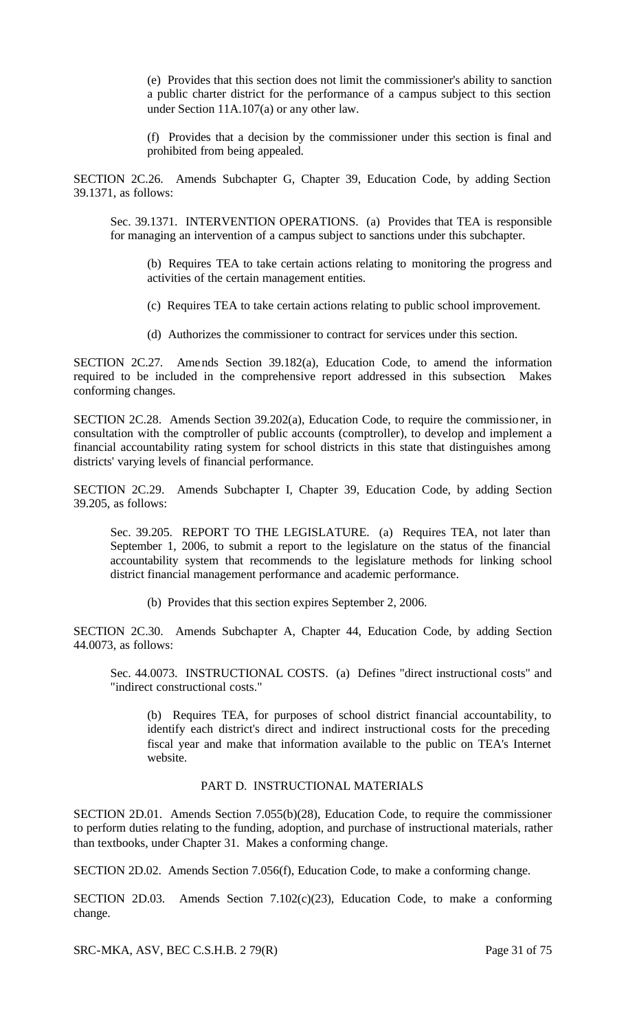(e) Provides that this section does not limit the commissioner's ability to sanction a public charter district for the performance of a campus subject to this section under Section 11A.107(a) or any other law.

(f) Provides that a decision by the commissioner under this section is final and prohibited from being appealed.

SECTION 2C.26. Amends Subchapter G, Chapter 39, Education Code, by adding Section 39.1371, as follows:

Sec. 39.1371. INTERVENTION OPERATIONS. (a) Provides that TEA is responsible for managing an intervention of a campus subject to sanctions under this subchapter.

(b) Requires TEA to take certain actions relating to monitoring the progress and activities of the certain management entities.

(c) Requires TEA to take certain actions relating to public school improvement.

(d) Authorizes the commissioner to contract for services under this section.

SECTION 2C.27. Amends Section 39.182(a), Education Code, to amend the information required to be included in the comprehensive report addressed in this subsection. Makes conforming changes.

SECTION 2C.28. Amends Section 39.202(a), Education Code, to require the commissioner, in consultation with the comptroller of public accounts (comptroller), to develop and implement a financial accountability rating system for school districts in this state that distinguishes among districts' varying levels of financial performance.

SECTION 2C.29. Amends Subchapter I, Chapter 39, Education Code, by adding Section 39.205, as follows:

Sec. 39.205. REPORT TO THE LEGISLATURE. (a) Requires TEA, not later than September 1, 2006, to submit a report to the legislature on the status of the financial accountability system that recommends to the legislature methods for linking school district financial management performance and academic performance.

(b) Provides that this section expires September 2, 2006.

SECTION 2C.30. Amends Subchapter A, Chapter 44, Education Code, by adding Section 44.0073, as follows:

Sec. 44.0073. INSTRUCTIONAL COSTS. (a) Defines "direct instructional costs" and "indirect constructional costs."

(b) Requires TEA, for purposes of school district financial accountability, to identify each district's direct and indirect instructional costs for the preceding fiscal year and make that information available to the public on TEA's Internet website.

# PART D. INSTRUCTIONAL MATERIALS

SECTION 2D.01. Amends Section 7.055(b)(28), Education Code, to require the commissioner to perform duties relating to the funding, adoption, and purchase of instructional materials, rather than textbooks, under Chapter 31. Makes a conforming change.

SECTION 2D.02. Amends Section 7.056(f), Education Code, to make a conforming change.

SECTION 2D.03. Amends Section 7.102(c)(23), Education Code, to make a conforming change.

SRC-MKA, ASV, BEC C.S.H.B. 2 79(R) Page 31 of 75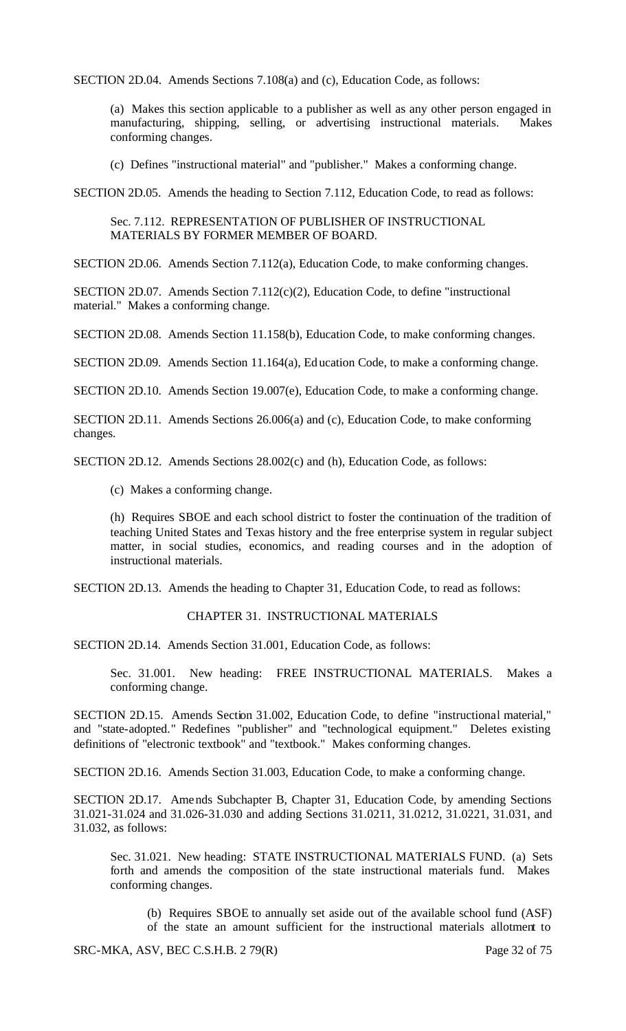SECTION 2D.04. Amends Sections 7.108(a) and (c), Education Code, as follows:

(a) Makes this section applicable to a publisher as well as any other person engaged in manufacturing, shipping, selling, or advertising instructional materials. Makes conforming changes.

(c) Defines "instructional material" and "publisher." Makes a conforming change.

SECTION 2D.05. Amends the heading to Section 7.112, Education Code, to read as follows:

Sec. 7.112. REPRESENTATION OF PUBLISHER OF INSTRUCTIONAL MATERIALS BY FORMER MEMBER OF BOARD.

SECTION 2D.06. Amends Section 7.112(a), Education Code, to make conforming changes.

SECTION 2D.07. Amends Section 7.112(c)(2), Education Code, to define "instructional material." Makes a conforming change.

SECTION 2D.08. Amends Section 11.158(b), Education Code, to make conforming changes.

SECTION 2D.09. Amends Section 11.164(a), Education Code, to make a conforming change.

SECTION 2D.10. Amends Section 19.007(e), Education Code, to make a conforming change.

SECTION 2D.11. Amends Sections 26.006(a) and (c), Education Code, to make conforming changes.

SECTION 2D.12. Amends Sections 28.002(c) and (h), Education Code, as follows:

(c) Makes a conforming change.

(h) Requires SBOE and each school district to foster the continuation of the tradition of teaching United States and Texas history and the free enterprise system in regular subject matter, in social studies, economics, and reading courses and in the adoption of instructional materials.

SECTION 2D.13. Amends the heading to Chapter 31, Education Code, to read as follows:

#### CHAPTER 31. INSTRUCTIONAL MATERIALS

SECTION 2D.14. Amends Section 31.001, Education Code, as follows:

Sec. 31.001. New heading: FREE INSTRUCTIONAL MATERIALS. Makes a conforming change.

SECTION 2D.15. Amends Section 31.002, Education Code, to define "instructional material," and "state-adopted." Redefines "publisher" and "technological equipment." Deletes existing definitions of "electronic textbook" and "textbook." Makes conforming changes.

SECTION 2D.16. Amends Section 31.003, Education Code, to make a conforming change.

SECTION 2D.17. Amends Subchapter B, Chapter 31, Education Code, by amending Sections 31.021-31.024 and 31.026-31.030 and adding Sections 31.0211, 31.0212, 31.0221, 31.031, and 31.032, as follows:

Sec. 31.021. New heading: STATE INSTRUCTIONAL MATERIALS FUND. (a) Sets forth and amends the composition of the state instructional materials fund. Makes conforming changes.

(b) Requires SBOE to annually set aside out of the available school fund (ASF) of the state an amount sufficient for the instructional materials allotment to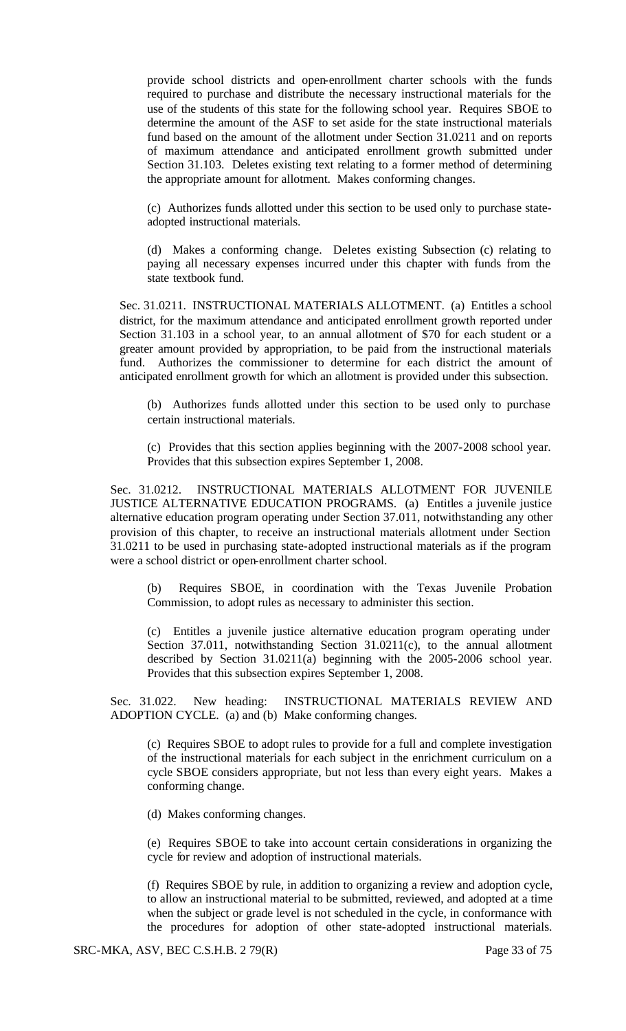provide school districts and open-enrollment charter schools with the funds required to purchase and distribute the necessary instructional materials for the use of the students of this state for the following school year. Requires SBOE to determine the amount of the ASF to set aside for the state instructional materials fund based on the amount of the allotment under Section 31.0211 and on reports of maximum attendance and anticipated enrollment growth submitted under Section 31.103. Deletes existing text relating to a former method of determining the appropriate amount for allotment. Makes conforming changes.

(c) Authorizes funds allotted under this section to be used only to purchase stateadopted instructional materials.

(d) Makes a conforming change. Deletes existing Subsection (c) relating to paying all necessary expenses incurred under this chapter with funds from the state textbook fund.

Sec. 31.0211. INSTRUCTIONAL MATERIALS ALLOTMENT. (a) Entitles a school district, for the maximum attendance and anticipated enrollment growth reported under Section 31.103 in a school year, to an annual allotment of \$70 for each student or a greater amount provided by appropriation, to be paid from the instructional materials fund. Authorizes the commissioner to determine for each district the amount of anticipated enrollment growth for which an allotment is provided under this subsection.

(b) Authorizes funds allotted under this section to be used only to purchase certain instructional materials.

(c) Provides that this section applies beginning with the 2007-2008 school year. Provides that this subsection expires September 1, 2008.

Sec. 31.0212. INSTRUCTIONAL MATERIALS ALLOTMENT FOR JUVENILE JUSTICE ALTERNATIVE EDUCATION PROGRAMS. (a) Entitles a juvenile justice alternative education program operating under Section 37.011, notwithstanding any other provision of this chapter, to receive an instructional materials allotment under Section 31.0211 to be used in purchasing state-adopted instructional materials as if the program were a school district or open-enrollment charter school.

(b) Requires SBOE, in coordination with the Texas Juvenile Probation Commission, to adopt rules as necessary to administer this section.

(c) Entitles a juvenile justice alternative education program operating under Section 37.011, notwithstanding Section 31.0211(c), to the annual allotment described by Section 31.0211(a) beginning with the 2005-2006 school year. Provides that this subsection expires September 1, 2008.

Sec. 31.022. New heading: INSTRUCTIONAL MATERIALS REVIEW AND ADOPTION CYCLE. (a) and (b) Make conforming changes.

(c) Requires SBOE to adopt rules to provide for a full and complete investigation of the instructional materials for each subject in the enrichment curriculum on a cycle SBOE considers appropriate, but not less than every eight years. Makes a conforming change.

(d) Makes conforming changes.

(e) Requires SBOE to take into account certain considerations in organizing the cycle for review and adoption of instructional materials.

(f) Requires SBOE by rule, in addition to organizing a review and adoption cycle, to allow an instructional material to be submitted, reviewed, and adopted at a time when the subject or grade level is not scheduled in the cycle, in conformance with the procedures for adoption of other state-adopted instructional materials.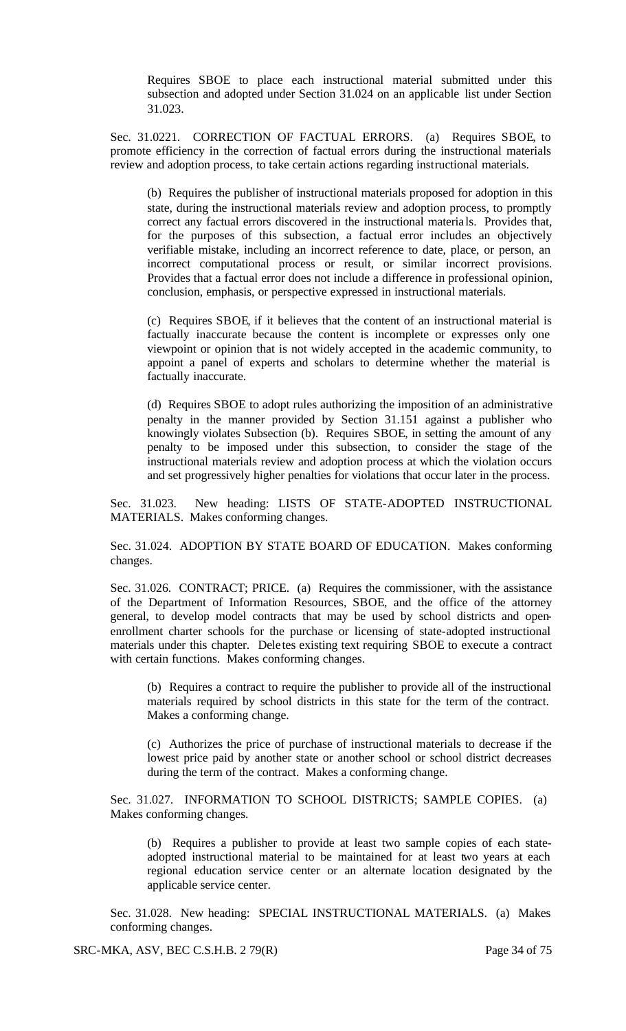Requires SBOE to place each instructional material submitted under this subsection and adopted under Section 31.024 on an applicable list under Section 31.023.

Sec. 31.0221. CORRECTION OF FACTUAL ERRORS. (a) Requires SBOE, to promote efficiency in the correction of factual errors during the instructional materials review and adoption process, to take certain actions regarding instructional materials.

(b) Requires the publisher of instructional materials proposed for adoption in this state, during the instructional materials review and adoption process, to promptly correct any factual errors discovered in the instructional materia ls. Provides that, for the purposes of this subsection, a factual error includes an objectively verifiable mistake, including an incorrect reference to date, place, or person, an incorrect computational process or result, or similar incorrect provisions. Provides that a factual error does not include a difference in professional opinion, conclusion, emphasis, or perspective expressed in instructional materials.

(c) Requires SBOE, if it believes that the content of an instructional material is factually inaccurate because the content is incomplete or expresses only one viewpoint or opinion that is not widely accepted in the academic community, to appoint a panel of experts and scholars to determine whether the material is factually inaccurate.

(d) Requires SBOE to adopt rules authorizing the imposition of an administrative penalty in the manner provided by Section 31.151 against a publisher who knowingly violates Subsection (b). Requires SBOE, in setting the amount of any penalty to be imposed under this subsection, to consider the stage of the instructional materials review and adoption process at which the violation occurs and set progressively higher penalties for violations that occur later in the process.

Sec. 31.023. New heading: LISTS OF STATE-ADOPTED INSTRUCTIONAL MATERIALS. Makes conforming changes.

Sec. 31.024. ADOPTION BY STATE BOARD OF EDUCATION. Makes conforming changes.

Sec. 31.026. CONTRACT; PRICE. (a) Requires the commissioner, with the assistance of the Department of Information Resources, SBOE, and the office of the attorney general, to develop model contracts that may be used by school districts and openenrollment charter schools for the purchase or licensing of state-adopted instructional materials under this chapter. Dele tes existing text requiring SBOE to execute a contract with certain functions. Makes conforming changes.

(b) Requires a contract to require the publisher to provide all of the instructional materials required by school districts in this state for the term of the contract. Makes a conforming change.

(c) Authorizes the price of purchase of instructional materials to decrease if the lowest price paid by another state or another school or school district decreases during the term of the contract. Makes a conforming change.

Sec. 31.027. INFORMATION TO SCHOOL DISTRICTS; SAMPLE COPIES. (a) Makes conforming changes.

(b) Requires a publisher to provide at least two sample copies of each stateadopted instructional material to be maintained for at least two years at each regional education service center or an alternate location designated by the applicable service center.

Sec. 31.028. New heading: SPECIAL INSTRUCTIONAL MATERIALS. (a) Makes conforming changes.

SRC-MKA, ASV, BEC C.S.H.B. 2 79(R) Page 34 of 75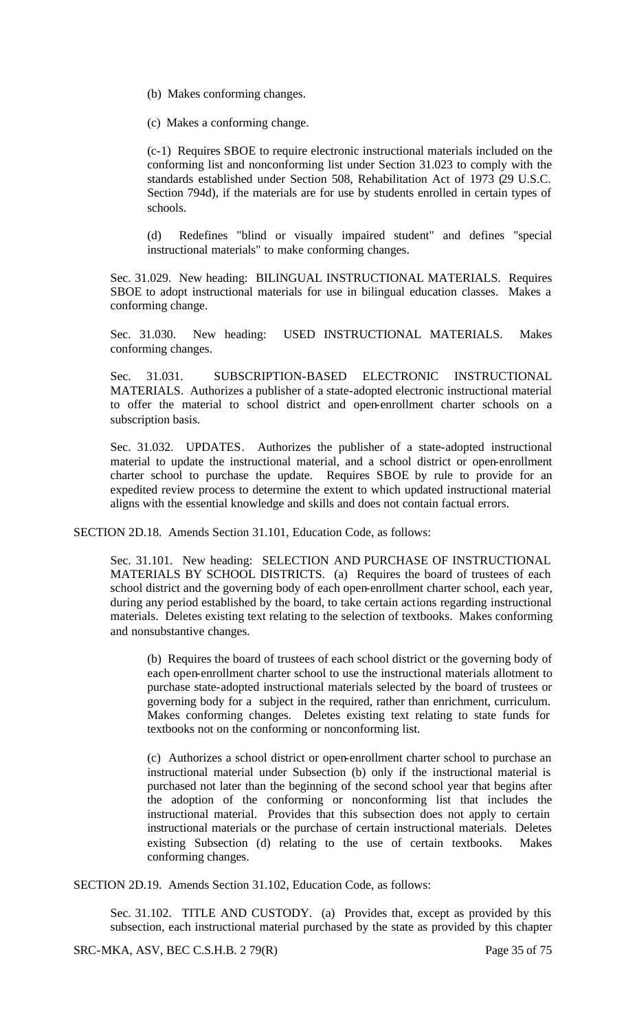- (b) Makes conforming changes.
- (c) Makes a conforming change.

(c-1) Requires SBOE to require electronic instructional materials included on the conforming list and nonconforming list under Section 31.023 to comply with the standards established under Section 508, Rehabilitation Act of 1973 (29 U.S.C. Section 794d), if the materials are for use by students enrolled in certain types of schools.

(d) Redefines "blind or visually impaired student" and defines "special instructional materials" to make conforming changes.

Sec. 31.029. New heading: BILINGUAL INSTRUCTIONAL MATERIALS. Requires SBOE to adopt instructional materials for use in bilingual education classes. Makes a conforming change.

Sec. 31.030. New heading: USED INSTRUCTIONAL MATERIALS. Makes conforming changes.

Sec. 31.031. SUBSCRIPTION-BASED ELECTRONIC INSTRUCTIONAL MATERIALS. Authorizes a publisher of a state-adopted electronic instructional material to offer the material to school district and open-enrollment charter schools on a subscription basis.

Sec. 31.032. UPDATES. Authorizes the publisher of a state-adopted instructional material to update the instructional material, and a school district or open-enrollment charter school to purchase the update. Requires SBOE by rule to provide for an expedited review process to determine the extent to which updated instructional material aligns with the essential knowledge and skills and does not contain factual errors.

SECTION 2D.18. Amends Section 31.101, Education Code, as follows:

Sec. 31.101. New heading: SELECTION AND PURCHASE OF INSTRUCTIONAL MATERIALS BY SCHOOL DISTRICTS. (a) Requires the board of trustees of each school district and the governing body of each open-enrollment charter school, each year, during any period established by the board, to take certain actions regarding instructional materials. Deletes existing text relating to the selection of textbooks. Makes conforming and nonsubstantive changes.

(b) Requires the board of trustees of each school district or the governing body of each open-enrollment charter school to use the instructional materials allotment to purchase state-adopted instructional materials selected by the board of trustees or governing body for a subject in the required, rather than enrichment, curriculum. Makes conforming changes. Deletes existing text relating to state funds for textbooks not on the conforming or nonconforming list.

(c) Authorizes a school district or open-enrollment charter school to purchase an instructional material under Subsection (b) only if the instructional material is purchased not later than the beginning of the second school year that begins after the adoption of the conforming or nonconforming list that includes the instructional material. Provides that this subsection does not apply to certain instructional materials or the purchase of certain instructional materials. Deletes existing Subsection (d) relating to the use of certain textbooks. Makes conforming changes.

SECTION 2D.19. Amends Section 31.102, Education Code, as follows:

Sec. 31.102. TITLE AND CUSTODY. (a) Provides that, except as provided by this subsection, each instructional material purchased by the state as provided by this chapter

SRC-MKA, ASV, BEC C.S.H.B. 2 79(R) Page 35 of 75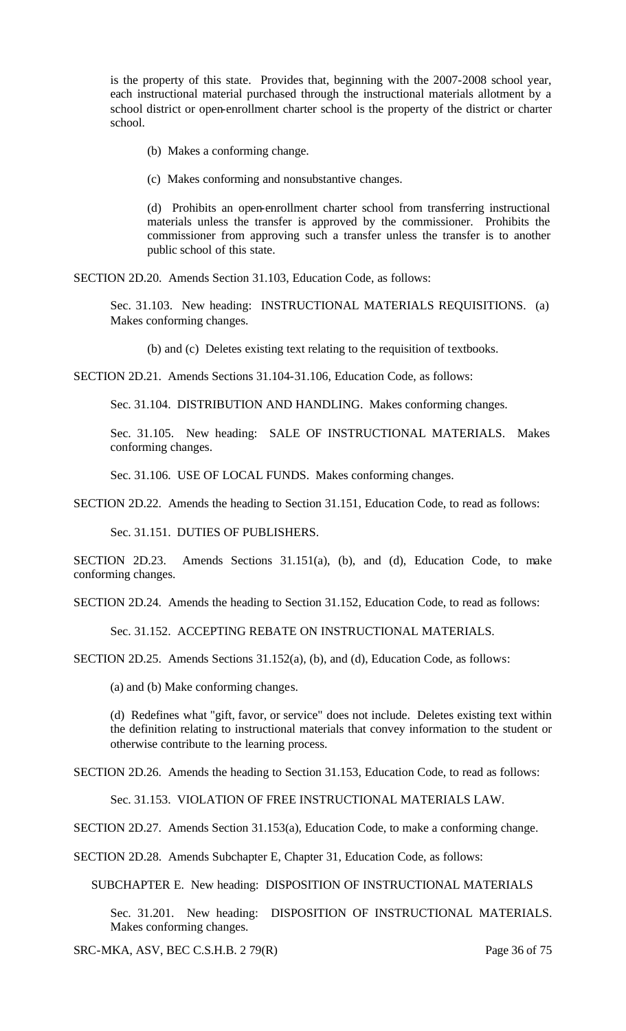is the property of this state. Provides that, beginning with the 2007-2008 school year, each instructional material purchased through the instructional materials allotment by a school district or open-enrollment charter school is the property of the district or charter school.

(b) Makes a conforming change.

(c) Makes conforming and nonsubstantive changes.

(d) Prohibits an open-enrollment charter school from transferring instructional materials unless the transfer is approved by the commissioner. Prohibits the commissioner from approving such a transfer unless the transfer is to another public school of this state.

SECTION 2D.20. Amends Section 31.103, Education Code, as follows:

Sec. 31.103. New heading: INSTRUCTIONAL MATERIALS REQUISITIONS. (a) Makes conforming changes.

(b) and (c) Deletes existing text relating to the requisition of textbooks.

SECTION 2D.21. Amends Sections 31.104-31.106, Education Code, as follows:

Sec. 31.104. DISTRIBUTION AND HANDLING. Makes conforming changes.

Sec. 31.105. New heading: SALE OF INSTRUCTIONAL MATERIALS. Makes conforming changes.

Sec. 31.106. USE OF LOCAL FUNDS. Makes conforming changes.

SECTION 2D.22. Amends the heading to Section 31.151, Education Code, to read as follows:

Sec. 31.151. DUTIES OF PUBLISHERS.

SECTION 2D.23. Amends Sections 31.151(a), (b), and (d), Education Code, to make conforming changes.

SECTION 2D.24. Amends the heading to Section 31.152, Education Code, to read as follows:

Sec. 31.152. ACCEPTING REBATE ON INSTRUCTIONAL MATERIALS.

SECTION 2D.25. Amends Sections 31.152(a), (b), and (d), Education Code, as follows:

(a) and (b) Make conforming changes.

(d) Redefines what "gift, favor, or service" does not include. Deletes existing text within the definition relating to instructional materials that convey information to the student or otherwise contribute to the learning process.

SECTION 2D.26. Amends the heading to Section 31.153, Education Code, to read as follows:

Sec. 31.153. VIOLATION OF FREE INSTRUCTIONAL MATERIALS LAW.

SECTION 2D.27. Amends Section 31.153(a), Education Code, to make a conforming change.

SECTION 2D.28. Amends Subchapter E, Chapter 31, Education Code, as follows:

SUBCHAPTER E. New heading: DISPOSITION OF INSTRUCTIONAL MATERIALS

Sec. 31.201. New heading: DISPOSITION OF INSTRUCTIONAL MATERIALS. Makes conforming changes.

SRC-MKA, ASV, BEC C.S.H.B. 2 79(R) Page 36 of 75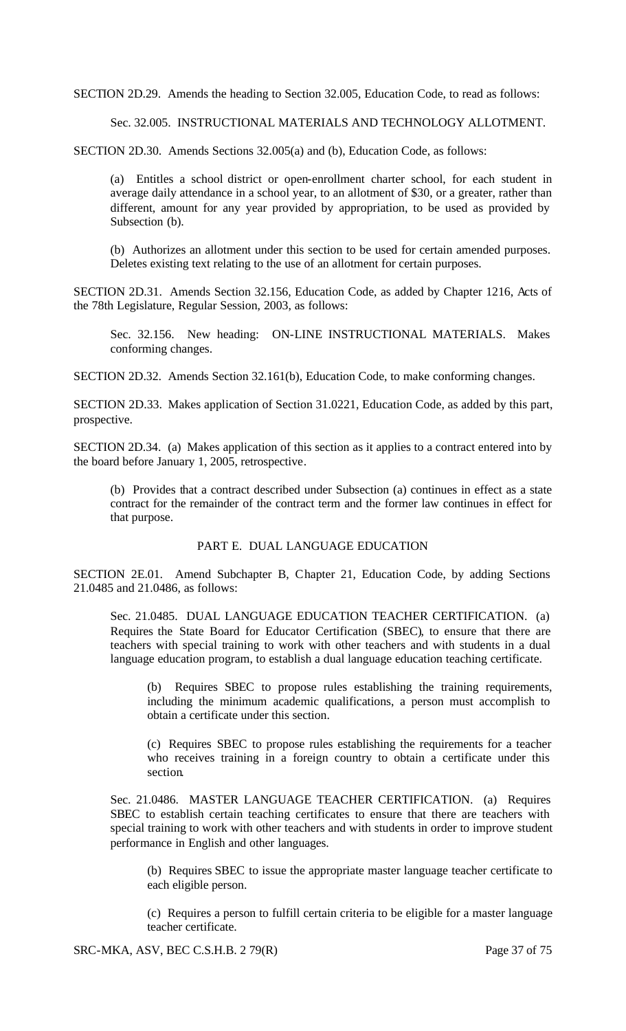SECTION 2D.29. Amends the heading to Section 32.005, Education Code, to read as follows:

Sec. 32.005. INSTRUCTIONAL MATERIALS AND TECHNOLOGY ALLOTMENT.

SECTION 2D.30. Amends Sections 32.005(a) and (b), Education Code, as follows:

(a) Entitles a school district or open-enrollment charter school, for each student in average daily attendance in a school year, to an allotment of \$30, or a greater, rather than different, amount for any year provided by appropriation, to be used as provided by Subsection (b).

(b) Authorizes an allotment under this section to be used for certain amended purposes. Deletes existing text relating to the use of an allotment for certain purposes.

SECTION 2D.31. Amends Section 32.156, Education Code, as added by Chapter 1216, Acts of the 78th Legislature, Regular Session, 2003, as follows:

Sec. 32.156. New heading: ON-LINE INSTRUCTIONAL MATERIALS. Makes conforming changes.

SECTION 2D.32. Amends Section 32.161(b), Education Code, to make conforming changes.

SECTION 2D.33. Makes application of Section 31.0221, Education Code, as added by this part, prospective.

SECTION 2D.34. (a) Makes application of this section as it applies to a contract entered into by the board before January 1, 2005, retrospective.

(b) Provides that a contract described under Subsection (a) continues in effect as a state contract for the remainder of the contract term and the former law continues in effect for that purpose.

# PART E. DUAL LANGUAGE EDUCATION

SECTION 2E.01. Amend Subchapter B, Chapter 21, Education Code, by adding Sections 21.0485 and 21.0486, as follows:

Sec. 21.0485. DUAL LANGUAGE EDUCATION TEACHER CERTIFICATION. (a) Requires the State Board for Educator Certification (SBEC), to ensure that there are teachers with special training to work with other teachers and with students in a dual language education program, to establish a dual language education teaching certificate.

Requires SBEC to propose rules establishing the training requirements, including the minimum academic qualifications, a person must accomplish to obtain a certificate under this section.

(c) Requires SBEC to propose rules establishing the requirements for a teacher who receives training in a foreign country to obtain a certificate under this section.

Sec. 21.0486. MASTER LANGUAGE TEACHER CERTIFICATION. (a) Requires SBEC to establish certain teaching certificates to ensure that there are teachers with special training to work with other teachers and with students in order to improve student performance in English and other languages.

(b) Requires SBEC to issue the appropriate master language teacher certificate to each eligible person.

(c) Requires a person to fulfill certain criteria to be eligible for a master language teacher certificate.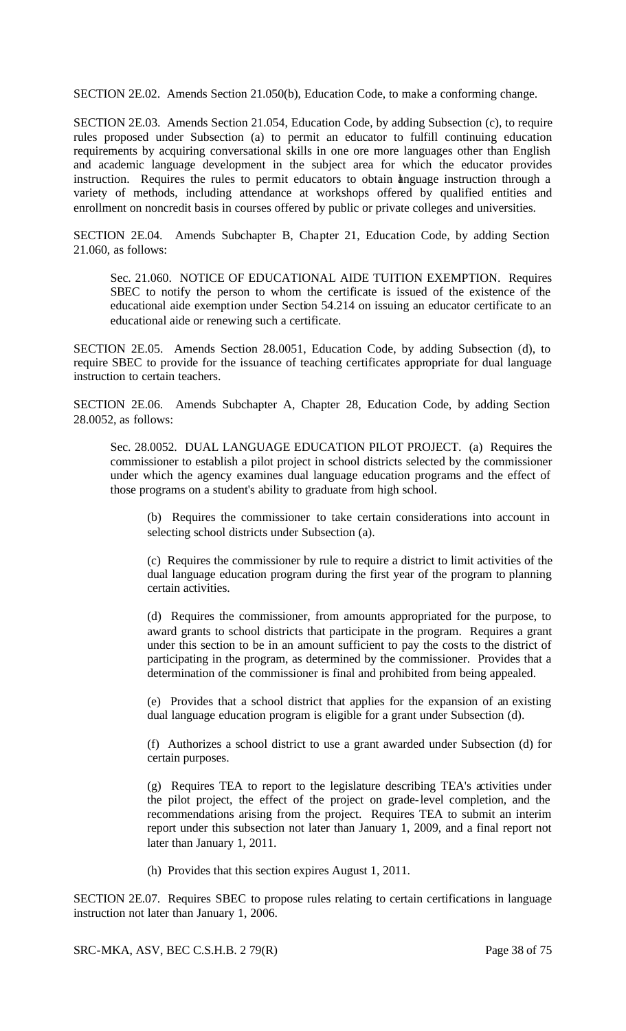SECTION 2E.02. Amends Section 21.050(b), Education Code, to make a conforming change.

SECTION 2E.03. Amends Section 21.054, Education Code, by adding Subsection (c), to require rules proposed under Subsection (a) to permit an educator to fulfill continuing education requirements by acquiring conversational skills in one ore more languages other than English and academic language development in the subject area for which the educator provides instruction. Requires the rules to permit educators to obtain anguage instruction through a variety of methods, including attendance at workshops offered by qualified entities and enrollment on noncredit basis in courses offered by public or private colleges and universities.

SECTION 2E.04. Amends Subchapter B, Chapter 21, Education Code, by adding Section 21.060, as follows:

Sec. 21.060. NOTICE OF EDUCATIONAL AIDE TUITION EXEMPTION. Requires SBEC to notify the person to whom the certificate is issued of the existence of the educational aide exemption under Section 54.214 on issuing an educator certificate to an educational aide or renewing such a certificate.

SECTION 2E.05. Amends Section 28.0051, Education Code, by adding Subsection (d), to require SBEC to provide for the issuance of teaching certificates appropriate for dual language instruction to certain teachers.

SECTION 2E.06. Amends Subchapter A, Chapter 28, Education Code, by adding Section 28.0052, as follows:

Sec. 28.0052. DUAL LANGUAGE EDUCATION PILOT PROJECT. (a) Requires the commissioner to establish a pilot project in school districts selected by the commissioner under which the agency examines dual language education programs and the effect of those programs on a student's ability to graduate from high school.

(b) Requires the commissioner to take certain considerations into account in selecting school districts under Subsection (a).

(c) Requires the commissioner by rule to require a district to limit activities of the dual language education program during the first year of the program to planning certain activities.

(d) Requires the commissioner, from amounts appropriated for the purpose, to award grants to school districts that participate in the program. Requires a grant under this section to be in an amount sufficient to pay the costs to the district of participating in the program, as determined by the commissioner. Provides that a determination of the commissioner is final and prohibited from being appealed.

(e) Provides that a school district that applies for the expansion of an existing dual language education program is eligible for a grant under Subsection (d).

(f) Authorizes a school district to use a grant awarded under Subsection (d) for certain purposes.

(g) Requires TEA to report to the legislature describing TEA's activities under the pilot project, the effect of the project on grade-level completion, and the recommendations arising from the project. Requires TEA to submit an interim report under this subsection not later than January 1, 2009, and a final report not later than January 1, 2011.

(h) Provides that this section expires August 1, 2011.

SECTION 2E.07. Requires SBEC to propose rules relating to certain certifications in language instruction not later than January 1, 2006.

SRC-MKA, ASV, BEC C.S.H.B. 2 79(R) Page 38 of 75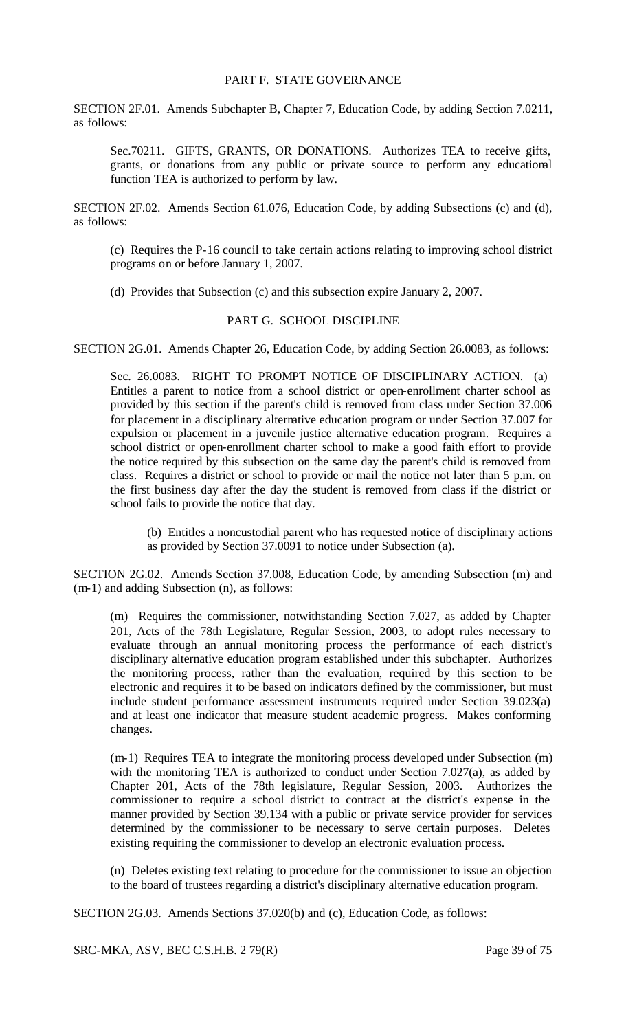### PART F. STATE GOVERNANCE

SECTION 2F.01. Amends Subchapter B, Chapter 7, Education Code, by adding Section 7.0211, as follows:

Sec.70211. GIFTS, GRANTS, OR DONATIONS. Authorizes TEA to receive gifts, grants, or donations from any public or private source to perform any educational function TEA is authorized to perform by law.

SECTION 2F.02. Amends Section 61.076, Education Code, by adding Subsections (c) and (d), as follows:

(c) Requires the P-16 council to take certain actions relating to improving school district programs on or before January 1, 2007.

(d) Provides that Subsection (c) and this subsection expire January 2, 2007.

## PART G. SCHOOL DISCIPLINE

SECTION 2G.01. Amends Chapter 26, Education Code, by adding Section 26.0083, as follows:

Sec. 26.0083. RIGHT TO PROMPT NOTICE OF DISCIPLINARY ACTION. (a) Entitles a parent to notice from a school district or open-enrollment charter school as provided by this section if the parent's child is removed from class under Section 37.006 for placement in a disciplinary alternative education program or under Section 37.007 for expulsion or placement in a juvenile justice alternative education program. Requires a school district or open-enrollment charter school to make a good faith effort to provide the notice required by this subsection on the same day the parent's child is removed from class. Requires a district or school to provide or mail the notice not later than 5 p.m. on the first business day after the day the student is removed from class if the district or school fails to provide the notice that day.

(b) Entitles a noncustodial parent who has requested notice of disciplinary actions as provided by Section 37.0091 to notice under Subsection (a).

SECTION 2G.02. Amends Section 37.008, Education Code, by amending Subsection (m) and (m-1) and adding Subsection (n), as follows:

(m) Requires the commissioner, notwithstanding Section 7.027, as added by Chapter 201, Acts of the 78th Legislature, Regular Session, 2003, to adopt rules necessary to evaluate through an annual monitoring process the performance of each district's disciplinary alternative education program established under this subchapter. Authorizes the monitoring process, rather than the evaluation, required by this section to be electronic and requires it to be based on indicators defined by the commissioner, but must include student performance assessment instruments required under Section 39.023(a) and at least one indicator that measure student academic progress. Makes conforming changes.

(m-1) Requires TEA to integrate the monitoring process developed under Subsection (m) with the monitoring TEA is authorized to conduct under Section 7.027(a), as added by Chapter 201, Acts of the 78th legislature, Regular Session, 2003. Authorizes the commissioner to require a school district to contract at the district's expense in the manner provided by Section 39.134 with a public or private service provider for services determined by the commissioner to be necessary to serve certain purposes. Deletes existing requiring the commissioner to develop an electronic evaluation process.

(n) Deletes existing text relating to procedure for the commissioner to issue an objection to the board of trustees regarding a district's disciplinary alternative education program.

SECTION 2G.03. Amends Sections 37.020(b) and (c), Education Code, as follows:

SRC-MKA, ASV, BEC C.S.H.B. 2 79(R) Page 39 of 75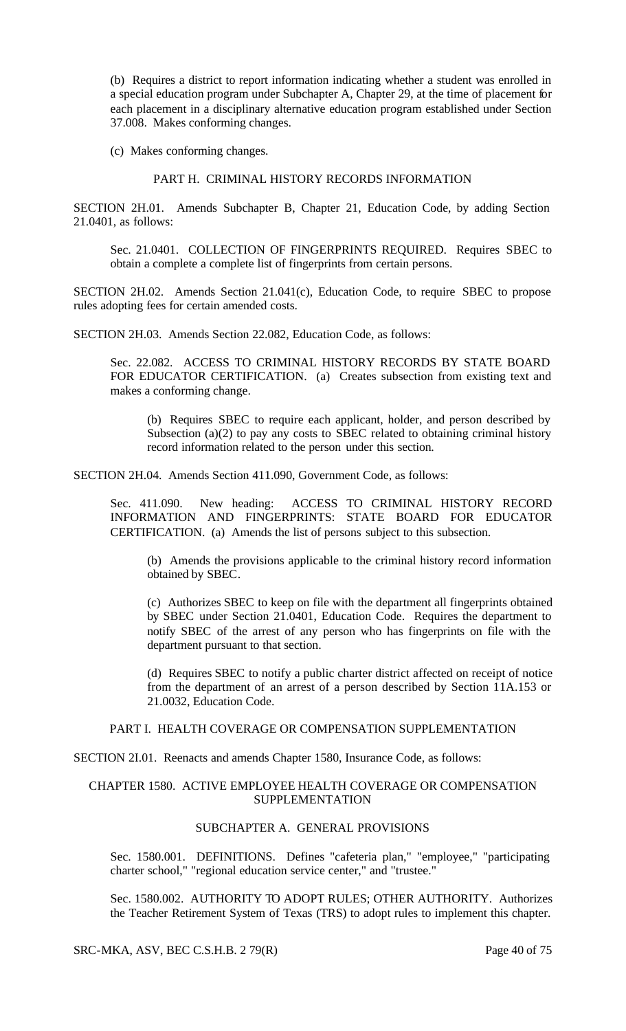(b) Requires a district to report information indicating whether a student was enrolled in a special education program under Subchapter A, Chapter 29, at the time of placement for each placement in a disciplinary alternative education program established under Section 37.008. Makes conforming changes.

(c) Makes conforming changes.

## PART H. CRIMINAL HISTORY RECORDS INFORMATION

SECTION 2H.01. Amends Subchapter B, Chapter 21, Education Code, by adding Section 21.0401, as follows:

Sec. 21.0401. COLLECTION OF FINGERPRINTS REQUIRED. Requires SBEC to obtain a complete a complete list of fingerprints from certain persons.

SECTION 2H.02. Amends Section 21.041(c), Education Code, to require SBEC to propose rules adopting fees for certain amended costs.

SECTION 2H.03. Amends Section 22.082, Education Code, as follows:

Sec. 22.082. ACCESS TO CRIMINAL HISTORY RECORDS BY STATE BOARD FOR EDUCATOR CERTIFICATION. (a) Creates subsection from existing text and makes a conforming change.

(b) Requires SBEC to require each applicant, holder, and person described by Subsection (a)(2) to pay any costs to SBEC related to obtaining criminal history record information related to the person under this section.

SECTION 2H.04. Amends Section 411.090, Government Code, as follows:

Sec. 411.090. New heading: ACCESS TO CRIMINAL HISTORY RECORD INFORMATION AND FINGERPRINTS: STATE BOARD FOR EDUCATOR CERTIFICATION. (a) Amends the list of persons subject to this subsection.

(b) Amends the provisions applicable to the criminal history record information obtained by SBEC.

(c) Authorizes SBEC to keep on file with the department all fingerprints obtained by SBEC under Section 21.0401, Education Code. Requires the department to notify SBEC of the arrest of any person who has fingerprints on file with the department pursuant to that section.

(d) Requires SBEC to notify a public charter district affected on receipt of notice from the department of an arrest of a person described by Section 11A.153 or 21.0032, Education Code.

### PART I. HEALTH COVERAGE OR COMPENSATION SUPPLEMENTATION

SECTION 2I.01. Reenacts and amends Chapter 1580, Insurance Code, as follows:

### CHAPTER 1580. ACTIVE EMPLOYEE HEALTH COVERAGE OR COMPENSATION SUPPLEMENTATION

# SUBCHAPTER A. GENERAL PROVISIONS

Sec. 1580.001. DEFINITIONS. Defines "cafeteria plan," "employee," "participating charter school," "regional education service center," and "trustee."

Sec. 1580.002. AUTHORITY TO ADOPT RULES; OTHER AUTHORITY. Authorizes the Teacher Retirement System of Texas (TRS) to adopt rules to implement this chapter.

# SRC-MKA, ASV, BEC C.S.H.B. 2 79(R) Page 40 of 75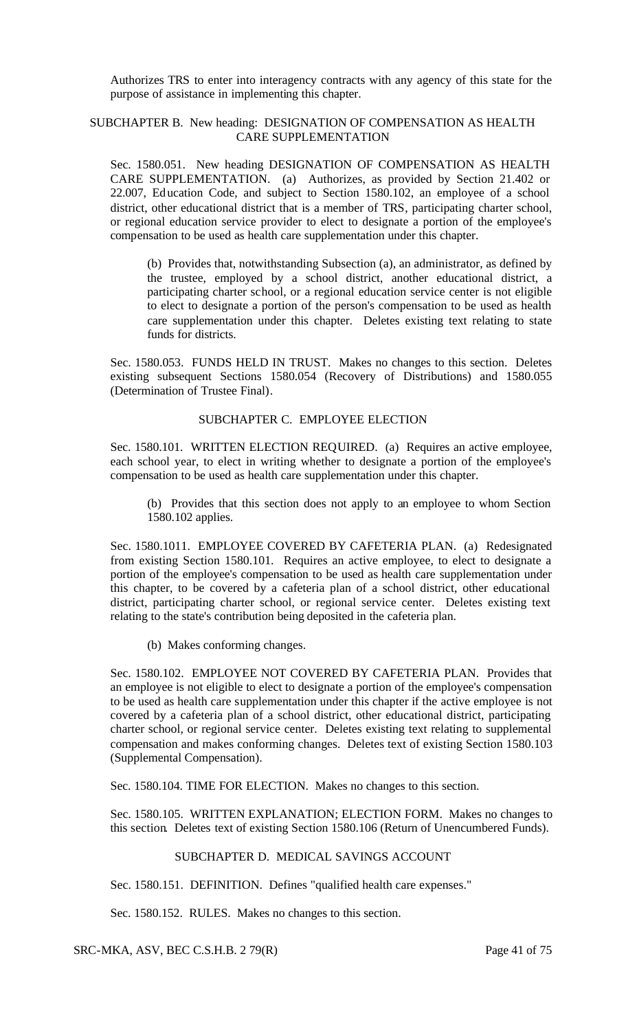Authorizes TRS to enter into interagency contracts with any agency of this state for the purpose of assistance in implementing this chapter.

### SUBCHAPTER B. New heading: DESIGNATION OF COMPENSATION AS HEALTH CARE SUPPLEMENTATION

Sec. 1580.051. New heading DESIGNATION OF COMPENSATION AS HEALTH CARE SUPPLEMENTATION. (a) Authorizes, as provided by Section 21.402 or 22.007, Education Code, and subject to Section 1580.102, an employee of a school district, other educational district that is a member of TRS, participating charter school, or regional education service provider to elect to designate a portion of the employee's compensation to be used as health care supplementation under this chapter.

(b) Provides that, notwithstanding Subsection (a), an administrator, as defined by the trustee, employed by a school district, another educational district, a participating charter school, or a regional education service center is not eligible to elect to designate a portion of the person's compensation to be used as health care supplementation under this chapter. Deletes existing text relating to state funds for districts.

Sec. 1580.053. FUNDS HELD IN TRUST. Makes no changes to this section. Deletes existing subsequent Sections 1580.054 (Recovery of Distributions) and 1580.055 (Determination of Trustee Final).

# SUBCHAPTER C. EMPLOYEE ELECTION

Sec. 1580.101. WRITTEN ELECTION REQUIRED. (a) Requires an active employee, each school year, to elect in writing whether to designate a portion of the employee's compensation to be used as health care supplementation under this chapter.

(b) Provides that this section does not apply to an employee to whom Section 1580.102 applies.

Sec. 1580.1011. EMPLOYEE COVERED BY CAFETERIA PLAN. (a) Redesignated from existing Section 1580.101. Requires an active employee, to elect to designate a portion of the employee's compensation to be used as health care supplementation under this chapter, to be covered by a cafeteria plan of a school district, other educational district, participating charter school, or regional service center. Deletes existing text relating to the state's contribution being deposited in the cafeteria plan.

(b) Makes conforming changes.

Sec. 1580.102. EMPLOYEE NOT COVERED BY CAFETERIA PLAN. Provides that an employee is not eligible to elect to designate a portion of the employee's compensation to be used as health care supplementation under this chapter if the active employee is not covered by a cafeteria plan of a school district, other educational district, participating charter school, or regional service center. Deletes existing text relating to supplemental compensation and makes conforming changes. Deletes text of existing Section 1580.103 (Supplemental Compensation).

Sec. 1580.104. TIME FOR ELECTION. Makes no changes to this section.

Sec. 1580.105. WRITTEN EXPLANATION; ELECTION FORM. Makes no changes to this section. Deletes text of existing Section 1580.106 (Return of Unencumbered Funds).

# SUBCHAPTER D. MEDICAL SAVINGS ACCOUNT

Sec. 1580.151. DEFINITION. Defines "qualified health care expenses."

Sec. 1580.152. RULES. Makes no changes to this section.

SRC-MKA, ASV, BEC C.S.H.B. 2 79(R) Page 41 of 75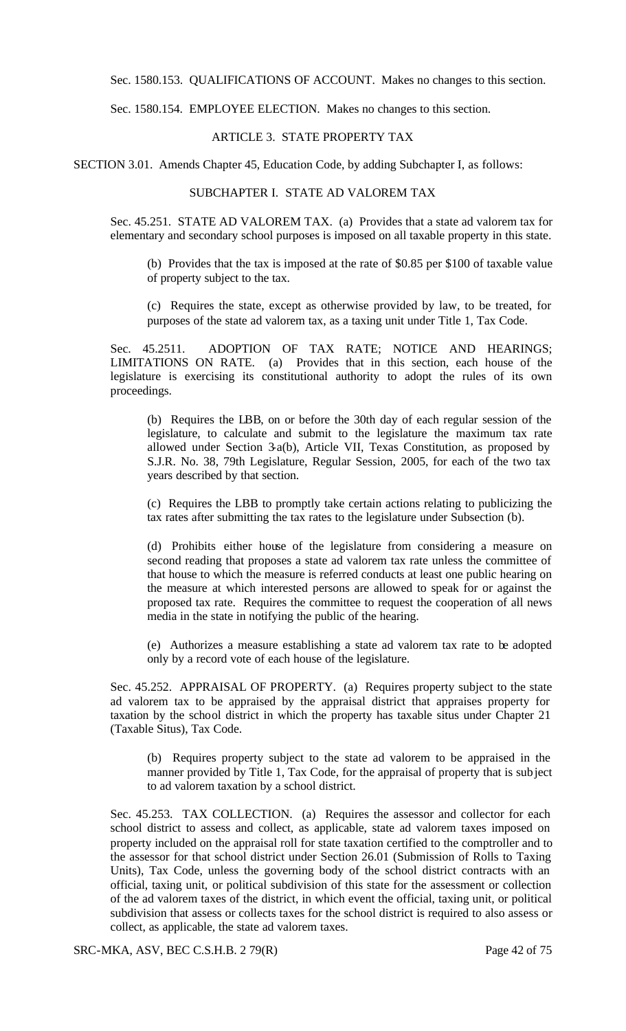Sec. 1580.153. QUALIFICATIONS OF ACCOUNT. Makes no changes to this section.

Sec. 1580.154. EMPLOYEE ELECTION. Makes no changes to this section.

### ARTICLE 3. STATE PROPERTY TAX

SECTION 3.01. Amends Chapter 45, Education Code, by adding Subchapter I, as follows:

## SUBCHAPTER I. STATE AD VALOREM TAX

Sec. 45.251. STATE AD VALOREM TAX. (a) Provides that a state ad valorem tax for elementary and secondary school purposes is imposed on all taxable property in this state.

(b) Provides that the tax is imposed at the rate of \$0.85 per \$100 of taxable value of property subject to the tax.

(c) Requires the state, except as otherwise provided by law, to be treated, for purposes of the state ad valorem tax, as a taxing unit under Title 1, Tax Code.

Sec. 45.2511. ADOPTION OF TAX RATE; NOTICE AND HEARINGS; LIMITATIONS ON RATE. (a) Provides that in this section, each house of the legislature is exercising its constitutional authority to adopt the rules of its own proceedings.

(b) Requires the LBB, on or before the 30th day of each regular session of the legislature, to calculate and submit to the legislature the maximum tax rate allowed under Section 3-a(b), Article VII, Texas Constitution, as proposed by S.J.R. No. 38, 79th Legislature, Regular Session, 2005, for each of the two tax years described by that section.

(c) Requires the LBB to promptly take certain actions relating to publicizing the tax rates after submitting the tax rates to the legislature under Subsection (b).

(d) Prohibits either house of the legislature from considering a measure on second reading that proposes a state ad valorem tax rate unless the committee of that house to which the measure is referred conducts at least one public hearing on the measure at which interested persons are allowed to speak for or against the proposed tax rate. Requires the committee to request the cooperation of all news media in the state in notifying the public of the hearing.

(e) Authorizes a measure establishing a state ad valorem tax rate to be adopted only by a record vote of each house of the legislature.

Sec. 45.252. APPRAISAL OF PROPERTY. (a) Requires property subject to the state ad valorem tax to be appraised by the appraisal district that appraises property for taxation by the school district in which the property has taxable situs under Chapter 21 (Taxable Situs), Tax Code.

(b) Requires property subject to the state ad valorem to be appraised in the manner provided by Title 1, Tax Code, for the appraisal of property that is subject to ad valorem taxation by a school district.

Sec. 45.253. TAX COLLECTION. (a) Requires the assessor and collector for each school district to assess and collect, as applicable, state ad valorem taxes imposed on property included on the appraisal roll for state taxation certified to the comptroller and to the assessor for that school district under Section 26.01 (Submission of Rolls to Taxing Units), Tax Code, unless the governing body of the school district contracts with an official, taxing unit, or political subdivision of this state for the assessment or collection of the ad valorem taxes of the district, in which event the official, taxing unit, or political subdivision that assess or collects taxes for the school district is required to also assess or collect, as applicable, the state ad valorem taxes.

SRC-MKA, ASV, BEC C.S.H.B. 2 79(R) Page 42 of 75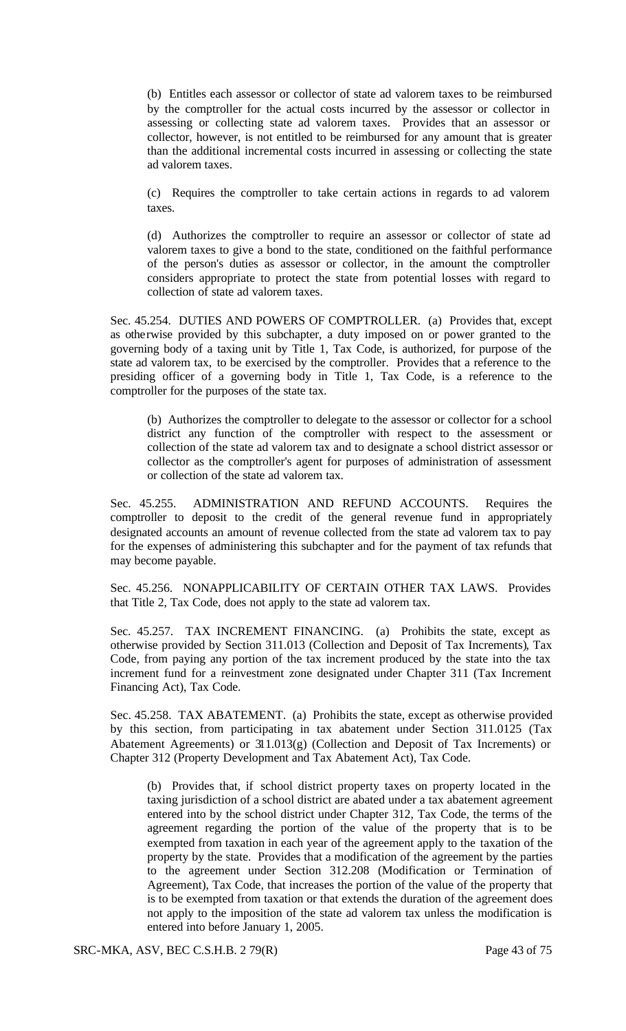(b) Entitles each assessor or collector of state ad valorem taxes to be reimbursed by the comptroller for the actual costs incurred by the assessor or collector in assessing or collecting state ad valorem taxes. Provides that an assessor or collector, however, is not entitled to be reimbursed for any amount that is greater than the additional incremental costs incurred in assessing or collecting the state ad valorem taxes.

(c) Requires the comptroller to take certain actions in regards to ad valorem taxes.

(d) Authorizes the comptroller to require an assessor or collector of state ad valorem taxes to give a bond to the state, conditioned on the faithful performance of the person's duties as assessor or collector, in the amount the comptroller considers appropriate to protect the state from potential losses with regard to collection of state ad valorem taxes.

Sec. 45.254. DUTIES AND POWERS OF COMPTROLLER. (a) Provides that, except as otherwise provided by this subchapter, a duty imposed on or power granted to the governing body of a taxing unit by Title 1, Tax Code, is authorized, for purpose of the state ad valorem tax, to be exercised by the comptroller. Provides that a reference to the presiding officer of a governing body in Title 1, Tax Code, is a reference to the comptroller for the purposes of the state tax.

(b) Authorizes the comptroller to delegate to the assessor or collector for a school district any function of the comptroller with respect to the assessment or collection of the state ad valorem tax and to designate a school district assessor or collector as the comptroller's agent for purposes of administration of assessment or collection of the state ad valorem tax.

Sec. 45.255. ADMINISTRATION AND REFUND ACCOUNTS. Requires the comptroller to deposit to the credit of the general revenue fund in appropriately designated accounts an amount of revenue collected from the state ad valorem tax to pay for the expenses of administering this subchapter and for the payment of tax refunds that may become payable.

Sec. 45.256. NONAPPLICABILITY OF CERTAIN OTHER TAX LAWS. Provides that Title 2, Tax Code, does not apply to the state ad valorem tax.

Sec. 45.257. TAX INCREMENT FINANCING. (a) Prohibits the state, except as otherwise provided by Section 311.013 (Collection and Deposit of Tax Increments), Tax Code, from paying any portion of the tax increment produced by the state into the tax increment fund for a reinvestment zone designated under Chapter 311 (Tax Increment Financing Act), Tax Code.

Sec. 45.258. TAX ABATEMENT. (a) Prohibits the state, except as otherwise provided by this section, from participating in tax abatement under Section 311.0125 (Tax Abatement Agreements) or 311.013(g) (Collection and Deposit of Tax Increments) or Chapter 312 (Property Development and Tax Abatement Act), Tax Code.

(b) Provides that, if school district property taxes on property located in the taxing jurisdiction of a school district are abated under a tax abatement agreement entered into by the school district under Chapter 312, Tax Code, the terms of the agreement regarding the portion of the value of the property that is to be exempted from taxation in each year of the agreement apply to the taxation of the property by the state. Provides that a modification of the agreement by the parties to the agreement under Section 312.208 (Modification or Termination of Agreement), Tax Code, that increases the portion of the value of the property that is to be exempted from taxation or that extends the duration of the agreement does not apply to the imposition of the state ad valorem tax unless the modification is entered into before January 1, 2005.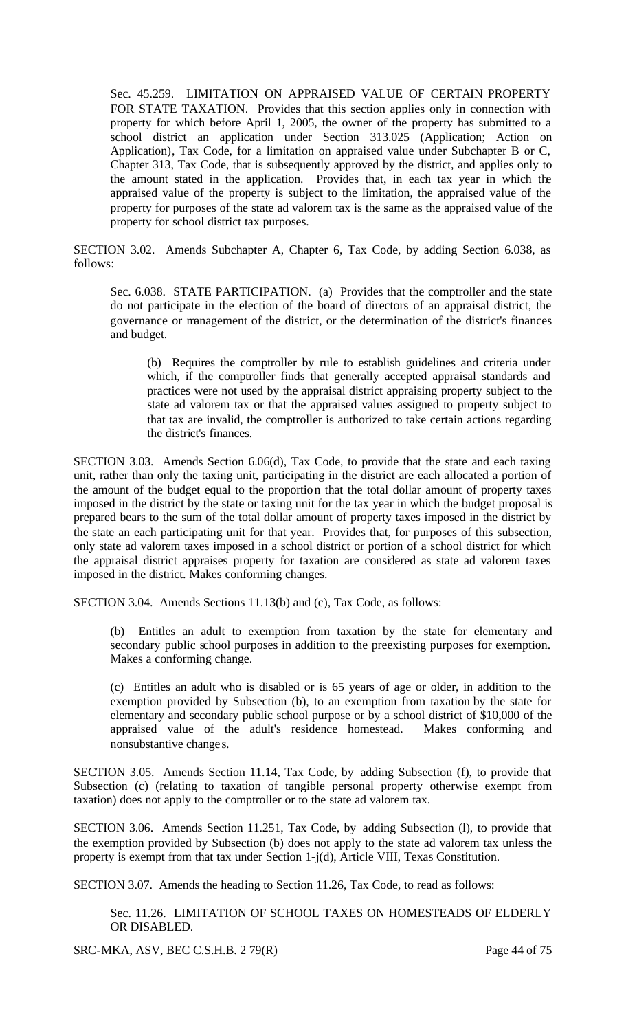Sec. 45.259. LIMITATION ON APPRAISED VALUE OF CERTAIN PROPERTY FOR STATE TAXATION. Provides that this section applies only in connection with property for which before April 1, 2005, the owner of the property has submitted to a school district an application under Section 313.025 (Application; Action on Application), Tax Code, for a limitation on appraised value under Subchapter B or C, Chapter 313, Tax Code, that is subsequently approved by the district, and applies only to the amount stated in the application. Provides that, in each tax year in which the appraised value of the property is subject to the limitation, the appraised value of the property for purposes of the state ad valorem tax is the same as the appraised value of the property for school district tax purposes.

SECTION 3.02. Amends Subchapter A, Chapter 6, Tax Code, by adding Section 6.038, as follows:

Sec. 6.038. STATE PARTICIPATION. (a) Provides that the comptroller and the state do not participate in the election of the board of directors of an appraisal district, the governance or management of the district, or the determination of the district's finances and budget.

(b) Requires the comptroller by rule to establish guidelines and criteria under which, if the comptroller finds that generally accepted appraisal standards and practices were not used by the appraisal district appraising property subject to the state ad valorem tax or that the appraised values assigned to property subject to that tax are invalid, the comptroller is authorized to take certain actions regarding the district's finances.

SECTION 3.03. Amends Section 6.06(d), Tax Code, to provide that the state and each taxing unit, rather than only the taxing unit, participating in the district are each allocated a portion of the amount of the budget equal to the proportion that the total dollar amount of property taxes imposed in the district by the state or taxing unit for the tax year in which the budget proposal is prepared bears to the sum of the total dollar amount of property taxes imposed in the district by the state an each participating unit for that year. Provides that, for purposes of this subsection, only state ad valorem taxes imposed in a school district or portion of a school district for which the appraisal district appraises property for taxation are considered as state ad valorem taxes imposed in the district. Makes conforming changes.

SECTION 3.04. Amends Sections 11.13(b) and (c), Tax Code, as follows:

(b) Entitles an adult to exemption from taxation by the state for elementary and secondary public school purposes in addition to the preexisting purposes for exemption. Makes a conforming change.

(c) Entitles an adult who is disabled or is 65 years of age or older, in addition to the exemption provided by Subsection (b), to an exemption from taxation by the state for elementary and secondary public school purpose or by a school district of \$10,000 of the appraised value of the adult's residence homestead. Makes conforming and nonsubstantive change s.

SECTION 3.05. Amends Section 11.14, Tax Code, by adding Subsection (f), to provide that Subsection (c) (relating to taxation of tangible personal property otherwise exempt from taxation) does not apply to the comptroller or to the state ad valorem tax.

SECTION 3.06. Amends Section 11.251, Tax Code, by adding Subsection (l), to provide that the exemption provided by Subsection (b) does not apply to the state ad valorem tax unless the property is exempt from that tax under Section 1-j(d), Article VIII, Texas Constitution.

SECTION 3.07. Amends the heading to Section 11.26, Tax Code, to read as follows:

Sec. 11.26. LIMITATION OF SCHOOL TAXES ON HOMESTEADS OF ELDERLY OR DISABLED.

SRC-MKA, ASV, BEC C.S.H.B. 2 79(R) Page 44 of 75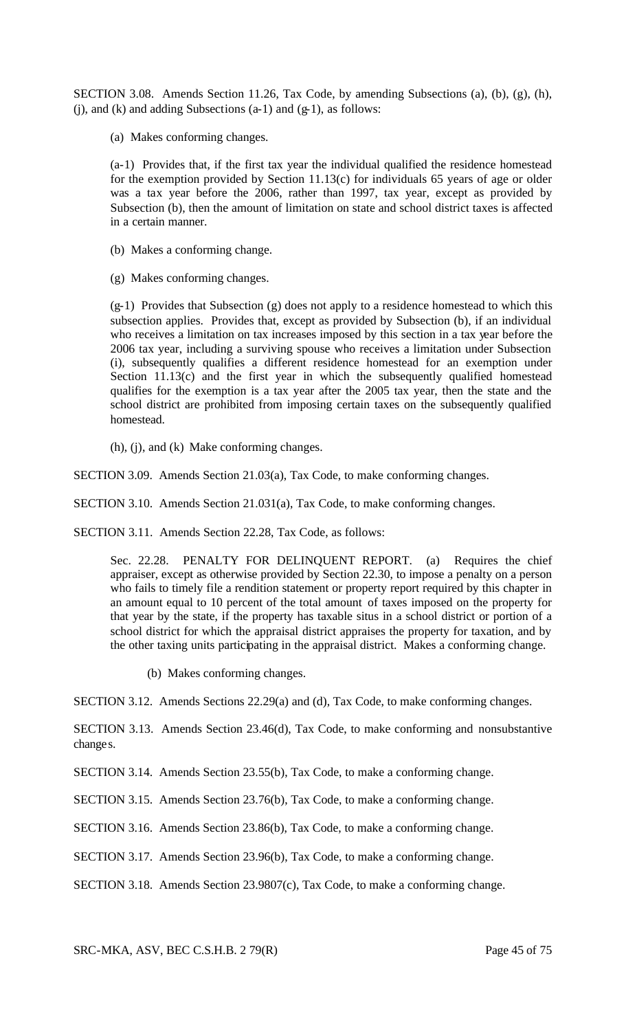SECTION 3.08. Amends Section 11.26, Tax Code, by amending Subsections (a), (b), (g), (h),  $(j)$ , and  $(k)$  and adding Subsections  $(a-1)$  and  $(g-1)$ , as follows:

(a) Makes conforming changes.

(a-1) Provides that, if the first tax year the individual qualified the residence homestead for the exemption provided by Section 11.13(c) for individuals 65 years of age or older was a tax year before the 2006, rather than 1997, tax year, except as provided by Subsection (b), then the amount of limitation on state and school district taxes is affected in a certain manner.

- (b) Makes a conforming change.
- (g) Makes conforming changes.

(g-1) Provides that Subsection (g) does not apply to a residence homestead to which this subsection applies. Provides that, except as provided by Subsection (b), if an individual who receives a limitation on tax increases imposed by this section in a tax year before the 2006 tax year, including a surviving spouse who receives a limitation under Subsection (i), subsequently qualifies a different residence homestead for an exemption under Section 11.13(c) and the first year in which the subsequently qualified homestead qualifies for the exemption is a tax year after the 2005 tax year, then the state and the school district are prohibited from imposing certain taxes on the subsequently qualified homestead.

(h), (j), and (k) Make conforming changes.

SECTION 3.09. Amends Section 21.03(a), Tax Code, to make conforming changes.

SECTION 3.10. Amends Section 21.031(a), Tax Code, to make conforming changes.

SECTION 3.11. Amends Section 22.28, Tax Code, as follows:

Sec. 22.28. PENALTY FOR DELINQUENT REPORT. (a) Requires the chief appraiser, except as otherwise provided by Section 22.30, to impose a penalty on a person who fails to timely file a rendition statement or property report required by this chapter in an amount equal to 10 percent of the total amount of taxes imposed on the property for that year by the state, if the property has taxable situs in a school district or portion of a school district for which the appraisal district appraises the property for taxation, and by the other taxing units participating in the appraisal district. Makes a conforming change.

(b) Makes conforming changes.

SECTION 3.12. Amends Sections 22.29(a) and (d), Tax Code, to make conforming changes.

SECTION 3.13. Amends Section 23.46(d), Tax Code, to make conforming and nonsubstantive changes.

SECTION 3.14. Amends Section 23.55(b), Tax Code, to make a conforming change.

SECTION 3.15. Amends Section 23.76(b), Tax Code, to make a conforming change.

SECTION 3.16. Amends Section 23.86(b), Tax Code, to make a conforming change.

SECTION 3.17. Amends Section 23.96(b), Tax Code, to make a conforming change.

SECTION 3.18. Amends Section 23.9807(c), Tax Code, to make a conforming change.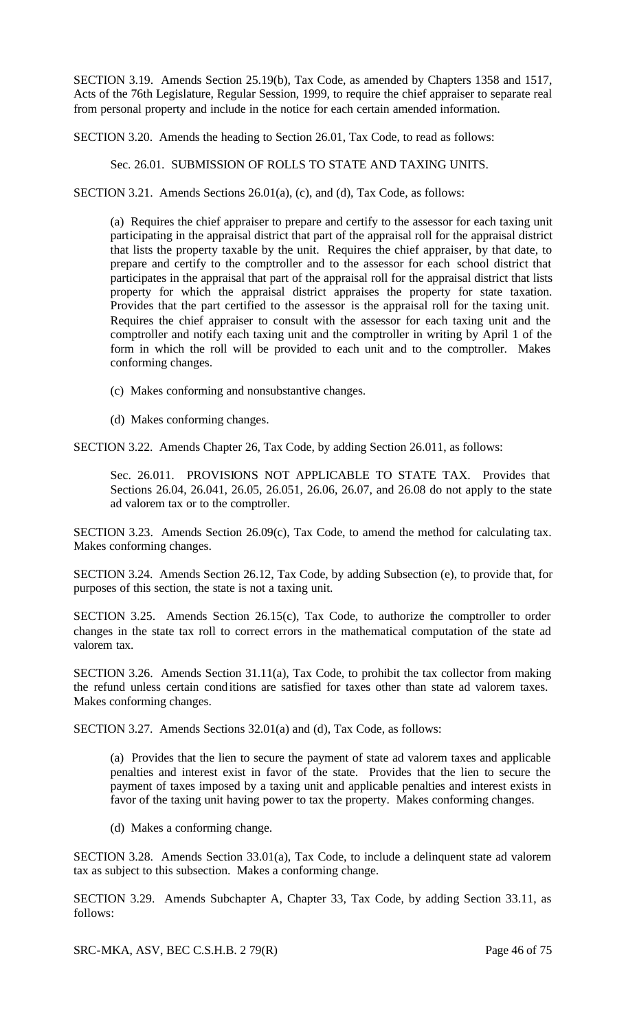SECTION 3.19. Amends Section 25.19(b), Tax Code, as amended by Chapters 1358 and 1517, Acts of the 76th Legislature, Regular Session, 1999, to require the chief appraiser to separate real from personal property and include in the notice for each certain amended information.

SECTION 3.20. Amends the heading to Section 26.01, Tax Code, to read as follows:

Sec. 26.01. SUBMISSION OF ROLLS TO STATE AND TAXING UNITS.

SECTION 3.21. Amends Sections 26.01(a), (c), and (d), Tax Code, as follows:

(a) Requires the chief appraiser to prepare and certify to the assessor for each taxing unit participating in the appraisal district that part of the appraisal roll for the appraisal district that lists the property taxable by the unit. Requires the chief appraiser, by that date, to prepare and certify to the comptroller and to the assessor for each school district that participates in the appraisal that part of the appraisal roll for the appraisal district that lists property for which the appraisal district appraises the property for state taxation. Provides that the part certified to the assessor is the appraisal roll for the taxing unit. Requires the chief appraiser to consult with the assessor for each taxing unit and the comptroller and notify each taxing unit and the comptroller in writing by April 1 of the form in which the roll will be provided to each unit and to the comptroller. Makes conforming changes.

- (c) Makes conforming and nonsubstantive changes.
- (d) Makes conforming changes.

SECTION 3.22. Amends Chapter 26, Tax Code, by adding Section 26.011, as follows:

Sec. 26.011. PROVISIONS NOT APPLICABLE TO STATE TAX. Provides that Sections 26.04, 26.041, 26.05, 26.051, 26.06, 26.07, and 26.08 do not apply to the state ad valorem tax or to the comptroller.

SECTION 3.23. Amends Section 26.09(c), Tax Code, to amend the method for calculating tax. Makes conforming changes.

SECTION 3.24. Amends Section 26.12, Tax Code, by adding Subsection (e), to provide that, for purposes of this section, the state is not a taxing unit.

SECTION 3.25. Amends Section 26.15(c), Tax Code, to authorize the comptroller to order changes in the state tax roll to correct errors in the mathematical computation of the state ad valorem tax.

SECTION 3.26. Amends Section 31.11(a), Tax Code, to prohibit the tax collector from making the refund unless certain conditions are satisfied for taxes other than state ad valorem taxes. Makes conforming changes.

SECTION 3.27. Amends Sections 32.01(a) and (d), Tax Code, as follows:

(a) Provides that the lien to secure the payment of state ad valorem taxes and applicable penalties and interest exist in favor of the state. Provides that the lien to secure the payment of taxes imposed by a taxing unit and applicable penalties and interest exists in favor of the taxing unit having power to tax the property. Makes conforming changes.

(d) Makes a conforming change.

SECTION 3.28. Amends Section 33.01(a), Tax Code, to include a delinquent state ad valorem tax as subject to this subsection. Makes a conforming change.

SECTION 3.29. Amends Subchapter A, Chapter 33, Tax Code, by adding Section 33.11, as follows:

SRC-MKA, ASV, BEC C.S.H.B. 2 79(R) Page 46 of 75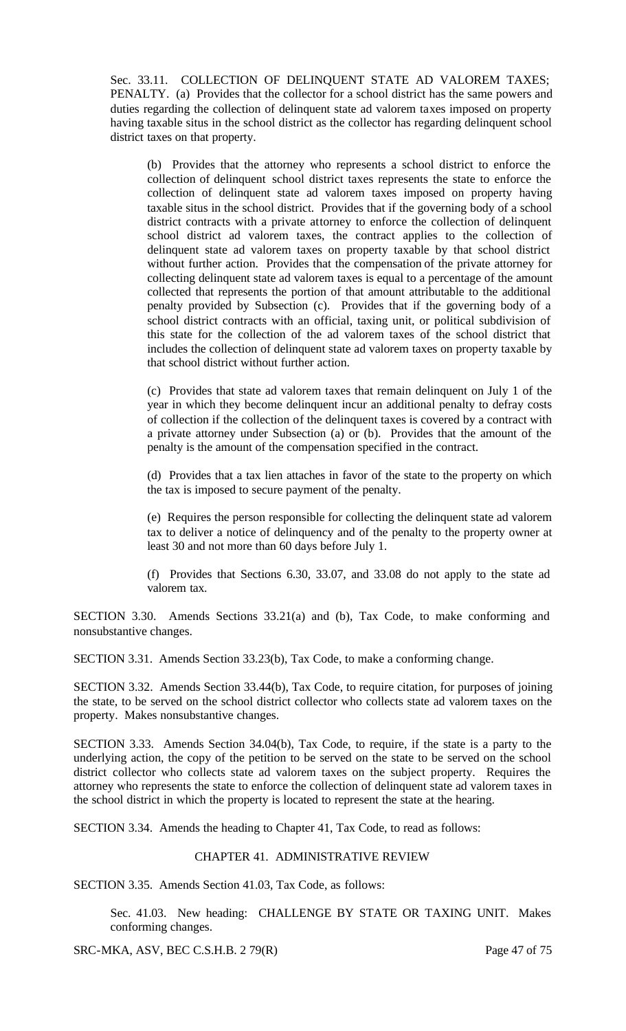Sec. 33.11. COLLECTION OF DELINQUENT STATE AD VALOREM TAXES; PENALTY. (a) Provides that the collector for a school district has the same powers and duties regarding the collection of delinquent state ad valorem taxes imposed on property having taxable situs in the school district as the collector has regarding delinquent school district taxes on that property.

(b) Provides that the attorney who represents a school district to enforce the collection of delinquent school district taxes represents the state to enforce the collection of delinquent state ad valorem taxes imposed on property having taxable situs in the school district. Provides that if the governing body of a school district contracts with a private attorney to enforce the collection of delinquent school district ad valorem taxes, the contract applies to the collection of delinquent state ad valorem taxes on property taxable by that school district without further action. Provides that the compensation of the private attorney for collecting delinquent state ad valorem taxes is equal to a percentage of the amount collected that represents the portion of that amount attributable to the additional penalty provided by Subsection (c). Provides that if the governing body of a school district contracts with an official, taxing unit, or political subdivision of this state for the collection of the ad valorem taxes of the school district that includes the collection of delinquent state ad valorem taxes on property taxable by that school district without further action.

(c) Provides that state ad valorem taxes that remain delinquent on July 1 of the year in which they become delinquent incur an additional penalty to defray costs of collection if the collection of the delinquent taxes is covered by a contract with a private attorney under Subsection (a) or (b). Provides that the amount of the penalty is the amount of the compensation specified in the contract.

(d) Provides that a tax lien attaches in favor of the state to the property on which the tax is imposed to secure payment of the penalty.

(e) Requires the person responsible for collecting the delinquent state ad valorem tax to deliver a notice of delinquency and of the penalty to the property owner at least 30 and not more than 60 days before July 1.

(f) Provides that Sections 6.30, 33.07, and 33.08 do not apply to the state ad valorem tax.

SECTION 3.30. Amends Sections 33.21(a) and (b), Tax Code, to make conforming and nonsubstantive changes.

SECTION 3.31. Amends Section 33.23(b), Tax Code, to make a conforming change.

SECTION 3.32. Amends Section 33.44(b), Tax Code, to require citation, for purposes of joining the state, to be served on the school district collector who collects state ad valorem taxes on the property. Makes nonsubstantive changes.

SECTION 3.33. Amends Section 34.04(b), Tax Code, to require, if the state is a party to the underlying action, the copy of the petition to be served on the state to be served on the school district collector who collects state ad valorem taxes on the subject property. Requires the attorney who represents the state to enforce the collection of delinquent state ad valorem taxes in the school district in which the property is located to represent the state at the hearing.

SECTION 3.34. Amends the heading to Chapter 41, Tax Code, to read as follows:

### CHAPTER 41. ADMINISTRATIVE REVIEW

SECTION 3.35. Amends Section 41.03, Tax Code, as follows:

Sec. 41.03. New heading: CHALLENGE BY STATE OR TAXING UNIT. Makes conforming changes.

SRC-MKA, ASV, BEC C.S.H.B. 2 79(R) Page 47 of 75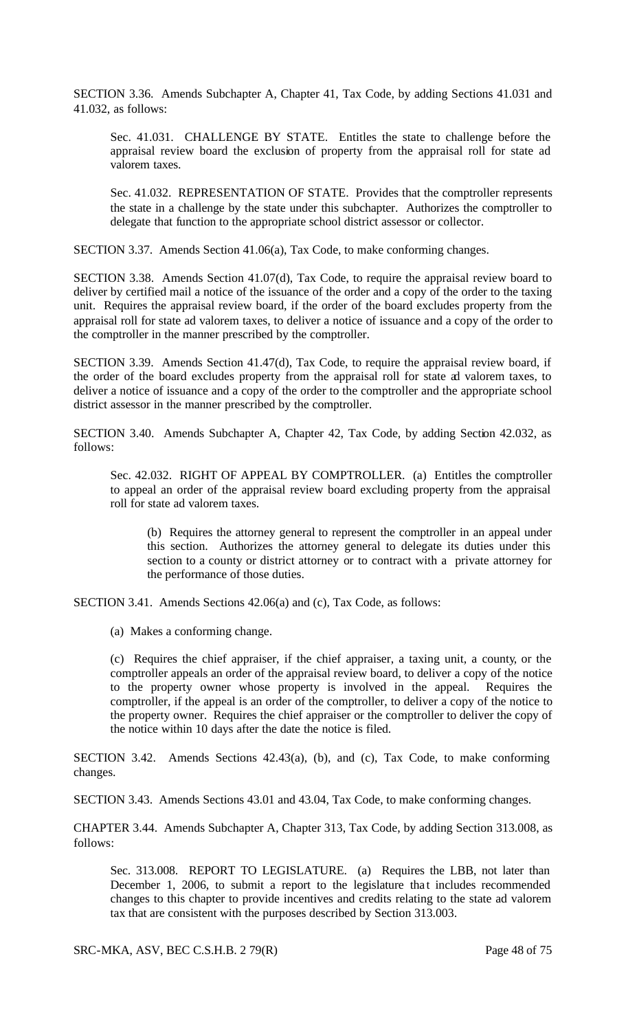SECTION 3.36. Amends Subchapter A, Chapter 41, Tax Code, by adding Sections 41.031 and 41.032, as follows:

Sec. 41.031. CHALLENGE BY STATE. Entitles the state to challenge before the appraisal review board the exclusion of property from the appraisal roll for state ad valorem taxes.

Sec. 41.032. REPRESENTATION OF STATE. Provides that the comptroller represents the state in a challenge by the state under this subchapter. Authorizes the comptroller to delegate that function to the appropriate school district assessor or collector.

SECTION 3.37. Amends Section 41.06(a), Tax Code, to make conforming changes.

SECTION 3.38. Amends Section 41.07(d), Tax Code, to require the appraisal review board to deliver by certified mail a notice of the issuance of the order and a copy of the order to the taxing unit. Requires the appraisal review board, if the order of the board excludes property from the appraisal roll for state ad valorem taxes, to deliver a notice of issuance and a copy of the order to the comptroller in the manner prescribed by the comptroller.

SECTION 3.39. Amends Section 41.47(d), Tax Code, to require the appraisal review board, if the order of the board excludes property from the appraisal roll for state ad valorem taxes, to deliver a notice of issuance and a copy of the order to the comptroller and the appropriate school district assessor in the manner prescribed by the comptroller.

SECTION 3.40. Amends Subchapter A, Chapter 42, Tax Code, by adding Section 42.032, as follows:

Sec. 42.032. RIGHT OF APPEAL BY COMPTROLLER. (a) Entitles the comptroller to appeal an order of the appraisal review board excluding property from the appraisal roll for state ad valorem taxes.

(b) Requires the attorney general to represent the comptroller in an appeal under this section. Authorizes the attorney general to delegate its duties under this section to a county or district attorney or to contract with a private attorney for the performance of those duties.

SECTION 3.41. Amends Sections 42.06(a) and (c), Tax Code, as follows:

(a) Makes a conforming change.

(c) Requires the chief appraiser, if the chief appraiser, a taxing unit, a county, or the comptroller appeals an order of the appraisal review board, to deliver a copy of the notice to the property owner whose property is involved in the appeal. Requires the comptroller, if the appeal is an order of the comptroller, to deliver a copy of the notice to the property owner. Requires the chief appraiser or the comptroller to deliver the copy of the notice within 10 days after the date the notice is filed.

SECTION 3.42. Amends Sections 42.43(a), (b), and (c), Tax Code, to make conforming changes.

SECTION 3.43. Amends Sections 43.01 and 43.04, Tax Code, to make conforming changes.

CHAPTER 3.44. Amends Subchapter A, Chapter 313, Tax Code, by adding Section 313.008, as follows:

Sec. 313.008. REPORT TO LEGISLATURE. (a) Requires the LBB, not later than December 1, 2006, to submit a report to the legislature that includes recommended changes to this chapter to provide incentives and credits relating to the state ad valorem tax that are consistent with the purposes described by Section 313.003.

SRC-MKA, ASV, BEC C.S.H.B. 2 79(R) Page 48 of 75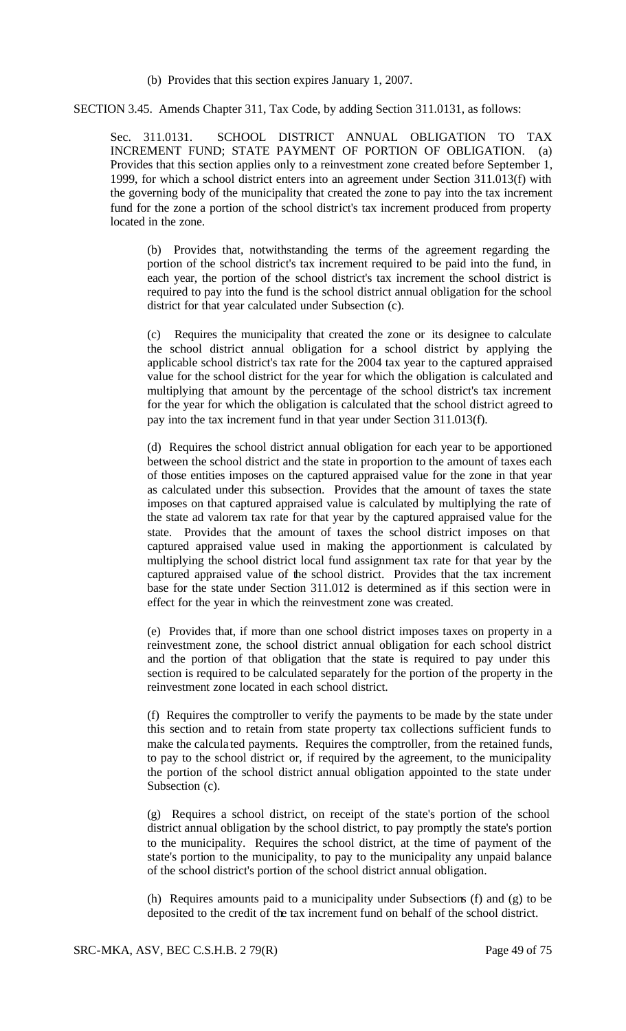(b) Provides that this section expires January 1, 2007.

SECTION 3.45. Amends Chapter 311, Tax Code, by adding Section 311.0131, as follows:

Sec. 311.0131. SCHOOL DISTRICT ANNUAL OBLIGATION TO TAX INCREMENT FUND; STATE PAYMENT OF PORTION OF OBLIGATION. (a) Provides that this section applies only to a reinvestment zone created before September 1, 1999, for which a school district enters into an agreement under Section 311.013(f) with the governing body of the municipality that created the zone to pay into the tax increment fund for the zone a portion of the school district's tax increment produced from property located in the zone.

(b) Provides that, notwithstanding the terms of the agreement regarding the portion of the school district's tax increment required to be paid into the fund, in each year, the portion of the school district's tax increment the school district is required to pay into the fund is the school district annual obligation for the school district for that year calculated under Subsection (c).

(c) Requires the municipality that created the zone or its designee to calculate the school district annual obligation for a school district by applying the applicable school district's tax rate for the 2004 tax year to the captured appraised value for the school district for the year for which the obligation is calculated and multiplying that amount by the percentage of the school district's tax increment for the year for which the obligation is calculated that the school district agreed to pay into the tax increment fund in that year under Section 311.013(f).

(d) Requires the school district annual obligation for each year to be apportioned between the school district and the state in proportion to the amount of taxes each of those entities imposes on the captured appraised value for the zone in that year as calculated under this subsection. Provides that the amount of taxes the state imposes on that captured appraised value is calculated by multiplying the rate of the state ad valorem tax rate for that year by the captured appraised value for the state. Provides that the amount of taxes the school district imposes on that captured appraised value used in making the apportionment is calculated by multiplying the school district local fund assignment tax rate for that year by the captured appraised value of the school district. Provides that the tax increment base for the state under Section 311.012 is determined as if this section were in effect for the year in which the reinvestment zone was created.

(e) Provides that, if more than one school district imposes taxes on property in a reinvestment zone, the school district annual obligation for each school district and the portion of that obligation that the state is required to pay under this section is required to be calculated separately for the portion of the property in the reinvestment zone located in each school district.

(f) Requires the comptroller to verify the payments to be made by the state under this section and to retain from state property tax collections sufficient funds to make the calcula ted payments. Requires the comptroller, from the retained funds, to pay to the school district or, if required by the agreement, to the municipality the portion of the school district annual obligation appointed to the state under Subsection (c).

(g) Requires a school district, on receipt of the state's portion of the school district annual obligation by the school district, to pay promptly the state's portion to the municipality. Requires the school district, at the time of payment of the state's portion to the municipality, to pay to the municipality any unpaid balance of the school district's portion of the school district annual obligation.

(h) Requires amounts paid to a municipality under Subsections (f) and (g) to be deposited to the credit of the tax increment fund on behalf of the school district.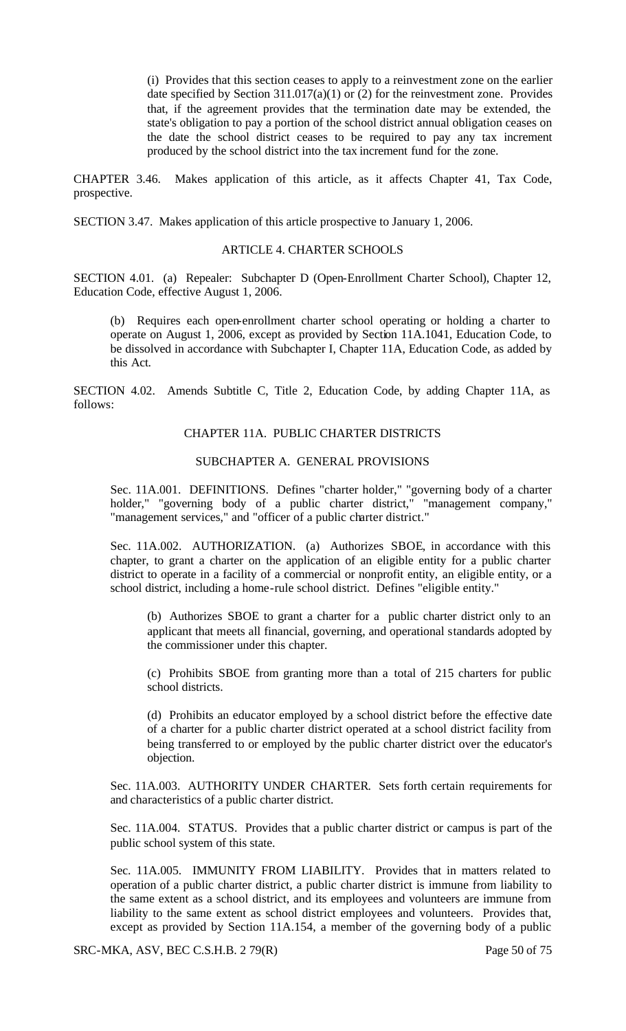(i) Provides that this section ceases to apply to a reinvestment zone on the earlier date specified by Section 311.017(a)(1) or (2) for the reinvestment zone. Provides that, if the agreement provides that the termination date may be extended, the state's obligation to pay a portion of the school district annual obligation ceases on the date the school district ceases to be required to pay any tax increment produced by the school district into the tax increment fund for the zone.

CHAPTER 3.46. Makes application of this article, as it affects Chapter 41, Tax Code, prospective.

SECTION 3.47. Makes application of this article prospective to January 1, 2006.

#### ARTICLE 4. CHARTER SCHOOLS

SECTION 4.01. (a) Repealer: Subchapter D (Open-Enrollment Charter School), Chapter 12, Education Code, effective August 1, 2006.

(b) Requires each open-enrollment charter school operating or holding a charter to operate on August 1, 2006, except as provided by Section 11A.1041, Education Code, to be dissolved in accordance with Subchapter I, Chapter 11A, Education Code, as added by this Act.

SECTION 4.02. Amends Subtitle C, Title 2, Education Code, by adding Chapter 11A, as follows:

## CHAPTER 11A. PUBLIC CHARTER DISTRICTS

### SUBCHAPTER A. GENERAL PROVISIONS

Sec. 11A.001. DEFINITIONS. Defines "charter holder," "governing body of a charter holder," "governing body of a public charter district," "management company," "management services," and "officer of a public charter district."

Sec. 11A.002. AUTHORIZATION. (a) Authorizes SBOE, in accordance with this chapter, to grant a charter on the application of an eligible entity for a public charter district to operate in a facility of a commercial or nonprofit entity, an eligible entity, or a school district, including a home-rule school district. Defines "eligible entity."

(b) Authorizes SBOE to grant a charter for a public charter district only to an applicant that meets all financial, governing, and operational standards adopted by the commissioner under this chapter.

(c) Prohibits SBOE from granting more than a total of 215 charters for public school districts.

(d) Prohibits an educator employed by a school district before the effective date of a charter for a public charter district operated at a school district facility from being transferred to or employed by the public charter district over the educator's objection.

Sec. 11A.003. AUTHORITY UNDER CHARTER. Sets forth certain requirements for and characteristics of a public charter district.

Sec. 11A.004. STATUS. Provides that a public charter district or campus is part of the public school system of this state.

Sec. 11A.005. IMMUNITY FROM LIABILITY. Provides that in matters related to operation of a public charter district, a public charter district is immune from liability to the same extent as a school district, and its employees and volunteers are immune from liability to the same extent as school district employees and volunteers. Provides that, except as provided by Section 11A.154, a member of the governing body of a public

SRC-MKA, ASV, BEC C.S.H.B. 2 79(R) Page 50 of 75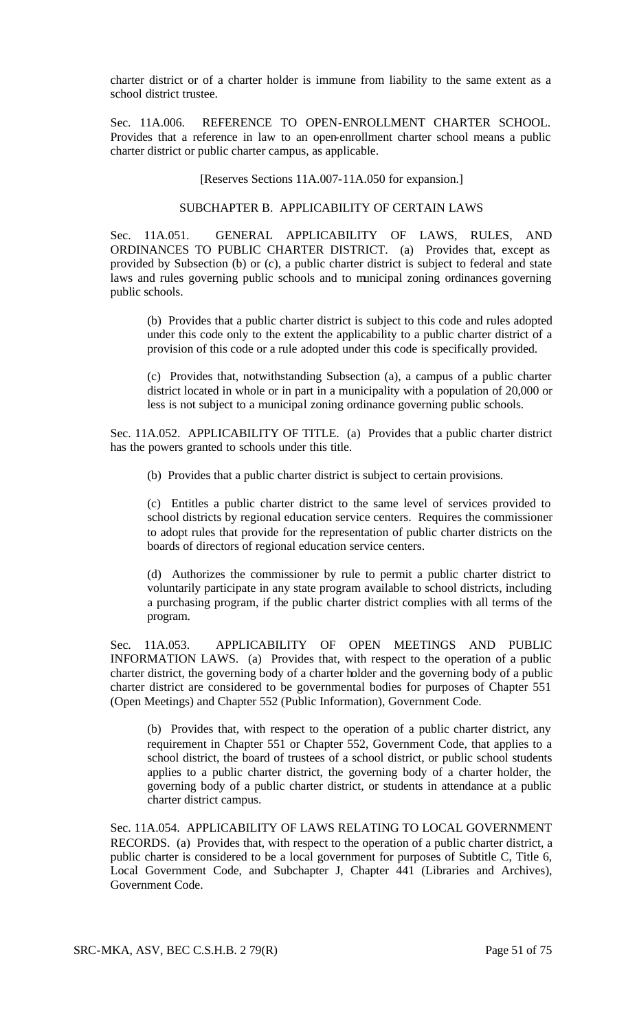charter district or of a charter holder is immune from liability to the same extent as a school district trustee.

Sec. 11A.006. REFERENCE TO OPEN-ENROLLMENT CHARTER SCHOOL. Provides that a reference in law to an open-enrollment charter school means a public charter district or public charter campus, as applicable.

[Reserves Sections 11A.007-11A.050 for expansion.]

# SUBCHAPTER B. APPLICABILITY OF CERTAIN LAWS

Sec. 11A.051. GENERAL APPLICABILITY OF LAWS, RULES, AND ORDINANCES TO PUBLIC CHARTER DISTRICT. (a) Provides that, except as provided by Subsection (b) or (c), a public charter district is subject to federal and state laws and rules governing public schools and to municipal zoning ordinances governing public schools.

(b) Provides that a public charter district is subject to this code and rules adopted under this code only to the extent the applicability to a public charter district of a provision of this code or a rule adopted under this code is specifically provided.

(c) Provides that, notwithstanding Subsection (a), a campus of a public charter district located in whole or in part in a municipality with a population of 20,000 or less is not subject to a municipal zoning ordinance governing public schools.

Sec. 11A.052. APPLICABILITY OF TITLE. (a) Provides that a public charter district has the powers granted to schools under this title.

(b) Provides that a public charter district is subject to certain provisions.

(c) Entitles a public charter district to the same level of services provided to school districts by regional education service centers. Requires the commissioner to adopt rules that provide for the representation of public charter districts on the boards of directors of regional education service centers.

(d) Authorizes the commissioner by rule to permit a public charter district to voluntarily participate in any state program available to school districts, including a purchasing program, if the public charter district complies with all terms of the program.

Sec. 11A.053. APPLICABILITY OF OPEN MEETINGS AND PUBLIC INFORMATION LAWS. (a) Provides that, with respect to the operation of a public charter district, the governing body of a charter holder and the governing body of a public charter district are considered to be governmental bodies for purposes of Chapter 551 (Open Meetings) and Chapter 552 (Public Information), Government Code.

(b) Provides that, with respect to the operation of a public charter district, any requirement in Chapter 551 or Chapter 552, Government Code, that applies to a school district, the board of trustees of a school district, or public school students applies to a public charter district, the governing body of a charter holder, the governing body of a public charter district, or students in attendance at a public charter district campus.

Sec. 11A.054. APPLICABILITY OF LAWS RELATING TO LOCAL GOVERNMENT RECORDS. (a) Provides that, with respect to the operation of a public charter district, a public charter is considered to be a local government for purposes of Subtitle C, Title 6, Local Government Code, and Subchapter J, Chapter 441 (Libraries and Archives), Government Code.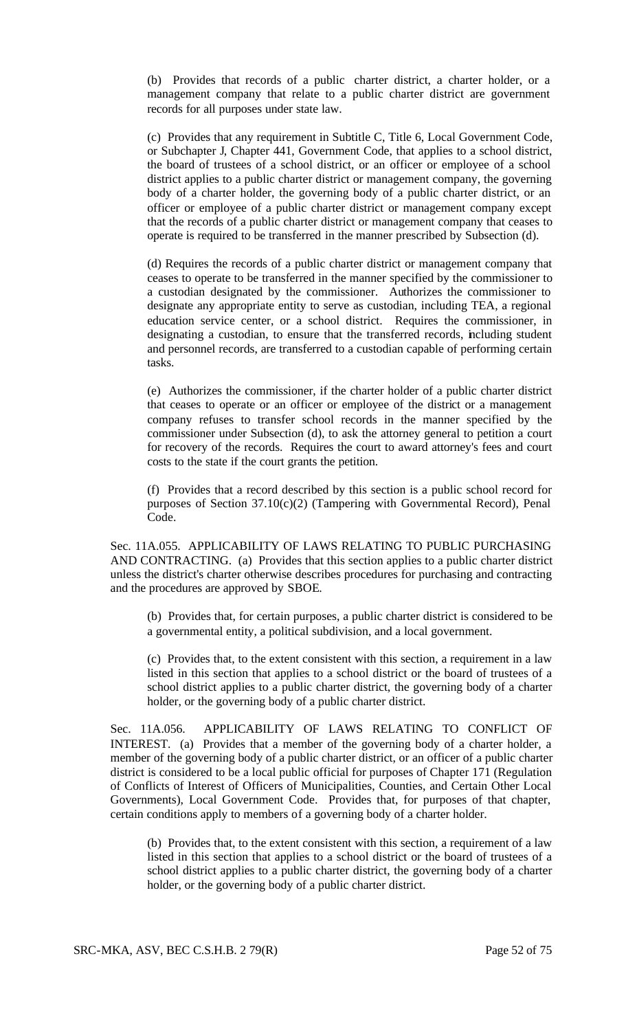(b) Provides that records of a public charter district, a charter holder, or a management company that relate to a public charter district are government records for all purposes under state law.

(c) Provides that any requirement in Subtitle C, Title 6, Local Government Code, or Subchapter J, Chapter 441, Government Code, that applies to a school district, the board of trustees of a school district, or an officer or employee of a school district applies to a public charter district or management company, the governing body of a charter holder, the governing body of a public charter district, or an officer or employee of a public charter district or management company except that the records of a public charter district or management company that ceases to operate is required to be transferred in the manner prescribed by Subsection (d).

(d) Requires the records of a public charter district or management company that ceases to operate to be transferred in the manner specified by the commissioner to a custodian designated by the commissioner. Authorizes the commissioner to designate any appropriate entity to serve as custodian, including TEA, a regional education service center, or a school district. Requires the commissioner, in designating a custodian, to ensure that the transferred records, including student and personnel records, are transferred to a custodian capable of performing certain tasks.

(e) Authorizes the commissioner, if the charter holder of a public charter district that ceases to operate or an officer or employee of the district or a management company refuses to transfer school records in the manner specified by the commissioner under Subsection (d), to ask the attorney general to petition a court for recovery of the records. Requires the court to award attorney's fees and court costs to the state if the court grants the petition.

(f) Provides that a record described by this section is a public school record for purposes of Section 37.10(c)(2) (Tampering with Governmental Record), Penal Code.

Sec. 11A.055. APPLICABILITY OF LAWS RELATING TO PUBLIC PURCHASING AND CONTRACTING. (a) Provides that this section applies to a public charter district unless the district's charter otherwise describes procedures for purchasing and contracting and the procedures are approved by SBOE.

(b) Provides that, for certain purposes, a public charter district is considered to be a governmental entity, a political subdivision, and a local government.

(c) Provides that, to the extent consistent with this section, a requirement in a law listed in this section that applies to a school district or the board of trustees of a school district applies to a public charter district, the governing body of a charter holder, or the governing body of a public charter district.

Sec. 11A.056. APPLICABILITY OF LAWS RELATING TO CONFLICT OF INTEREST. (a) Provides that a member of the governing body of a charter holder, a member of the governing body of a public charter district, or an officer of a public charter district is considered to be a local public official for purposes of Chapter 171 (Regulation of Conflicts of Interest of Officers of Municipalities, Counties, and Certain Other Local Governments), Local Government Code. Provides that, for purposes of that chapter, certain conditions apply to members of a governing body of a charter holder.

(b) Provides that, to the extent consistent with this section, a requirement of a law listed in this section that applies to a school district or the board of trustees of a school district applies to a public charter district, the governing body of a charter holder, or the governing body of a public charter district.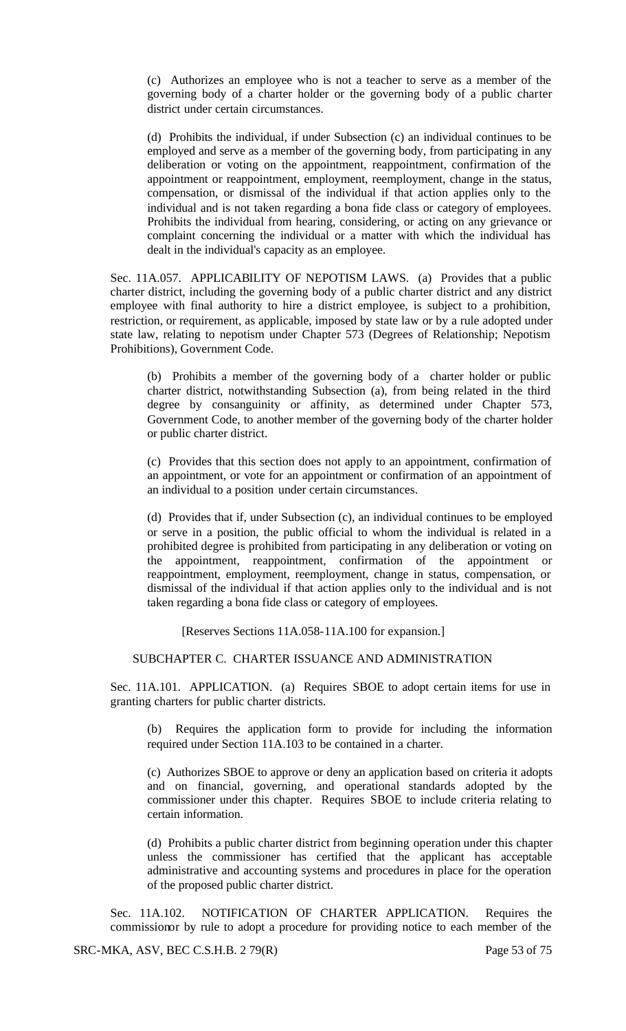(c) Authorizes an employee who is not a teacher to serve as a member of the governing body of a charter holder or the governing body of a public charter district under certain circumstances.

(d) Prohibits the individual, if under Subsection (c) an individual continues to be employed and serve as a member of the governing body, from participating in any deliberation or voting on the appointment, reappointment, confirmation of the appointment or reappointment, employment, reemployment, change in the status, compensation, or dismissal of the individual if that action applies only to the individual and is not taken regarding a bona fide class or category of employees. Prohibits the individual from hearing, considering, or acting on any grievance or complaint concerning the individual or a matter with which the individual has dealt in the individual's capacity as an employee.

Sec. 11A.057. APPLICABILITY OF NEPOTISM LAWS. (a) Provides that a public charter district, including the governing body of a public charter district and any district employee with final authority to hire a district employee, is subject to a prohibition, restriction, or requirement, as applicable, imposed by state law or by a rule adopted under state law, relating to nepotism under Chapter 573 (Degrees of Relationship; Nepotism Prohibitions), Government Code.

(b) Prohibits a member of the governing body of a charter holder or public charter district, notwithstanding Subsection (a), from being related in the third degree by consanguinity or affinity, as determined under Chapter 573, Government Code, to another member of the governing body of the charter holder or public charter district.

(c) Provides that this section does not apply to an appointment, confirmation of an appointment, or vote for an appointment or confirmation of an appointment of an individual to a position under certain circumstances.

(d) Provides that if, under Subsection (c), an individual continues to be employed or serve in a position, the public official to whom the individual is related in a prohibited degree is prohibited from participating in any deliberation or voting on the appointment, reappointment, confirmation of the appointment or reappointment, employment, reemployment, change in status, compensation, or dismissal of the individual if that action applies only to the individual and is not taken regarding a bona fide class or category of employees.

[Reserves Sections 11A.058-11A.100 for expansion.]

# SUBCHAPTER C. CHARTER ISSUANCE AND ADMINISTRATION

Sec. 11A.101. APPLICATION. (a) Requires SBOE to adopt certain items for use in granting charters for public charter districts.

(b) Requires the application form to provide for including the information required under Section 11A.103 to be contained in a charter.

(c) Authorizes SBOE to approve or deny an application based on criteria it adopts and on financial, governing, and operational standards adopted by the commissioner under this chapter. Requires SBOE to include criteria relating to certain information.

(d) Prohibits a public charter district from beginning operation under this chapter unless the commissioner has certified that the applicant has acceptable administrative and accounting systems and procedures in place for the operation of the proposed public charter district.

Sec. 11A.102. NOTIFICATION OF CHARTER APPLICATION. Requires the commissionor by rule to adopt a procedure for providing notice to each member of the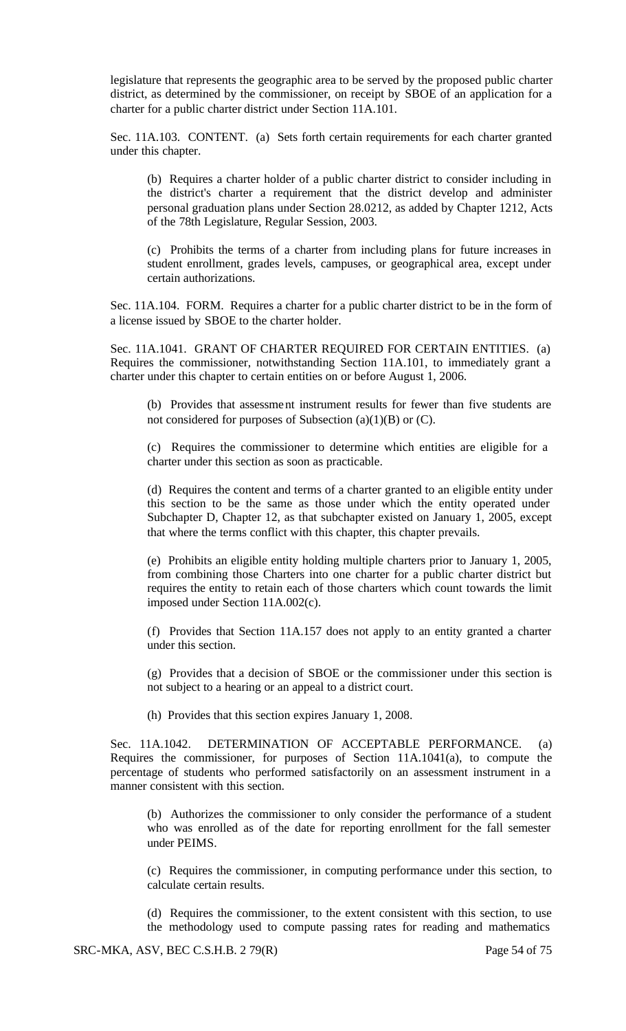legislature that represents the geographic area to be served by the proposed public charter district, as determined by the commissioner, on receipt by SBOE of an application for a charter for a public charter district under Section 11A.101.

Sec. 11A.103. CONTENT. (a) Sets forth certain requirements for each charter granted under this chapter.

(b) Requires a charter holder of a public charter district to consider including in the district's charter a requirement that the district develop and administer personal graduation plans under Section 28.0212, as added by Chapter 1212, Acts of the 78th Legislature, Regular Session, 2003.

(c) Prohibits the terms of a charter from including plans for future increases in student enrollment, grades levels, campuses, or geographical area, except under certain authorizations.

Sec. 11A.104. FORM. Requires a charter for a public charter district to be in the form of a license issued by SBOE to the charter holder.

Sec. 11A.1041. GRANT OF CHARTER REQUIRED FOR CERTAIN ENTITIES. (a) Requires the commissioner, notwithstanding Section 11A.101, to immediately grant a charter under this chapter to certain entities on or before August 1, 2006.

(b) Provides that assessment instrument results for fewer than five students are not considered for purposes of Subsection  $(a)(1)(B)$  or  $(C)$ .

(c) Requires the commissioner to determine which entities are eligible for a charter under this section as soon as practicable.

(d) Requires the content and terms of a charter granted to an eligible entity under this section to be the same as those under which the entity operated under Subchapter D, Chapter 12, as that subchapter existed on January 1, 2005, except that where the terms conflict with this chapter, this chapter prevails.

(e) Prohibits an eligible entity holding multiple charters prior to January 1, 2005, from combining those Charters into one charter for a public charter district but requires the entity to retain each of those charters which count towards the limit imposed under Section 11A.002(c).

(f) Provides that Section 11A.157 does not apply to an entity granted a charter under this section.

(g) Provides that a decision of SBOE or the commissioner under this section is not subject to a hearing or an appeal to a district court.

(h) Provides that this section expires January 1, 2008.

Sec. 11A.1042. DETERMINATION OF ACCEPTABLE PERFORMANCE. (a) Requires the commissioner, for purposes of Section 11A.1041(a), to compute the percentage of students who performed satisfactorily on an assessment instrument in a manner consistent with this section.

(b) Authorizes the commissioner to only consider the performance of a student who was enrolled as of the date for reporting enrollment for the fall semester under PEIMS.

(c) Requires the commissioner, in computing performance under this section, to calculate certain results.

(d) Requires the commissioner, to the extent consistent with this section, to use the methodology used to compute passing rates for reading and mathematics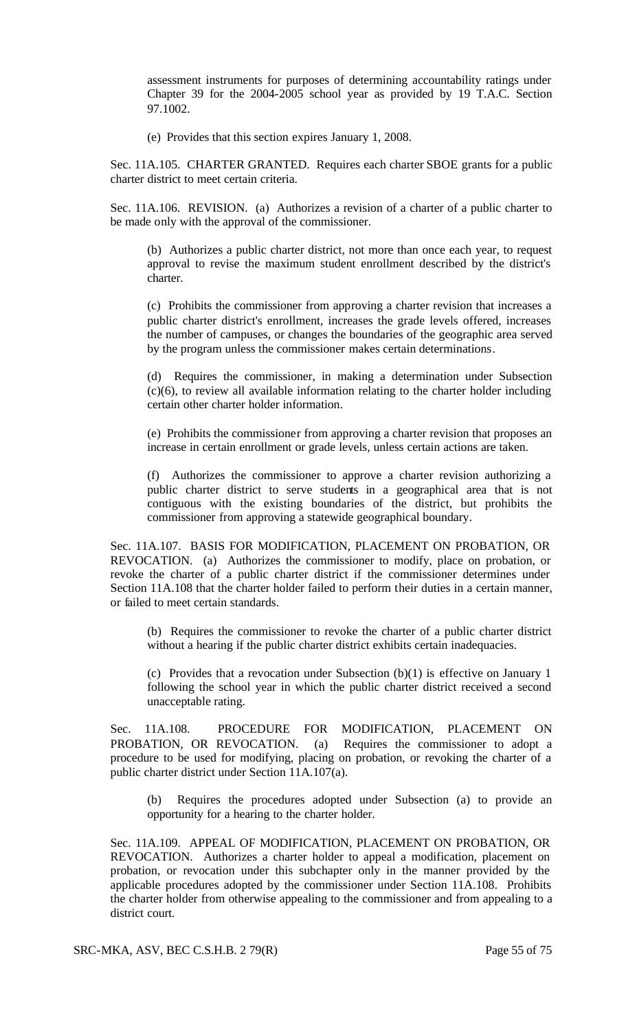assessment instruments for purposes of determining accountability ratings under Chapter 39 for the 2004-2005 school year as provided by 19 T.A.C. Section 97.1002.

(e) Provides that this section expires January 1, 2008.

Sec. 11A.105. CHARTER GRANTED. Requires each charter SBOE grants for a public charter district to meet certain criteria.

Sec. 11A.106. REVISION. (a) Authorizes a revision of a charter of a public charter to be made only with the approval of the commissioner.

(b) Authorizes a public charter district, not more than once each year, to request approval to revise the maximum student enrollment described by the district's charter.

(c) Prohibits the commissioner from approving a charter revision that increases a public charter district's enrollment, increases the grade levels offered, increases the number of campuses, or changes the boundaries of the geographic area served by the program unless the commissioner makes certain determinations.

(d) Requires the commissioner, in making a determination under Subsection (c)(6), to review all available information relating to the charter holder including certain other charter holder information.

(e) Prohibits the commissioner from approving a charter revision that proposes an increase in certain enrollment or grade levels, unless certain actions are taken.

(f) Authorizes the commissioner to approve a charter revision authorizing a public charter district to serve students in a geographical area that is not contiguous with the existing boundaries of the district, but prohibits the commissioner from approving a statewide geographical boundary.

Sec. 11A.107. BASIS FOR MODIFICATION, PLACEMENT ON PROBATION, OR REVOCATION. (a) Authorizes the commissioner to modify, place on probation, or revoke the charter of a public charter district if the commissioner determines under Section 11A.108 that the charter holder failed to perform their duties in a certain manner, or failed to meet certain standards.

(b) Requires the commissioner to revoke the charter of a public charter district without a hearing if the public charter district exhibits certain inadequacies.

(c) Provides that a revocation under Subsection  $(b)(1)$  is effective on January 1 following the school year in which the public charter district received a second unacceptable rating.

Sec. 11A.108. PROCEDURE FOR MODIFICATION, PLACEMENT ON PROBATION, OR REVOCATION. (a) Requires the commissioner to adopt a procedure to be used for modifying, placing on probation, or revoking the charter of a public charter district under Section 11A.107(a).

Requires the procedures adopted under Subsection (a) to provide an opportunity for a hearing to the charter holder.

Sec. 11A.109. APPEAL OF MODIFICATION, PLACEMENT ON PROBATION, OR REVOCATION. Authorizes a charter holder to appeal a modification, placement on probation, or revocation under this subchapter only in the manner provided by the applicable procedures adopted by the commissioner under Section 11A.108. Prohibits the charter holder from otherwise appealing to the commissioner and from appealing to a district court.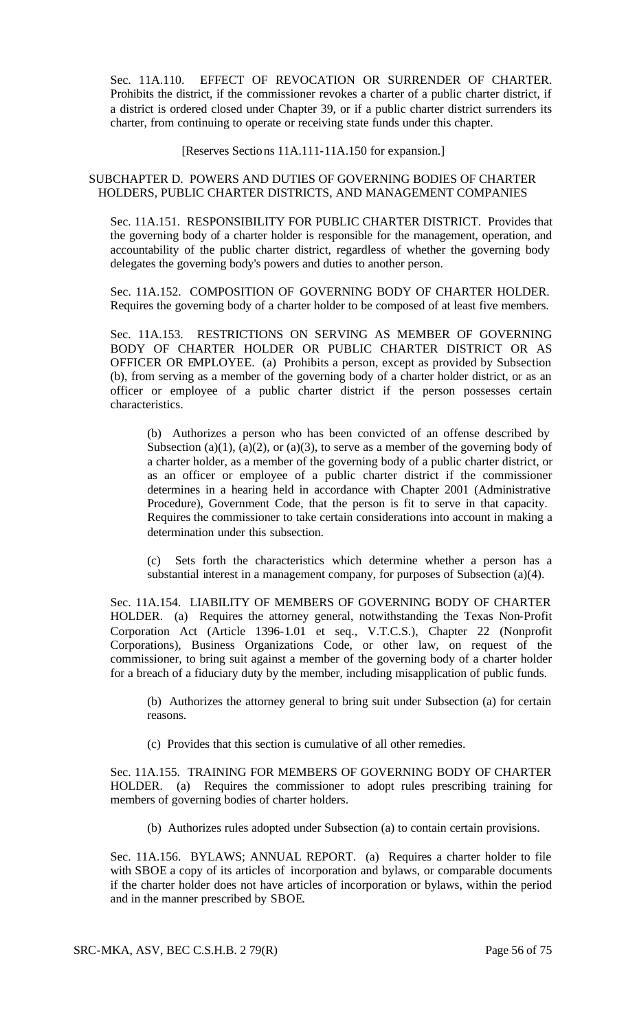Sec. 11A.110. EFFECT OF REVOCATION OR SURRENDER OF CHARTER. Prohibits the district, if the commissioner revokes a charter of a public charter district, if a district is ordered closed under Chapter 39, or if a public charter district surrenders its charter, from continuing to operate or receiving state funds under this chapter.

[Reserves Sections 11A.111-11A.150 for expansion.]

### SUBCHAPTER D. POWERS AND DUTIES OF GOVERNING BODIES OF CHARTER HOLDERS, PUBLIC CHARTER DISTRICTS, AND MANAGEMENT COMPANIES

Sec. 11A.151. RESPONSIBILITY FOR PUBLIC CHARTER DISTRICT. Provides that the governing body of a charter holder is responsible for the management, operation, and accountability of the public charter district, regardless of whether the governing body delegates the governing body's powers and duties to another person.

Sec. 11A.152. COMPOSITION OF GOVERNING BODY OF CHARTER HOLDER. Requires the governing body of a charter holder to be composed of at least five members.

Sec. 11A.153. RESTRICTIONS ON SERVING AS MEMBER OF GOVERNING BODY OF CHARTER HOLDER OR PUBLIC CHARTER DISTRICT OR AS OFFICER OR EMPLOYEE. (a) Prohibits a person, except as provided by Subsection (b), from serving as a member of the governing body of a charter holder district, or as an officer or employee of a public charter district if the person possesses certain characteristics.

(b) Authorizes a person who has been convicted of an offense described by Subsection (a)(1), (a)(2), or (a)(3), to serve as a member of the governing body of a charter holder, as a member of the governing body of a public charter district, or as an officer or employee of a public charter district if the commissioner determines in a hearing held in accordance with Chapter 2001 (Administrative Procedure), Government Code, that the person is fit to serve in that capacity. Requires the commissioner to take certain considerations into account in making a determination under this subsection.

(c) Sets forth the characteristics which determine whether a person has a substantial interest in a management company, for purposes of Subsection (a)(4).

Sec. 11A.154. LIABILITY OF MEMBERS OF GOVERNING BODY OF CHARTER HOLDER. (a) Requires the attorney general, notwithstanding the Texas Non-Profit Corporation Act (Article 1396-1.01 et seq., V.T.C.S.), Chapter 22 (Nonprofit Corporations), Business Organizations Code, or other law, on request of the commissioner, to bring suit against a member of the governing body of a charter holder for a breach of a fiduciary duty by the member, including misapplication of public funds.

(b) Authorizes the attorney general to bring suit under Subsection (a) for certain reasons.

(c) Provides that this section is cumulative of all other remedies.

Sec. 11A.155. TRAINING FOR MEMBERS OF GOVERNING BODY OF CHARTER HOLDER. (a) Requires the commissioner to adopt rules prescribing training for members of governing bodies of charter holders.

(b) Authorizes rules adopted under Subsection (a) to contain certain provisions.

Sec. 11A.156. BYLAWS; ANNUAL REPORT. (a) Requires a charter holder to file with SBOE a copy of its articles of incorporation and bylaws, or comparable documents if the charter holder does not have articles of incorporation or bylaws, within the period and in the manner prescribed by SBOE.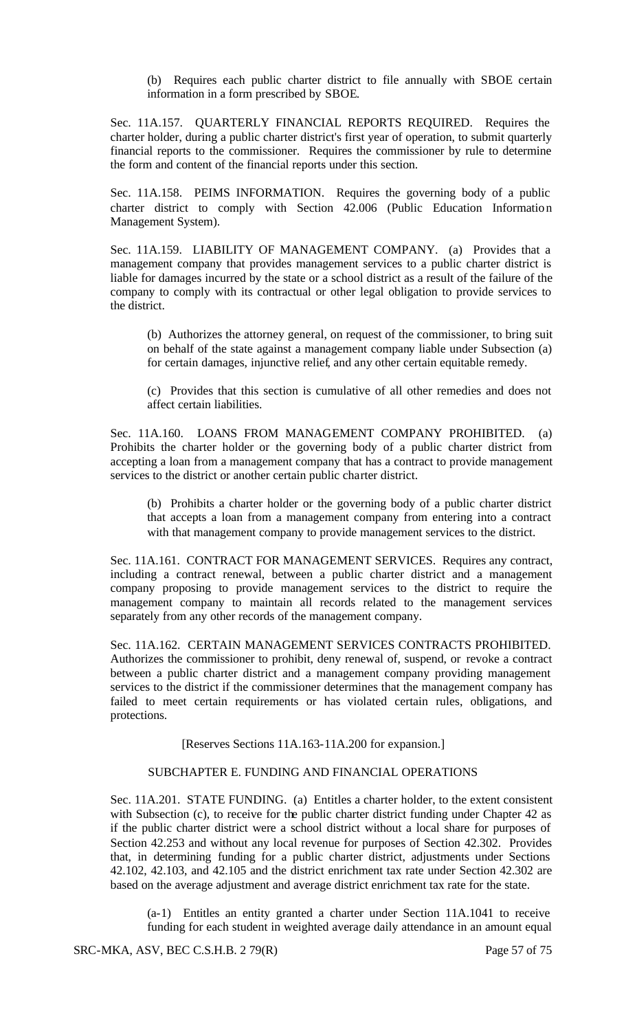(b) Requires each public charter district to file annually with SBOE certain information in a form prescribed by SBOE.

Sec. 11A.157. QUARTERLY FINANCIAL REPORTS REQUIRED. Requires the charter holder, during a public charter district's first year of operation, to submit quarterly financial reports to the commissioner. Requires the commissioner by rule to determine the form and content of the financial reports under this section.

Sec. 11A.158. PEIMS INFORMATION. Requires the governing body of a public charter district to comply with Section 42.006 (Public Education Information Management System).

Sec. 11A.159. LIABILITY OF MANAGEMENT COMPANY. (a) Provides that a management company that provides management services to a public charter district is liable for damages incurred by the state or a school district as a result of the failure of the company to comply with its contractual or other legal obligation to provide services to the district.

(b) Authorizes the attorney general, on request of the commissioner, to bring suit on behalf of the state against a management company liable under Subsection (a) for certain damages, injunctive relief, and any other certain equitable remedy.

(c) Provides that this section is cumulative of all other remedies and does not affect certain liabilities.

Sec. 11A.160. LOANS FROM MANAGEMENT COMPANY PROHIBITED. (a) Prohibits the charter holder or the governing body of a public charter district from accepting a loan from a management company that has a contract to provide management services to the district or another certain public charter district.

(b) Prohibits a charter holder or the governing body of a public charter district that accepts a loan from a management company from entering into a contract with that management company to provide management services to the district.

Sec. 11A.161. CONTRACT FOR MANAGEMENT SERVICES. Requires any contract, including a contract renewal, between a public charter district and a management company proposing to provide management services to the district to require the management company to maintain all records related to the management services separately from any other records of the management company.

Sec. 11A.162. CERTAIN MANAGEMENT SERVICES CONTRACTS PROHIBITED. Authorizes the commissioner to prohibit, deny renewal of, suspend, or revoke a contract between a public charter district and a management company providing management services to the district if the commissioner determines that the management company has failed to meet certain requirements or has violated certain rules, obligations, and protections.

[Reserves Sections 11A.163-11A.200 for expansion.]

# SUBCHAPTER E. FUNDING AND FINANCIAL OPERATIONS

Sec. 11A.201. STATE FUNDING. (a) Entitles a charter holder, to the extent consistent with Subsection (c), to receive for the public charter district funding under Chapter 42 as if the public charter district were a school district without a local share for purposes of Section 42.253 and without any local revenue for purposes of Section 42.302. Provides that, in determining funding for a public charter district, adjustments under Sections 42.102, 42.103, and 42.105 and the district enrichment tax rate under Section 42.302 are based on the average adjustment and average district enrichment tax rate for the state.

(a-1) Entitles an entity granted a charter under Section 11A.1041 to receive funding for each student in weighted average daily attendance in an amount equal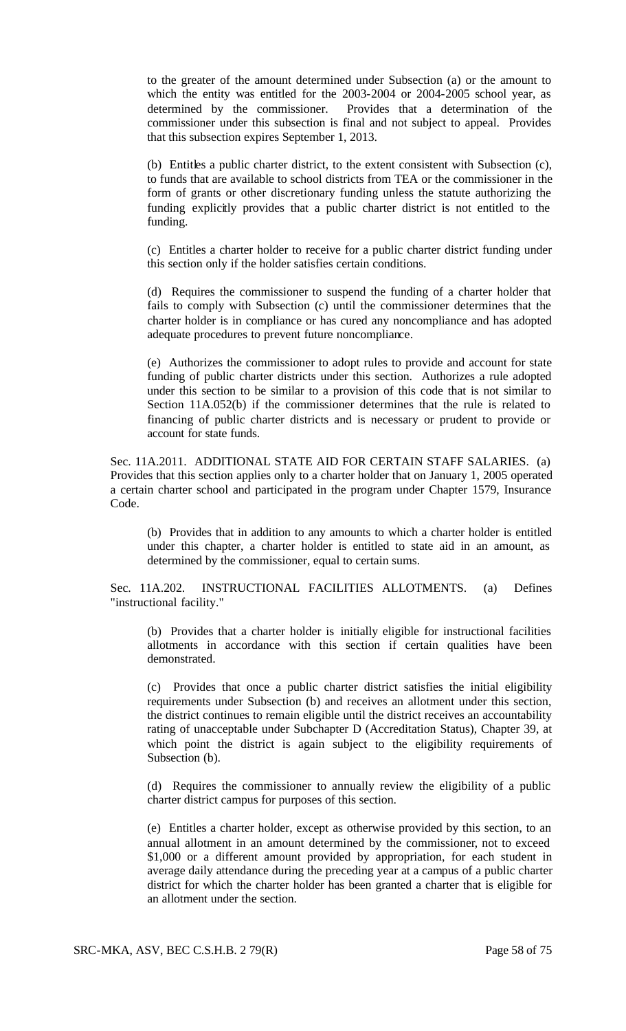to the greater of the amount determined under Subsection (a) or the amount to which the entity was entitled for the 2003-2004 or 2004-2005 school year, as determined by the commissioner. Provides that a determination of the commissioner under this subsection is final and not subject to appeal. Provides that this subsection expires September 1, 2013.

(b) Entitles a public charter district, to the extent consistent with Subsection (c), to funds that are available to school districts from TEA or the commissioner in the form of grants or other discretionary funding unless the statute authorizing the funding explicitly provides that a public charter district is not entitled to the funding.

(c) Entitles a charter holder to receive for a public charter district funding under this section only if the holder satisfies certain conditions.

(d) Requires the commissioner to suspend the funding of a charter holder that fails to comply with Subsection (c) until the commissioner determines that the charter holder is in compliance or has cured any noncompliance and has adopted adequate procedures to prevent future noncompliance.

(e) Authorizes the commissioner to adopt rules to provide and account for state funding of public charter districts under this section. Authorizes a rule adopted under this section to be similar to a provision of this code that is not similar to Section 11A.052(b) if the commissioner determines that the rule is related to financing of public charter districts and is necessary or prudent to provide or account for state funds.

Sec. 11A.2011. ADDITIONAL STATE AID FOR CERTAIN STAFF SALARIES. (a) Provides that this section applies only to a charter holder that on January 1, 2005 operated a certain charter school and participated in the program under Chapter 1579, Insurance Code.

(b) Provides that in addition to any amounts to which a charter holder is entitled under this chapter, a charter holder is entitled to state aid in an amount, as determined by the commissioner, equal to certain sums.

Sec. 11A.202. INSTRUCTIONAL FACILITIES ALLOTMENTS. (a) Defines "instructional facility."

(b) Provides that a charter holder is initially eligible for instructional facilities allotments in accordance with this section if certain qualities have been demonstrated.

(c) Provides that once a public charter district satisfies the initial eligibility requirements under Subsection (b) and receives an allotment under this section, the district continues to remain eligible until the district receives an accountability rating of unacceptable under Subchapter D (Accreditation Status), Chapter 39, at which point the district is again subject to the eligibility requirements of Subsection (b).

(d) Requires the commissioner to annually review the eligibility of a public charter district campus for purposes of this section.

(e) Entitles a charter holder, except as otherwise provided by this section, to an annual allotment in an amount determined by the commissioner, not to exceed \$1,000 or a different amount provided by appropriation, for each student in average daily attendance during the preceding year at a campus of a public charter district for which the charter holder has been granted a charter that is eligible for an allotment under the section.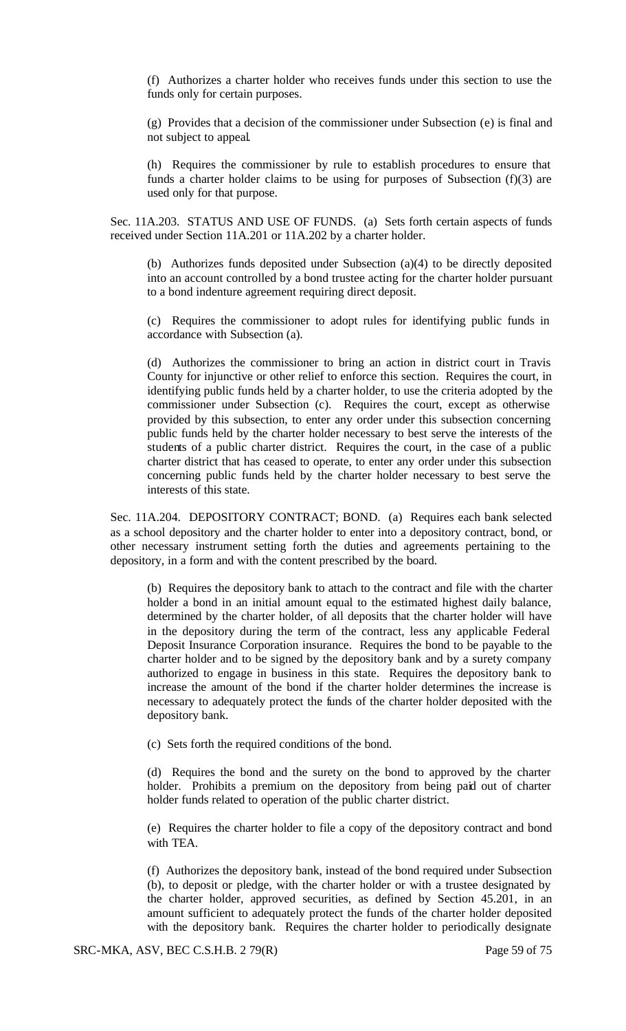(f) Authorizes a charter holder who receives funds under this section to use the funds only for certain purposes.

(g) Provides that a decision of the commissioner under Subsection (e) is final and not subject to appeal.

(h) Requires the commissioner by rule to establish procedures to ensure that funds a charter holder claims to be using for purposes of Subsection (f)(3) are used only for that purpose.

Sec. 11A.203. STATUS AND USE OF FUNDS. (a) Sets forth certain aspects of funds received under Section 11A.201 or 11A.202 by a charter holder.

(b) Authorizes funds deposited under Subsection (a)(4) to be directly deposited into an account controlled by a bond trustee acting for the charter holder pursuant to a bond indenture agreement requiring direct deposit.

(c) Requires the commissioner to adopt rules for identifying public funds in accordance with Subsection (a).

(d) Authorizes the commissioner to bring an action in district court in Travis County for injunctive or other relief to enforce this section. Requires the court, in identifying public funds held by a charter holder, to use the criteria adopted by the commissioner under Subsection (c). Requires the court, except as otherwise provided by this subsection, to enter any order under this subsection concerning public funds held by the charter holder necessary to best serve the interests of the students of a public charter district. Requires the court, in the case of a public charter district that has ceased to operate, to enter any order under this subsection concerning public funds held by the charter holder necessary to best serve the interests of this state.

Sec. 11A.204. DEPOSITORY CONTRACT; BOND. (a) Requires each bank selected as a school depository and the charter holder to enter into a depository contract, bond, or other necessary instrument setting forth the duties and agreements pertaining to the depository, in a form and with the content prescribed by the board.

(b) Requires the depository bank to attach to the contract and file with the charter holder a bond in an initial amount equal to the estimated highest daily balance, determined by the charter holder, of all deposits that the charter holder will have in the depository during the term of the contract, less any applicable Federal Deposit Insurance Corporation insurance. Requires the bond to be payable to the charter holder and to be signed by the depository bank and by a surety company authorized to engage in business in this state. Requires the depository bank to increase the amount of the bond if the charter holder determines the increase is necessary to adequately protect the funds of the charter holder deposited with the depository bank.

(c) Sets forth the required conditions of the bond.

(d) Requires the bond and the surety on the bond to approved by the charter holder. Prohibits a premium on the depository from being paid out of charter holder funds related to operation of the public charter district.

(e) Requires the charter holder to file a copy of the depository contract and bond with TEA.

(f) Authorizes the depository bank, instead of the bond required under Subsection (b), to deposit or pledge, with the charter holder or with a trustee designated by the charter holder, approved securities, as defined by Section 45.201, in an amount sufficient to adequately protect the funds of the charter holder deposited with the depository bank. Requires the charter holder to periodically designate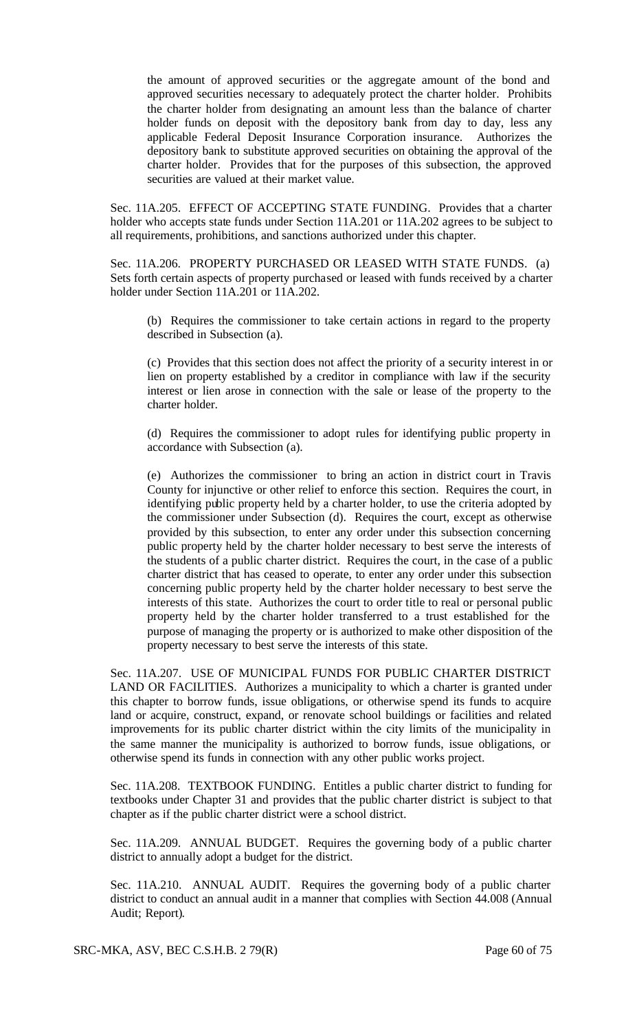the amount of approved securities or the aggregate amount of the bond and approved securities necessary to adequately protect the charter holder. Prohibits the charter holder from designating an amount less than the balance of charter holder funds on deposit with the depository bank from day to day, less any applicable Federal Deposit Insurance Corporation insurance. Authorizes the depository bank to substitute approved securities on obtaining the approval of the charter holder. Provides that for the purposes of this subsection, the approved securities are valued at their market value.

Sec. 11A.205. EFFECT OF ACCEPTING STATE FUNDING. Provides that a charter holder who accepts state funds under Section 11A.201 or 11A.202 agrees to be subject to all requirements, prohibitions, and sanctions authorized under this chapter.

Sec. 11A.206. PROPERTY PURCHASED OR LEASED WITH STATE FUNDS. (a) Sets forth certain aspects of property purchased or leased with funds received by a charter holder under Section 11A.201 or 11A.202.

(b) Requires the commissioner to take certain actions in regard to the property described in Subsection (a).

(c) Provides that this section does not affect the priority of a security interest in or lien on property established by a creditor in compliance with law if the security interest or lien arose in connection with the sale or lease of the property to the charter holder.

(d) Requires the commissioner to adopt rules for identifying public property in accordance with Subsection (a).

(e) Authorizes the commissioner to bring an action in district court in Travis County for injunctive or other relief to enforce this section. Requires the court, in identifying public property held by a charter holder, to use the criteria adopted by the commissioner under Subsection (d). Requires the court, except as otherwise provided by this subsection, to enter any order under this subsection concerning public property held by the charter holder necessary to best serve the interests of the students of a public charter district. Requires the court, in the case of a public charter district that has ceased to operate, to enter any order under this subsection concerning public property held by the charter holder necessary to best serve the interests of this state. Authorizes the court to order title to real or personal public property held by the charter holder transferred to a trust established for the purpose of managing the property or is authorized to make other disposition of the property necessary to best serve the interests of this state.

Sec. 11A.207. USE OF MUNICIPAL FUNDS FOR PUBLIC CHARTER DISTRICT LAND OR FACILITIES. Authorizes a municipality to which a charter is granted under this chapter to borrow funds, issue obligations, or otherwise spend its funds to acquire land or acquire, construct, expand, or renovate school buildings or facilities and related improvements for its public charter district within the city limits of the municipality in the same manner the municipality is authorized to borrow funds, issue obligations, or otherwise spend its funds in connection with any other public works project.

Sec. 11A.208. TEXTBOOK FUNDING. Entitles a public charter district to funding for textbooks under Chapter 31 and provides that the public charter district is subject to that chapter as if the public charter district were a school district.

Sec. 11A.209. ANNUAL BUDGET. Requires the governing body of a public charter district to annually adopt a budget for the district.

Sec. 11A.210. ANNUAL AUDIT. Requires the governing body of a public charter district to conduct an annual audit in a manner that complies with Section 44.008 (Annual Audit; Report).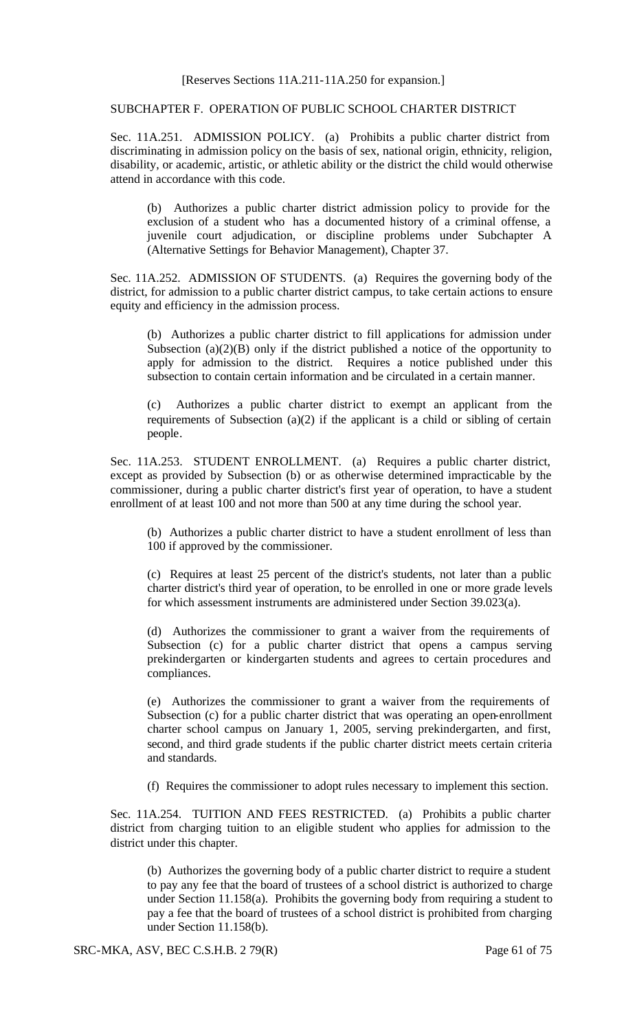### SUBCHAPTER F. OPERATION OF PUBLIC SCHOOL CHARTER DISTRICT

Sec. 11A.251. ADMISSION POLICY. (a) Prohibits a public charter district from discriminating in admission policy on the basis of sex, national origin, ethnicity, religion, disability, or academic, artistic, or athletic ability or the district the child would otherwise attend in accordance with this code.

(b) Authorizes a public charter district admission policy to provide for the exclusion of a student who has a documented history of a criminal offense, a juvenile court adjudication, or discipline problems under Subchapter A (Alternative Settings for Behavior Management), Chapter 37.

Sec. 11A.252. ADMISSION OF STUDENTS. (a) Requires the governing body of the district, for admission to a public charter district campus, to take certain actions to ensure equity and efficiency in the admission process.

(b) Authorizes a public charter district to fill applications for admission under Subsection (a) $(2)(B)$  only if the district published a notice of the opportunity to apply for admission to the district. Requires a notice published under this subsection to contain certain information and be circulated in a certain manner.

(c) Authorizes a public charter district to exempt an applicant from the requirements of Subsection (a)(2) if the applicant is a child or sibling of certain people.

Sec. 11A.253. STUDENT ENROLLMENT. (a) Requires a public charter district, except as provided by Subsection (b) or as otherwise determined impracticable by the commissioner, during a public charter district's first year of operation, to have a student enrollment of at least 100 and not more than 500 at any time during the school year.

(b) Authorizes a public charter district to have a student enrollment of less than 100 if approved by the commissioner.

(c) Requires at least 25 percent of the district's students, not later than a public charter district's third year of operation, to be enrolled in one or more grade levels for which assessment instruments are administered under Section 39.023(a).

(d) Authorizes the commissioner to grant a waiver from the requirements of Subsection (c) for a public charter district that opens a campus serving prekindergarten or kindergarten students and agrees to certain procedures and compliances.

(e) Authorizes the commissioner to grant a waiver from the requirements of Subsection (c) for a public charter district that was operating an open-enrollment charter school campus on January 1, 2005, serving prekindergarten, and first, second, and third grade students if the public charter district meets certain criteria and standards.

(f) Requires the commissioner to adopt rules necessary to implement this section.

Sec. 11A.254. TUITION AND FEES RESTRICTED. (a) Prohibits a public charter district from charging tuition to an eligible student who applies for admission to the district under this chapter.

(b) Authorizes the governing body of a public charter district to require a student to pay any fee that the board of trustees of a school district is authorized to charge under Section 11.158(a). Prohibits the governing body from requiring a student to pay a fee that the board of trustees of a school district is prohibited from charging under Section 11.158(b).

SRC-MKA, ASV, BEC C.S.H.B. 2 79(R) Page 61 of 75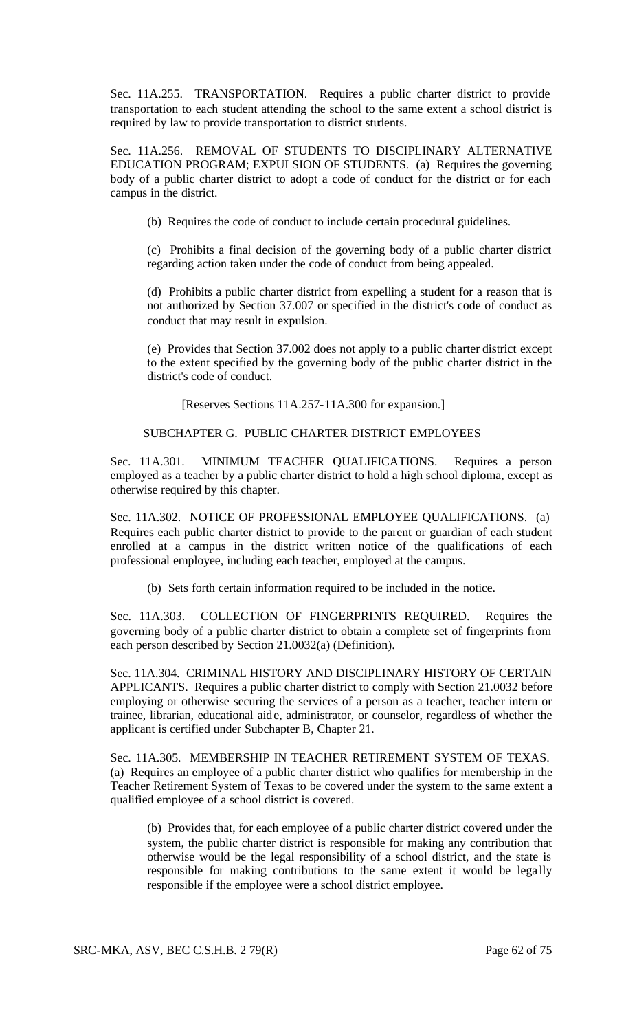Sec. 11A.255. TRANSPORTATION. Requires a public charter district to provide transportation to each student attending the school to the same extent a school district is required by law to provide transportation to district students.

Sec. 11A.256. REMOVAL OF STUDENTS TO DISCIPLINARY ALTERNATIVE EDUCATION PROGRAM; EXPULSION OF STUDENTS. (a) Requires the governing body of a public charter district to adopt a code of conduct for the district or for each campus in the district.

(b) Requires the code of conduct to include certain procedural guidelines.

(c) Prohibits a final decision of the governing body of a public charter district regarding action taken under the code of conduct from being appealed.

(d) Prohibits a public charter district from expelling a student for a reason that is not authorized by Section 37.007 or specified in the district's code of conduct as conduct that may result in expulsion.

(e) Provides that Section 37.002 does not apply to a public charter district except to the extent specified by the governing body of the public charter district in the district's code of conduct.

[Reserves Sections 11A.257-11A.300 for expansion.]

## SUBCHAPTER G. PUBLIC CHARTER DISTRICT EMPLOYEES

Sec. 11A.301. MINIMUM TEACHER QUALIFICATIONS. Requires a person employed as a teacher by a public charter district to hold a high school diploma, except as otherwise required by this chapter.

Sec. 11A.302. NOTICE OF PROFESSIONAL EMPLOYEE QUALIFICATIONS. (a) Requires each public charter district to provide to the parent or guardian of each student enrolled at a campus in the district written notice of the qualifications of each professional employee, including each teacher, employed at the campus.

(b) Sets forth certain information required to be included in the notice.

Sec. 11A.303. COLLECTION OF FINGERPRINTS REQUIRED. Requires the governing body of a public charter district to obtain a complete set of fingerprints from each person described by Section 21.0032(a) (Definition).

Sec. 11A.304. CRIMINAL HISTORY AND DISCIPLINARY HISTORY OF CERTAIN APPLICANTS. Requires a public charter district to comply with Section 21.0032 before employing or otherwise securing the services of a person as a teacher, teacher intern or trainee, librarian, educational aide, administrator, or counselor, regardless of whether the applicant is certified under Subchapter B, Chapter 21.

Sec. 11A.305. MEMBERSHIP IN TEACHER RETIREMENT SYSTEM OF TEXAS. (a) Requires an employee of a public charter district who qualifies for membership in the Teacher Retirement System of Texas to be covered under the system to the same extent a qualified employee of a school district is covered.

(b) Provides that, for each employee of a public charter district covered under the system, the public charter district is responsible for making any contribution that otherwise would be the legal responsibility of a school district, and the state is responsible for making contributions to the same extent it would be lega lly responsible if the employee were a school district employee.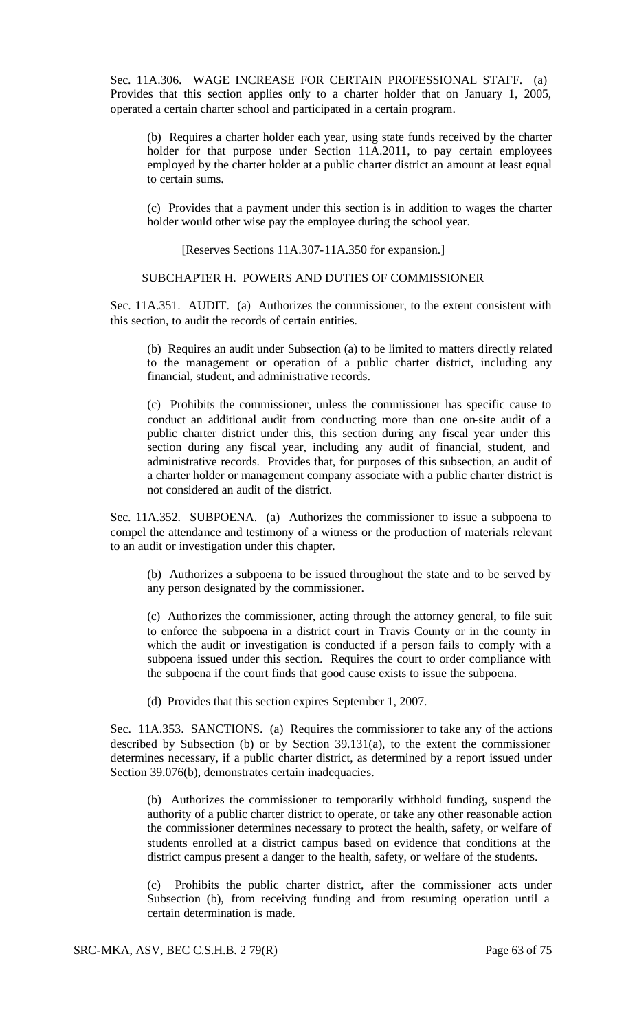Sec. 11A.306. WAGE INCREASE FOR CERTAIN PROFESSIONAL STAFF. (a) Provides that this section applies only to a charter holder that on January 1, 2005, operated a certain charter school and participated in a certain program.

(b) Requires a charter holder each year, using state funds received by the charter holder for that purpose under Section 11A.2011, to pay certain employees employed by the charter holder at a public charter district an amount at least equal to certain sums.

(c) Provides that a payment under this section is in addition to wages the charter holder would other wise pay the employee during the school year.

[Reserves Sections 11A.307-11A.350 for expansion.]

### SUBCHAPTER H. POWERS AND DUTIES OF COMMISSIONER

Sec. 11A.351. AUDIT. (a) Authorizes the commissioner, to the extent consistent with this section, to audit the records of certain entities.

(b) Requires an audit under Subsection (a) to be limited to matters directly related to the management or operation of a public charter district, including any financial, student, and administrative records.

(c) Prohibits the commissioner, unless the commissioner has specific cause to conduct an additional audit from conducting more than one on-site audit of a public charter district under this, this section during any fiscal year under this section during any fiscal year, including any audit of financial, student, and administrative records. Provides that, for purposes of this subsection, an audit of a charter holder or management company associate with a public charter district is not considered an audit of the district.

Sec. 11A.352. SUBPOENA. (a) Authorizes the commissioner to issue a subpoena to compel the attendance and testimony of a witness or the production of materials relevant to an audit or investigation under this chapter.

(b) Authorizes a subpoena to be issued throughout the state and to be served by any person designated by the commissioner.

(c) Authorizes the commissioner, acting through the attorney general, to file suit to enforce the subpoena in a district court in Travis County or in the county in which the audit or investigation is conducted if a person fails to comply with a subpoena issued under this section. Requires the court to order compliance with the subpoena if the court finds that good cause exists to issue the subpoena.

(d) Provides that this section expires September 1, 2007.

Sec. 11A.353. SANCTIONS. (a) Requires the commissioner to take any of the actions described by Subsection (b) or by Section 39.131(a), to the extent the commissioner determines necessary, if a public charter district, as determined by a report issued under Section 39.076(b), demonstrates certain inadequacies.

(b) Authorizes the commissioner to temporarily withhold funding, suspend the authority of a public charter district to operate, or take any other reasonable action the commissioner determines necessary to protect the health, safety, or welfare of students enrolled at a district campus based on evidence that conditions at the district campus present a danger to the health, safety, or welfare of the students.

(c) Prohibits the public charter district, after the commissioner acts under Subsection (b), from receiving funding and from resuming operation until a certain determination is made.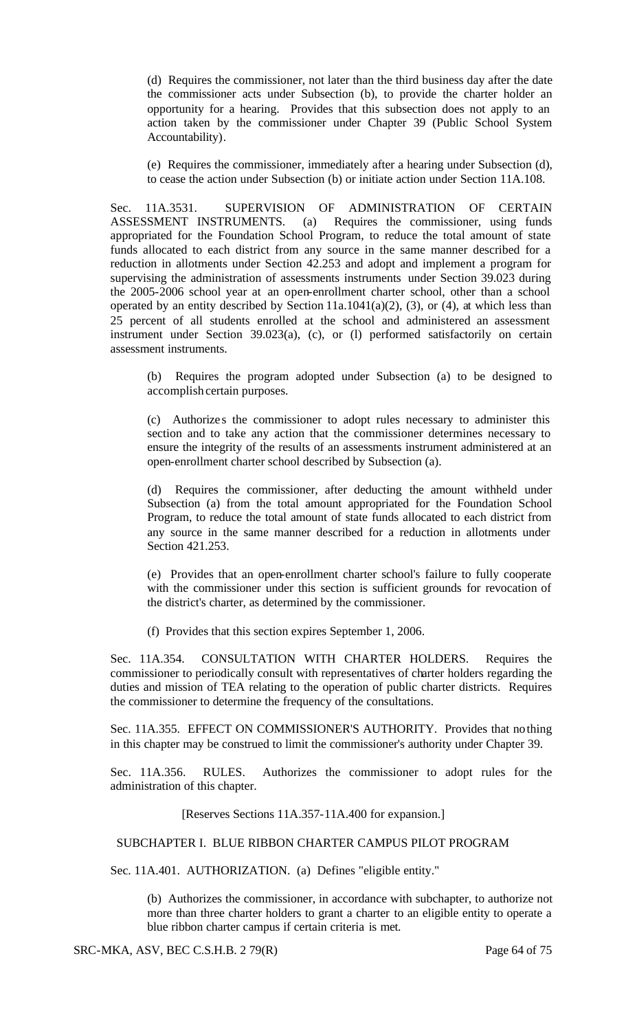(d) Requires the commissioner, not later than the third business day after the date the commissioner acts under Subsection (b), to provide the charter holder an opportunity for a hearing. Provides that this subsection does not apply to an action taken by the commissioner under Chapter 39 (Public School System Accountability).

(e) Requires the commissioner, immediately after a hearing under Subsection (d), to cease the action under Subsection (b) or initiate action under Section 11A.108.

Sec. 11A.3531. SUPERVISION OF ADMINISTRATION OF CERTAIN ASSESSMENT INSTRUMENTS. (a) Requires the commissioner, using funds appropriated for the Foundation School Program, to reduce the total amount of state funds allocated to each district from any source in the same manner described for a reduction in allotments under Section 42.253 and adopt and implement a program for supervising the administration of assessments instruments under Section 39.023 during the 2005-2006 school year at an open-enrollment charter school, other than a school operated by an entity described by Section  $11a.1041(a)(2)$ ,  $(3)$ , or  $(4)$ , at which less than 25 percent of all students enrolled at the school and administered an assessment instrument under Section 39.023(a), (c), or (l) performed satisfactorily on certain assessment instruments.

(b) Requires the program adopted under Subsection (a) to be designed to accomplish certain purposes.

(c) Authorizes the commissioner to adopt rules necessary to administer this section and to take any action that the commissioner determines necessary to ensure the integrity of the results of an assessments instrument administered at an open-enrollment charter school described by Subsection (a).

(d) Requires the commissioner, after deducting the amount withheld under Subsection (a) from the total amount appropriated for the Foundation School Program, to reduce the total amount of state funds allocated to each district from any source in the same manner described for a reduction in allotments under Section 421.253.

(e) Provides that an open-enrollment charter school's failure to fully cooperate with the commissioner under this section is sufficient grounds for revocation of the district's charter, as determined by the commissioner.

(f) Provides that this section expires September 1, 2006.

Sec. 11A.354. CONSULTATION WITH CHARTER HOLDERS. Requires the commissioner to periodically consult with representatives of charter holders regarding the duties and mission of TEA relating to the operation of public charter districts. Requires the commissioner to determine the frequency of the consultations.

Sec. 11A.355. EFFECT ON COMMISSIONER'S AUTHORITY. Provides that nothing in this chapter may be construed to limit the commissioner's authority under Chapter 39.

Sec. 11A.356. RULES. Authorizes the commissioner to adopt rules for the administration of this chapter.

## [Reserves Sections 11A.357-11A.400 for expansion.]

## SUBCHAPTER I. BLUE RIBBON CHARTER CAMPUS PILOT PROGRAM

Sec. 11A.401. AUTHORIZATION. (a) Defines "eligible entity."

(b) Authorizes the commissioner, in accordance with subchapter, to authorize not more than three charter holders to grant a charter to an eligible entity to operate a blue ribbon charter campus if certain criteria is met.

SRC-MKA, ASV, BEC C.S.H.B. 2 79(R) Page 64 of 75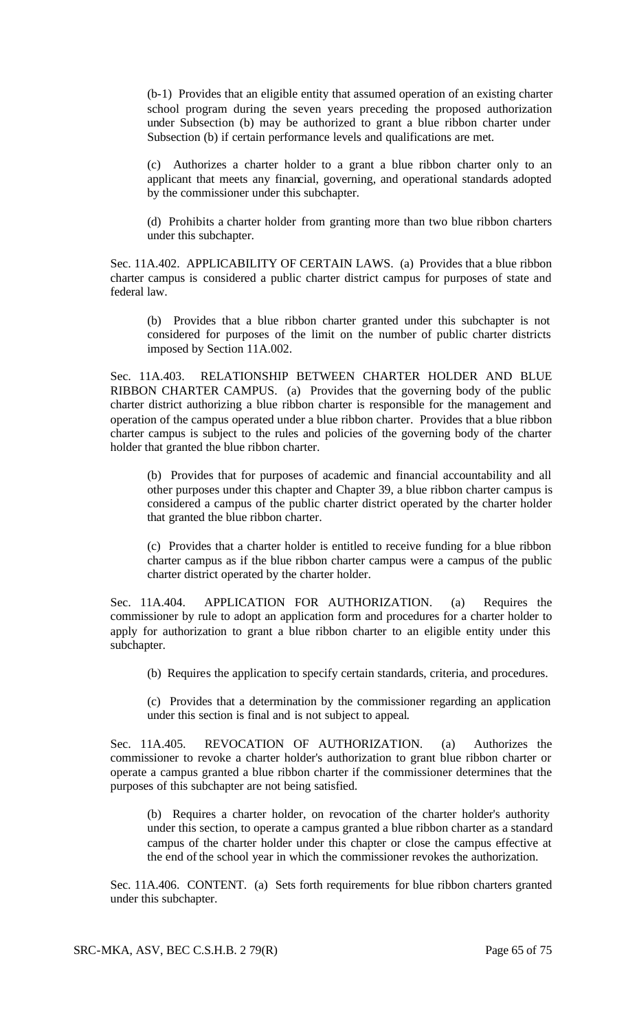(b-1) Provides that an eligible entity that assumed operation of an existing charter school program during the seven years preceding the proposed authorization under Subsection (b) may be authorized to grant a blue ribbon charter under Subsection (b) if certain performance levels and qualifications are met.

(c) Authorizes a charter holder to a grant a blue ribbon charter only to an applicant that meets any financial, governing, and operational standards adopted by the commissioner under this subchapter.

(d) Prohibits a charter holder from granting more than two blue ribbon charters under this subchapter.

Sec. 11A.402. APPLICABILITY OF CERTAIN LAWS. (a) Provides that a blue ribbon charter campus is considered a public charter district campus for purposes of state and federal law.

(b) Provides that a blue ribbon charter granted under this subchapter is not considered for purposes of the limit on the number of public charter districts imposed by Section 11A.002.

Sec. 11A.403. RELATIONSHIP BETWEEN CHARTER HOLDER AND BLUE RIBBON CHARTER CAMPUS. (a) Provides that the governing body of the public charter district authorizing a blue ribbon charter is responsible for the management and operation of the campus operated under a blue ribbon charter. Provides that a blue ribbon charter campus is subject to the rules and policies of the governing body of the charter holder that granted the blue ribbon charter.

(b) Provides that for purposes of academic and financial accountability and all other purposes under this chapter and Chapter 39, a blue ribbon charter campus is considered a campus of the public charter district operated by the charter holder that granted the blue ribbon charter.

(c) Provides that a charter holder is entitled to receive funding for a blue ribbon charter campus as if the blue ribbon charter campus were a campus of the public charter district operated by the charter holder.

Sec. 11A.404. APPLICATION FOR AUTHORIZATION. (a) Requires the commissioner by rule to adopt an application form and procedures for a charter holder to apply for authorization to grant a blue ribbon charter to an eligible entity under this subchapter.

(b) Requires the application to specify certain standards, criteria, and procedures.

(c) Provides that a determination by the commissioner regarding an application under this section is final and is not subject to appeal.

Sec. 11A.405. REVOCATION OF AUTHORIZATION. (a) Authorizes the commissioner to revoke a charter holder's authorization to grant blue ribbon charter or operate a campus granted a blue ribbon charter if the commissioner determines that the purposes of this subchapter are not being satisfied.

(b) Requires a charter holder, on revocation of the charter holder's authority under this section, to operate a campus granted a blue ribbon charter as a standard campus of the charter holder under this chapter or close the campus effective at the end of the school year in which the commissioner revokes the authorization.

Sec. 11A.406. CONTENT. (a) Sets forth requirements for blue ribbon charters granted under this subchapter.

SRC-MKA, ASV, BEC C.S.H.B. 2 79(R) Page 65 of 75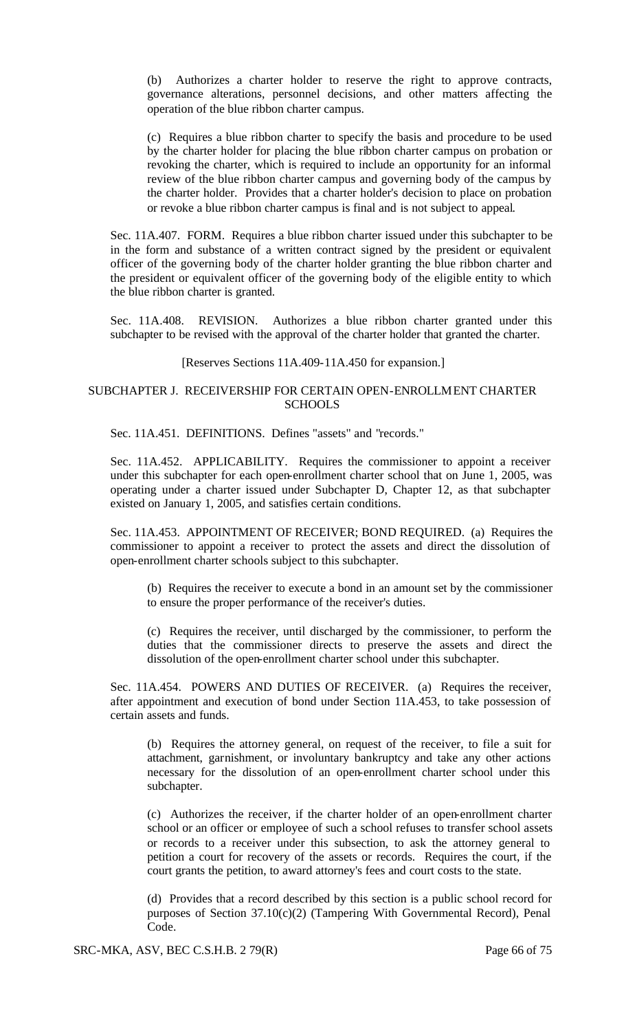(b) Authorizes a charter holder to reserve the right to approve contracts, governance alterations, personnel decisions, and other matters affecting the operation of the blue ribbon charter campus.

(c) Requires a blue ribbon charter to specify the basis and procedure to be used by the charter holder for placing the blue ribbon charter campus on probation or revoking the charter, which is required to include an opportunity for an informal review of the blue ribbon charter campus and governing body of the campus by the charter holder. Provides that a charter holder's decision to place on probation or revoke a blue ribbon charter campus is final and is not subject to appeal.

Sec. 11A.407. FORM. Requires a blue ribbon charter issued under this subchapter to be in the form and substance of a written contract signed by the president or equivalent officer of the governing body of the charter holder granting the blue ribbon charter and the president or equivalent officer of the governing body of the eligible entity to which the blue ribbon charter is granted.

Sec. 11A.408. REVISION. Authorizes a blue ribbon charter granted under this subchapter to be revised with the approval of the charter holder that granted the charter.

### [Reserves Sections 11A.409-11A.450 for expansion.]

## SUBCHAPTER J. RECEIVERSHIP FOR CERTAIN OPEN-ENROLLMENT CHARTER **SCHOOLS**

Sec. 11A.451. DEFINITIONS. Defines "assets" and "records."

Sec. 11A.452. APPLICABILITY. Requires the commissioner to appoint a receiver under this subchapter for each open-enrollment charter school that on June 1, 2005, was operating under a charter issued under Subchapter D, Chapter 12, as that subchapter existed on January 1, 2005, and satisfies certain conditions.

Sec. 11A.453. APPOINTMENT OF RECEIVER; BOND REQUIRED. (a) Requires the commissioner to appoint a receiver to protect the assets and direct the dissolution of open-enrollment charter schools subject to this subchapter.

(b) Requires the receiver to execute a bond in an amount set by the commissioner to ensure the proper performance of the receiver's duties.

(c) Requires the receiver, until discharged by the commissioner, to perform the duties that the commissioner directs to preserve the assets and direct the dissolution of the open-enrollment charter school under this subchapter.

Sec. 11A.454. POWERS AND DUTIES OF RECEIVER. (a) Requires the receiver, after appointment and execution of bond under Section 11A.453, to take possession of certain assets and funds.

(b) Requires the attorney general, on request of the receiver, to file a suit for attachment, garnishment, or involuntary bankruptcy and take any other actions necessary for the dissolution of an open-enrollment charter school under this subchapter.

(c) Authorizes the receiver, if the charter holder of an open-enrollment charter school or an officer or employee of such a school refuses to transfer school assets or records to a receiver under this subsection, to ask the attorney general to petition a court for recovery of the assets or records. Requires the court, if the court grants the petition, to award attorney's fees and court costs to the state.

(d) Provides that a record described by this section is a public school record for purposes of Section 37.10(c)(2) (Tampering With Governmental Record), Penal Code.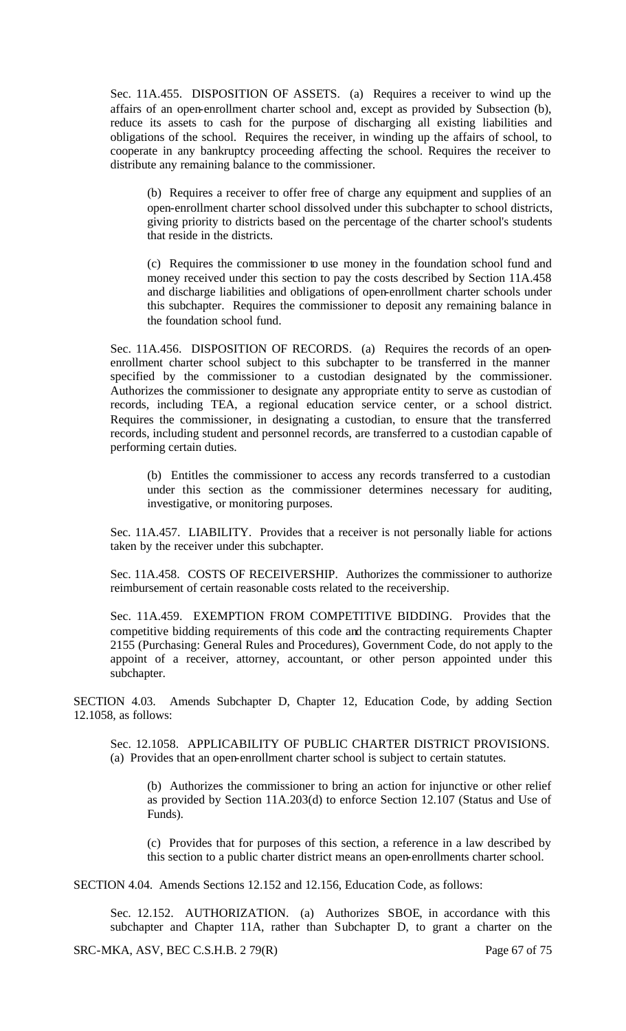Sec. 11A.455. DISPOSITION OF ASSETS. (a) Requires a receiver to wind up the affairs of an open-enrollment charter school and, except as provided by Subsection (b), reduce its assets to cash for the purpose of discharging all existing liabilities and obligations of the school. Requires the receiver, in winding up the affairs of school, to cooperate in any bankruptcy proceeding affecting the school. Requires the receiver to distribute any remaining balance to the commissioner.

(b) Requires a receiver to offer free of charge any equipment and supplies of an open-enrollment charter school dissolved under this subchapter to school districts, giving priority to districts based on the percentage of the charter school's students that reside in the districts.

(c) Requires the commissioner to use money in the foundation school fund and money received under this section to pay the costs described by Section 11A.458 and discharge liabilities and obligations of open-enrollment charter schools under this subchapter. Requires the commissioner to deposit any remaining balance in the foundation school fund.

Sec. 11A.456. DISPOSITION OF RECORDS. (a) Requires the records of an openenrollment charter school subject to this subchapter to be transferred in the manner specified by the commissioner to a custodian designated by the commissioner. Authorizes the commissioner to designate any appropriate entity to serve as custodian of records, including TEA, a regional education service center, or a school district. Requires the commissioner, in designating a custodian, to ensure that the transferred records, including student and personnel records, are transferred to a custodian capable of performing certain duties.

(b) Entitles the commissioner to access any records transferred to a custodian under this section as the commissioner determines necessary for auditing, investigative, or monitoring purposes.

Sec. 11A.457. LIABILITY. Provides that a receiver is not personally liable for actions taken by the receiver under this subchapter.

Sec. 11A.458. COSTS OF RECEIVERSHIP. Authorizes the commissioner to authorize reimbursement of certain reasonable costs related to the receivership.

Sec. 11A.459. EXEMPTION FROM COMPETITIVE BIDDING. Provides that the competitive bidding requirements of this code and the contracting requirements Chapter 2155 (Purchasing: General Rules and Procedures), Government Code, do not apply to the appoint of a receiver, attorney, accountant, or other person appointed under this subchapter.

SECTION 4.03. Amends Subchapter D, Chapter 12, Education Code, by adding Section 12.1058, as follows:

Sec. 12.1058. APPLICABILITY OF PUBLIC CHARTER DISTRICT PROVISIONS. (a) Provides that an open-enrollment charter school is subject to certain statutes.

(b) Authorizes the commissioner to bring an action for injunctive or other relief as provided by Section 11A.203(d) to enforce Section 12.107 (Status and Use of Funds).

(c) Provides that for purposes of this section, a reference in a law described by this section to a public charter district means an open-enrollments charter school.

SECTION 4.04. Amends Sections 12.152 and 12.156, Education Code, as follows:

Sec. 12.152. AUTHORIZATION. (a) Authorizes SBOE, in accordance with this subchapter and Chapter 11A, rather than Subchapter D, to grant a charter on the

SRC-MKA, ASV, BEC C.S.H.B. 2 79(R) Page 67 of 75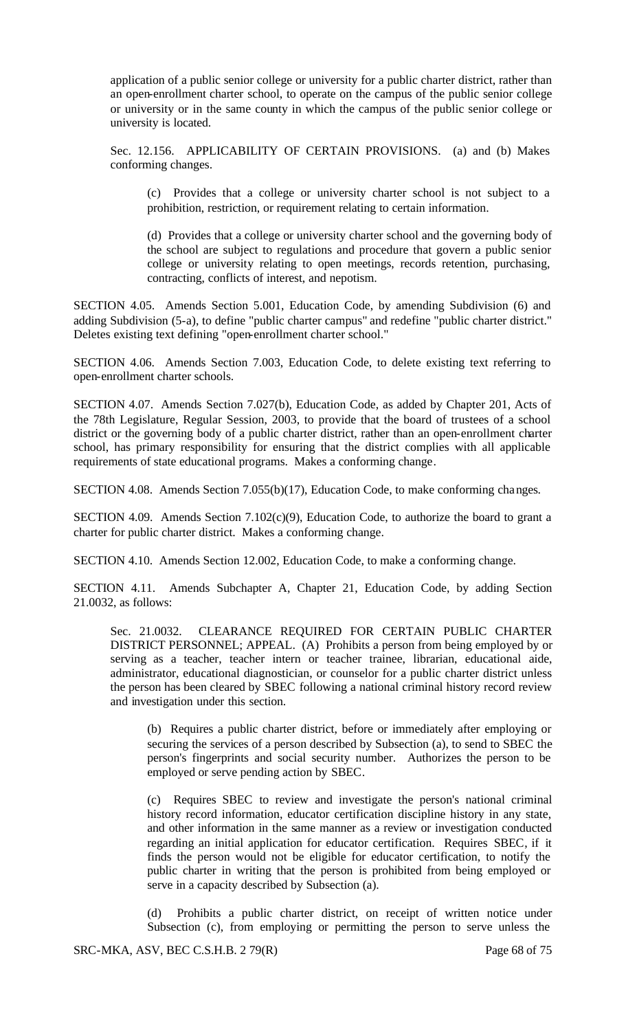application of a public senior college or university for a public charter district, rather than an open-enrollment charter school, to operate on the campus of the public senior college or university or in the same county in which the campus of the public senior college or university is located.

Sec. 12.156. APPLICABILITY OF CERTAIN PROVISIONS. (a) and (b) Makes conforming changes.

(c) Provides that a college or university charter school is not subject to a prohibition, restriction, or requirement relating to certain information.

(d) Provides that a college or university charter school and the governing body of the school are subject to regulations and procedure that govern a public senior college or university relating to open meetings, records retention, purchasing, contracting, conflicts of interest, and nepotism.

SECTION 4.05. Amends Section 5.001, Education Code, by amending Subdivision (6) and adding Subdivision (5-a), to define "public charter campus" and redefine "public charter district." Deletes existing text defining "open-enrollment charter school."

SECTION 4.06. Amends Section 7.003, Education Code, to delete existing text referring to open-enrollment charter schools.

SECTION 4.07. Amends Section 7.027(b), Education Code, as added by Chapter 201, Acts of the 78th Legislature, Regular Session, 2003, to provide that the board of trustees of a school district or the governing body of a public charter district, rather than an open-enrollment charter school, has primary responsibility for ensuring that the district complies with all applicable requirements of state educational programs. Makes a conforming change.

SECTION 4.08. Amends Section 7.055(b)(17), Education Code, to make conforming changes.

SECTION 4.09. Amends Section 7.102(c)(9), Education Code, to authorize the board to grant a charter for public charter district. Makes a conforming change.

SECTION 4.10. Amends Section 12.002, Education Code, to make a conforming change.

SECTION 4.11. Amends Subchapter A, Chapter 21, Education Code, by adding Section 21.0032, as follows:

Sec. 21.0032. CLEARANCE REQUIRED FOR CERTAIN PUBLIC CHARTER DISTRICT PERSONNEL; APPEAL. (A) Prohibits a person from being employed by or serving as a teacher, teacher intern or teacher trainee, librarian, educational aide, administrator, educational diagnostician, or counselor for a public charter district unless the person has been cleared by SBEC following a national criminal history record review and investigation under this section.

(b) Requires a public charter district, before or immediately after employing or securing the services of a person described by Subsection (a), to send to SBEC the person's fingerprints and social security number. Authorizes the person to be employed or serve pending action by SBEC.

(c) Requires SBEC to review and investigate the person's national criminal history record information, educator certification discipline history in any state, and other information in the same manner as a review or investigation conducted regarding an initial application for educator certification. Requires SBEC, if it finds the person would not be eligible for educator certification, to notify the public charter in writing that the person is prohibited from being employed or serve in a capacity described by Subsection (a).

(d) Prohibits a public charter district, on receipt of written notice under Subsection (c), from employing or permitting the person to serve unless the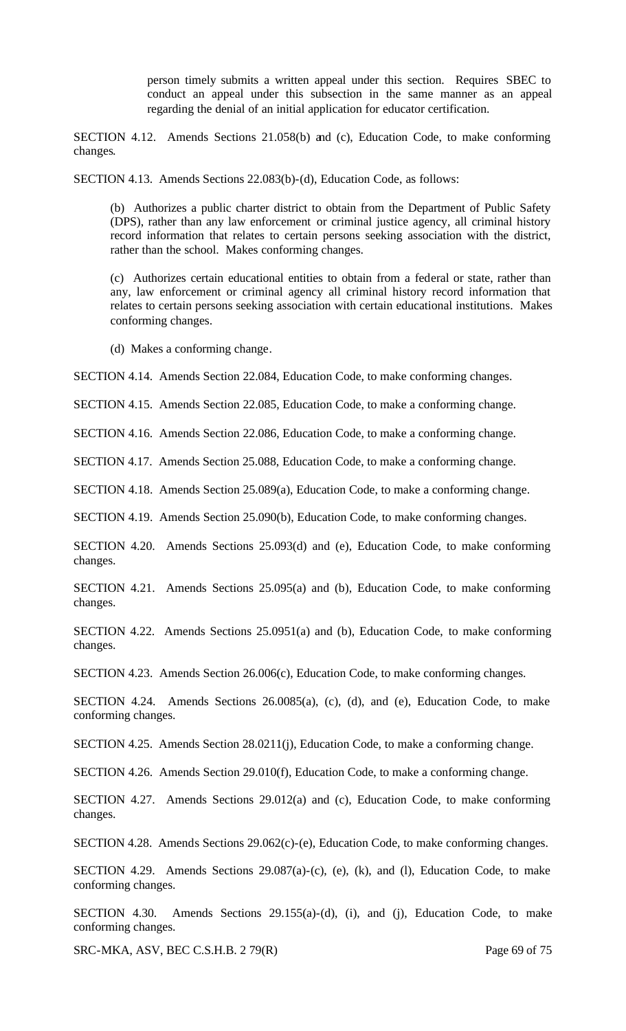person timely submits a written appeal under this section. Requires SBEC to conduct an appeal under this subsection in the same manner as an appeal regarding the denial of an initial application for educator certification.

SECTION 4.12. Amends Sections 21.058(b) and (c), Education Code, to make conforming changes.

SECTION 4.13. Amends Sections 22.083(b)-(d), Education Code, as follows:

(b) Authorizes a public charter district to obtain from the Department of Public Safety (DPS), rather than any law enforcement or criminal justice agency, all criminal history record information that relates to certain persons seeking association with the district, rather than the school. Makes conforming changes.

(c) Authorizes certain educational entities to obtain from a federal or state, rather than any, law enforcement or criminal agency all criminal history record information that relates to certain persons seeking association with certain educational institutions. Makes conforming changes.

(d) Makes a conforming change.

SECTION 4.14. Amends Section 22.084, Education Code, to make conforming changes.

SECTION 4.15. Amends Section 22.085, Education Code, to make a conforming change.

SECTION 4.16. Amends Section 22.086, Education Code, to make a conforming change.

SECTION 4.17. Amends Section 25.088, Education Code, to make a conforming change.

SECTION 4.18. Amends Section 25.089(a), Education Code, to make a conforming change.

SECTION 4.19. Amends Section 25.090(b), Education Code, to make conforming changes.

SECTION 4.20. Amends Sections 25.093(d) and (e), Education Code, to make conforming changes.

SECTION 4.21. Amends Sections 25.095(a) and (b), Education Code, to make conforming changes.

SECTION 4.22. Amends Sections 25.0951(a) and (b), Education Code, to make conforming changes.

SECTION 4.23. Amends Section 26.006(c), Education Code, to make conforming changes.

SECTION 4.24. Amends Sections 26.0085(a), (c), (d), and (e), Education Code, to make conforming changes.

SECTION 4.25. Amends Section 28.0211(j), Education Code, to make a conforming change.

SECTION 4.26. Amends Section 29.010(f), Education Code, to make a conforming change.

SECTION 4.27. Amends Sections 29.012(a) and (c), Education Code, to make conforming changes.

SECTION 4.28. Amends Sections 29.062(c)-(e), Education Code, to make conforming changes.

SECTION 4.29. Amends Sections 29.087(a)-(c), (e), (k), and (l), Education Code, to make conforming changes.

SECTION 4.30. Amends Sections 29.155(a)-(d), (i), and (j), Education Code, to make conforming changes.

SRC-MKA, ASV, BEC C.S.H.B. 2 79(R) Page 69 of 75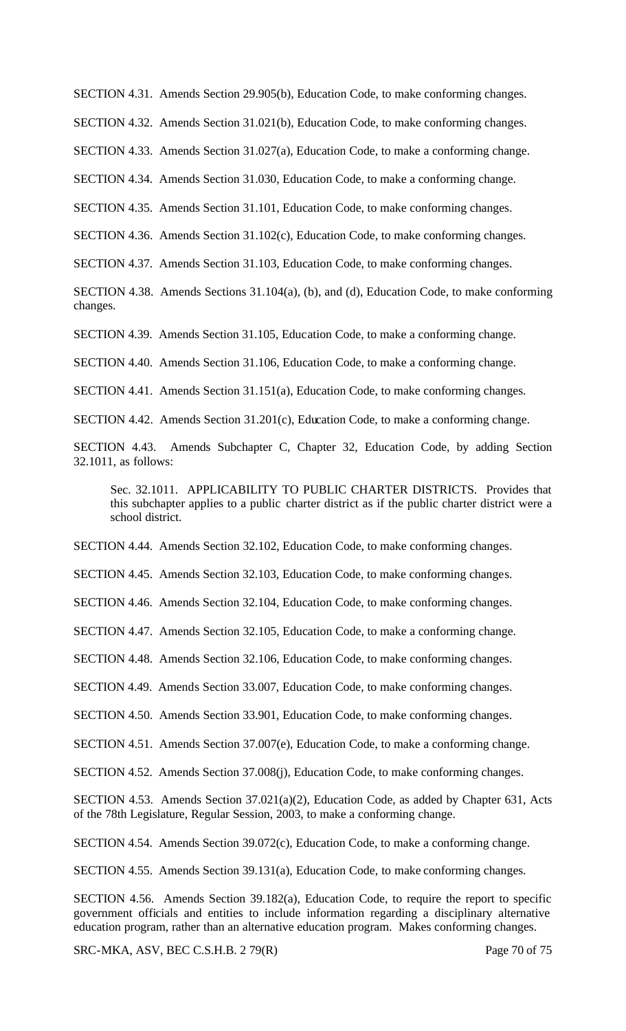SECTION 4.31. Amends Section 29.905(b), Education Code, to make conforming changes.

SECTION 4.32. Amends Section 31.021(b), Education Code, to make conforming changes.

SECTION 4.33. Amends Section 31.027(a), Education Code, to make a conforming change.

SECTION 4.34. Amends Section 31.030, Education Code, to make a conforming change.

SECTION 4.35. Amends Section 31.101, Education Code, to make conforming changes.

SECTION 4.36. Amends Section 31.102(c), Education Code, to make conforming changes.

SECTION 4.37. Amends Section 31.103, Education Code, to make conforming changes.

SECTION 4.38. Amends Sections 31.104(a), (b), and (d), Education Code, to make conforming changes.

SECTION 4.39. Amends Section 31.105, Education Code, to make a conforming change.

SECTION 4.40. Amends Section 31.106, Education Code, to make a conforming change.

SECTION 4.41. Amends Section 31.151(a), Education Code, to make conforming changes.

SECTION 4.42. Amends Section 31.201(c), Education Code, to make a conforming change.

SECTION 4.43. Amends Subchapter C, Chapter 32, Education Code, by adding Section 32.1011, as follows:

Sec. 32.1011. APPLICABILITY TO PUBLIC CHARTER DISTRICTS. Provides that this subchapter applies to a public charter district as if the public charter district were a school district.

SECTION 4.44. Amends Section 32.102, Education Code, to make conforming changes.

SECTION 4.45. Amends Section 32.103, Education Code, to make conforming changes.

SECTION 4.46. Amends Section 32.104, Education Code, to make conforming changes.

SECTION 4.47. Amends Section 32.105, Education Code, to make a conforming change.

SECTION 4.48. Amends Section 32.106, Education Code, to make conforming changes.

SECTION 4.49. Amends Section 33.007, Education Code, to make conforming changes.

SECTION 4.50. Amends Section 33.901, Education Code, to make conforming changes.

SECTION 4.51. Amends Section 37.007(e), Education Code, to make a conforming change.

SECTION 4.52. Amends Section 37.008(j), Education Code, to make conforming changes.

SECTION 4.53. Amends Section 37.021(a)(2), Education Code, as added by Chapter 631, Acts of the 78th Legislature, Regular Session, 2003, to make a conforming change.

SECTION 4.54. Amends Section 39.072(c), Education Code, to make a conforming change.

SECTION 4.55. Amends Section 39.131(a), Education Code, to make conforming changes.

SECTION 4.56. Amends Section 39.182(a), Education Code, to require the report to specific government officials and entities to include information regarding a disciplinary alternative education program, rather than an alternative education program. Makes conforming changes.

SRC-MKA, ASV, BEC C.S.H.B. 2 79(R) Page 70 of 75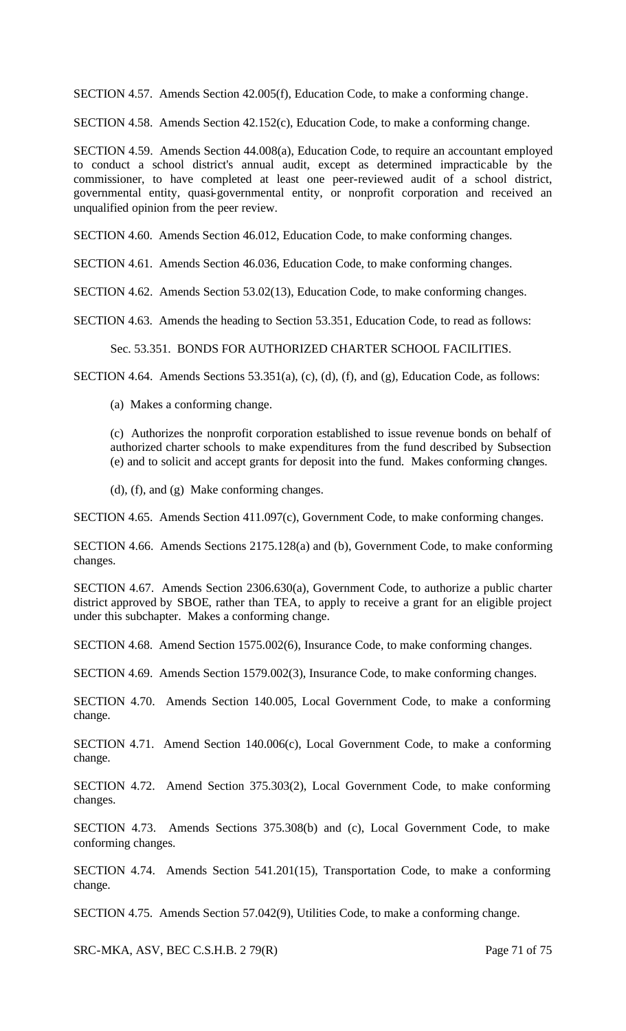SECTION 4.57. Amends Section 42.005(f), Education Code, to make a conforming change.

SECTION 4.58. Amends Section 42.152(c), Education Code, to make a conforming change.

SECTION 4.59. Amends Section 44.008(a), Education Code, to require an accountant employed to conduct a school district's annual audit, except as determined impracticable by the commissioner, to have completed at least one peer-reviewed audit of a school district, governmental entity, quasi-governmental entity, or nonprofit corporation and received an unqualified opinion from the peer review.

SECTION 4.60. Amends Section 46.012, Education Code, to make conforming changes.

SECTION 4.61. Amends Section 46.036, Education Code, to make conforming changes.

SECTION 4.62. Amends Section 53.02(13), Education Code, to make conforming changes.

SECTION 4.63. Amends the heading to Section 53.351, Education Code, to read as follows:

Sec. 53.351. BONDS FOR AUTHORIZED CHARTER SCHOOL FACILITIES.

SECTION 4.64. Amends Sections 53.351(a), (c), (d), (f), and (g), Education Code, as follows:

(a) Makes a conforming change.

(c) Authorizes the nonprofit corporation established to issue revenue bonds on behalf of authorized charter schools to make expenditures from the fund described by Subsection (e) and to solicit and accept grants for deposit into the fund. Makes conforming changes.

(d), (f), and (g) Make conforming changes.

SECTION 4.65. Amends Section 411.097(c), Government Code, to make conforming changes.

SECTION 4.66. Amends Sections 2175.128(a) and (b), Government Code, to make conforming changes.

SECTION 4.67. Amends Section 2306.630(a), Government Code, to authorize a public charter district approved by SBOE, rather than TEA, to apply to receive a grant for an eligible project under this subchapter. Makes a conforming change.

SECTION 4.68. Amend Section 1575.002(6), Insurance Code, to make conforming changes.

SECTION 4.69. Amends Section 1579.002(3), Insurance Code, to make conforming changes.

SECTION 4.70. Amends Section 140.005, Local Government Code, to make a conforming change.

SECTION 4.71. Amend Section 140.006(c), Local Government Code, to make a conforming change.

SECTION 4.72. Amend Section 375.303(2), Local Government Code, to make conforming changes.

SECTION 4.73. Amends Sections 375.308(b) and (c), Local Government Code, to make conforming changes.

SECTION 4.74. Amends Section 541.201(15), Transportation Code, to make a conforming change.

SECTION 4.75. Amends Section 57.042(9), Utilities Code, to make a conforming change.

SRC-MKA, ASV, BEC C.S.H.B. 2 79(R) Page 71 of 75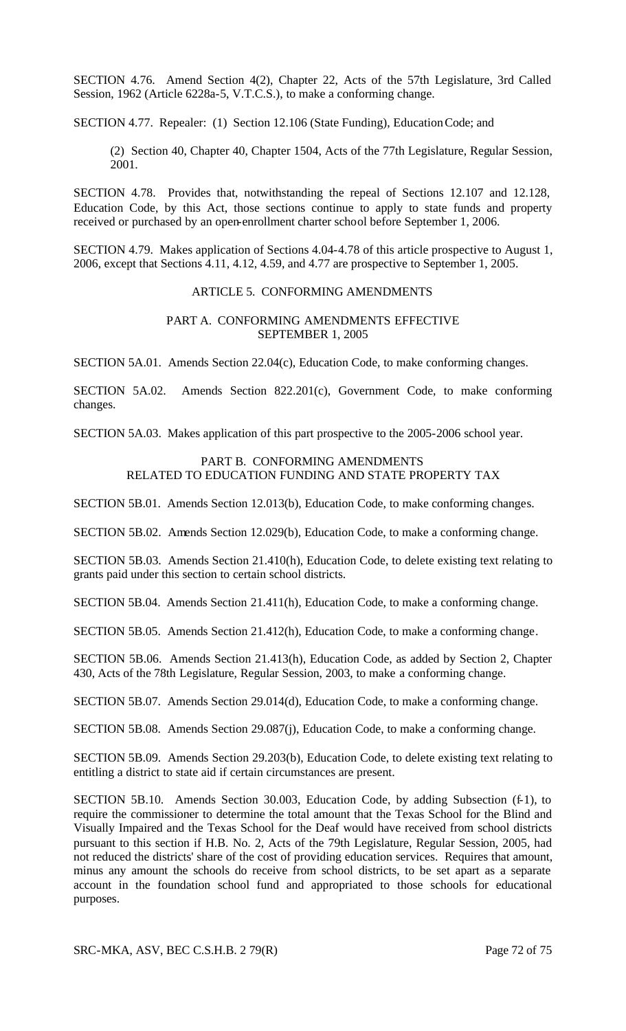SECTION 4.76. Amend Section 4(2), Chapter 22, Acts of the 57th Legislature, 3rd Called Session, 1962 (Article 6228a-5, V.T.C.S.), to make a conforming change.

SECTION 4.77. Repealer: (1) Section 12.106 (State Funding), Education Code; and

(2) Section 40, Chapter 40, Chapter 1504, Acts of the 77th Legislature, Regular Session, 2001.

SECTION 4.78. Provides that, notwithstanding the repeal of Sections 12.107 and 12.128, Education Code, by this Act, those sections continue to apply to state funds and property received or purchased by an open-enrollment charter school before September 1, 2006.

SECTION 4.79. Makes application of Sections 4.04-4.78 of this article prospective to August 1, 2006, except that Sections 4.11, 4.12, 4.59, and 4.77 are prospective to September 1, 2005.

### ARTICLE 5. CONFORMING AMENDMENTS

### PART A. CONFORMING AMENDMENTS EFFECTIVE SEPTEMBER 1, 2005

SECTION 5A.01. Amends Section 22.04(c), Education Code, to make conforming changes.

SECTION 5A.02. Amends Section 822.201(c), Government Code, to make conforming changes.

SECTION 5A.03. Makes application of this part prospective to the 2005-2006 school year.

### PART B. CONFORMING AMENDMENTS RELATED TO EDUCATION FUNDING AND STATE PROPERTY TAX

SECTION 5B.01. Amends Section 12.013(b), Education Code, to make conforming changes.

SECTION 5B.02. Amends Section 12.029(b), Education Code, to make a conforming change.

SECTION 5B.03. Amends Section 21.410(h), Education Code, to delete existing text relating to grants paid under this section to certain school districts.

SECTION 5B.04. Amends Section 21.411(h), Education Code, to make a conforming change.

SECTION 5B.05. Amends Section 21.412(h), Education Code, to make a conforming change.

SECTION 5B.06. Amends Section 21.413(h), Education Code, as added by Section 2, Chapter 430, Acts of the 78th Legislature, Regular Session, 2003, to make a conforming change.

SECTION 5B.07. Amends Section 29.014(d), Education Code, to make a conforming change.

SECTION 5B.08. Amends Section 29.087(j), Education Code, to make a conforming change.

SECTION 5B.09. Amends Section 29.203(b), Education Code, to delete existing text relating to entitling a district to state aid if certain circumstances are present.

SECTION 5B.10. Amends Section 30.003, Education Code, by adding Subsection (f-1), to require the commissioner to determine the total amount that the Texas School for the Blind and Visually Impaired and the Texas School for the Deaf would have received from school districts pursuant to this section if H.B. No. 2, Acts of the 79th Legislature, Regular Session, 2005, had not reduced the districts' share of the cost of providing education services. Requires that amount, minus any amount the schools do receive from school districts, to be set apart as a separate account in the foundation school fund and appropriated to those schools for educational purposes.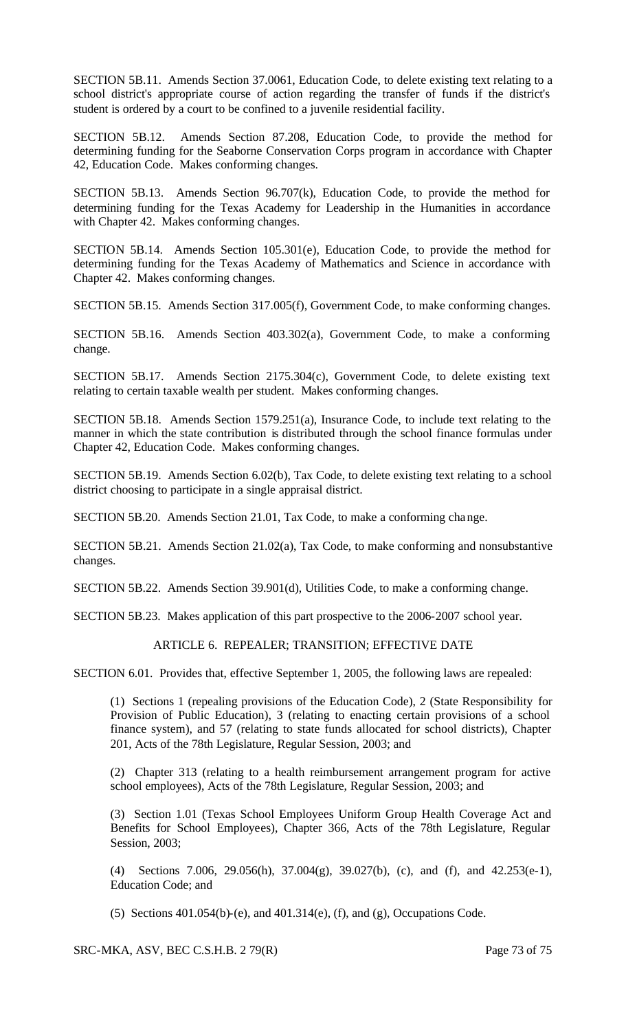SECTION 5B.11. Amends Section 37.0061, Education Code, to delete existing text relating to a school district's appropriate course of action regarding the transfer of funds if the district's student is ordered by a court to be confined to a juvenile residential facility.

SECTION 5B.12. Amends Section 87.208, Education Code, to provide the method for determining funding for the Seaborne Conservation Corps program in accordance with Chapter 42, Education Code. Makes conforming changes.

SECTION 5B.13. Amends Section 96.707(k), Education Code, to provide the method for determining funding for the Texas Academy for Leadership in the Humanities in accordance with Chapter 42. Makes conforming changes.

SECTION 5B.14. Amends Section 105.301(e), Education Code, to provide the method for determining funding for the Texas Academy of Mathematics and Science in accordance with Chapter 42. Makes conforming changes.

SECTION 5B.15. Amends Section 317.005(f), Government Code, to make conforming changes.

SECTION 5B.16. Amends Section 403.302(a), Government Code, to make a conforming change.

SECTION 5B.17. Amends Section 2175.304(c), Government Code, to delete existing text relating to certain taxable wealth per student. Makes conforming changes.

SECTION 5B.18. Amends Section 1579.251(a), Insurance Code, to include text relating to the manner in which the state contribution is distributed through the school finance formulas under Chapter 42, Education Code. Makes conforming changes.

SECTION 5B.19. Amends Section 6.02(b), Tax Code, to delete existing text relating to a school district choosing to participate in a single appraisal district.

SECTION 5B.20. Amends Section 21.01, Tax Code, to make a conforming change.

SECTION 5B.21. Amends Section 21.02(a), Tax Code, to make conforming and nonsubstantive changes.

SECTION 5B.22. Amends Section 39.901(d), Utilities Code, to make a conforming change.

SECTION 5B.23. Makes application of this part prospective to the 2006-2007 school year.

## ARTICLE 6. REPEALER; TRANSITION; EFFECTIVE DATE

SECTION 6.01. Provides that, effective September 1, 2005, the following laws are repealed:

(1) Sections 1 (repealing provisions of the Education Code), 2 (State Responsibility for Provision of Public Education), 3 (relating to enacting certain provisions of a school finance system), and 57 (relating to state funds allocated for school districts), Chapter 201, Acts of the 78th Legislature, Regular Session, 2003; and

(2) Chapter 313 (relating to a health reimbursement arrangement program for active school employees), Acts of the 78th Legislature, Regular Session, 2003; and

(3) Section 1.01 (Texas School Employees Uniform Group Health Coverage Act and Benefits for School Employees), Chapter 366, Acts of the 78th Legislature, Regular Session, 2003;

(4) Sections 7.006, 29.056(h), 37.004(g), 39.027(b), (c), and (f), and 42.253(e-1), Education Code; and

(5) Sections 401.054(b)-(e), and 401.314(e), (f), and (g), Occupations Code.

SRC-MKA, ASV, BEC C.S.H.B. 2 79(R) Page 73 of 75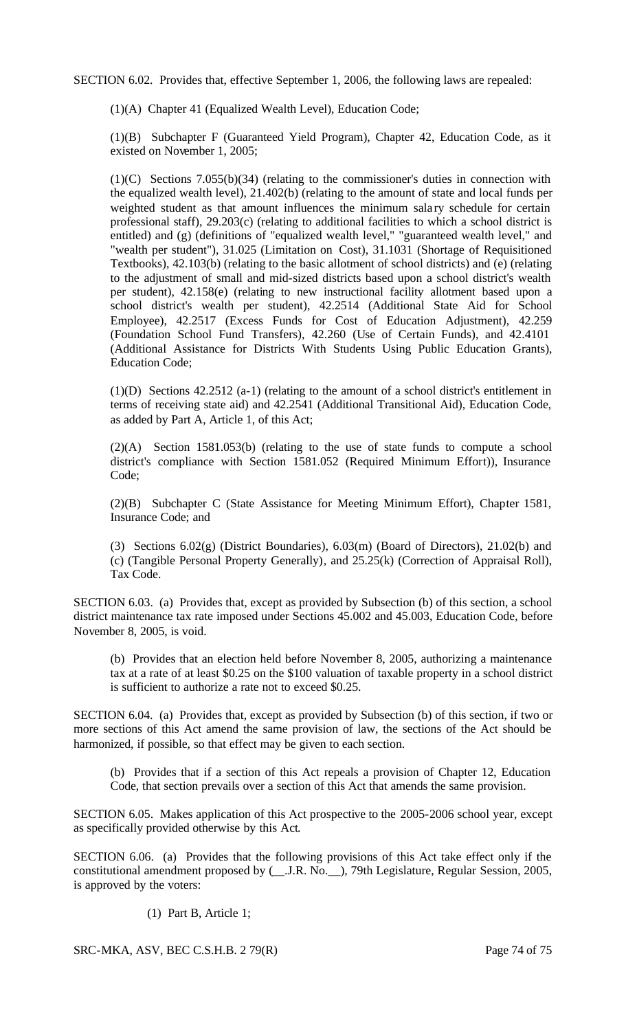SECTION 6.02. Provides that, effective September 1, 2006, the following laws are repealed:

(1)(A) Chapter 41 (Equalized Wealth Level), Education Code;

(1)(B) Subchapter F (Guaranteed Yield Program), Chapter 42, Education Code, as it existed on November 1, 2005;

(1)(C) Sections 7.055(b)(34) (relating to the commissioner's duties in connection with the equalized wealth level), 21.402(b) (relating to the amount of state and local funds per weighted student as that amount influences the minimum sala ry schedule for certain professional staff), 29.203(c) (relating to additional facilities to which a school district is entitled) and (g) (definitions of "equalized wealth level," "guaranteed wealth level," and "wealth per student"), 31.025 (Limitation on Cost), 31.1031 (Shortage of Requisitioned Textbooks), 42.103(b) (relating to the basic allotment of school districts) and (e) (relating to the adjustment of small and mid-sized districts based upon a school district's wealth per student), 42.158(e) (relating to new instructional facility allotment based upon a school district's wealth per student), 42.2514 (Additional State Aid for School Employee), 42.2517 (Excess Funds for Cost of Education Adjustment), 42.259 (Foundation School Fund Transfers), 42.260 (Use of Certain Funds), and 42.4101 (Additional Assistance for Districts With Students Using Public Education Grants), Education Code;

(1)(D) Sections 42.2512 (a-1) (relating to the amount of a school district's entitlement in terms of receiving state aid) and 42.2541 (Additional Transitional Aid), Education Code, as added by Part A, Article 1, of this Act;

(2)(A) Section 1581.053(b) (relating to the use of state funds to compute a school district's compliance with Section 1581.052 (Required Minimum Effort)), Insurance Code;

(2)(B) Subchapter C (State Assistance for Meeting Minimum Effort), Chapter 1581, Insurance Code; and

(3) Sections 6.02(g) (District Boundaries), 6.03(m) (Board of Directors), 21.02(b) and (c) (Tangible Personal Property Generally), and 25.25(k) (Correction of Appraisal Roll), Tax Code.

SECTION 6.03. (a) Provides that, except as provided by Subsection (b) of this section, a school district maintenance tax rate imposed under Sections 45.002 and 45.003, Education Code, before November 8, 2005, is void.

(b) Provides that an election held before November 8, 2005, authorizing a maintenance tax at a rate of at least \$0.25 on the \$100 valuation of taxable property in a school district is sufficient to authorize a rate not to exceed \$0.25.

SECTION 6.04. (a) Provides that, except as provided by Subsection (b) of this section, if two or more sections of this Act amend the same provision of law, the sections of the Act should be harmonized, if possible, so that effect may be given to each section.

(b) Provides that if a section of this Act repeals a provision of Chapter 12, Education Code, that section prevails over a section of this Act that amends the same provision.

SECTION 6.05. Makes application of this Act prospective to the 2005-2006 school year, except as specifically provided otherwise by this Act.

SECTION 6.06. (a) Provides that the following provisions of this Act take effect only if the constitutional amendment proposed by (\_\_.J.R. No.\_\_), 79th Legislature, Regular Session, 2005, is approved by the voters:

(1) Part B, Article 1;

SRC-MKA, ASV, BEC C.S.H.B. 2 79(R) Page 74 of 75